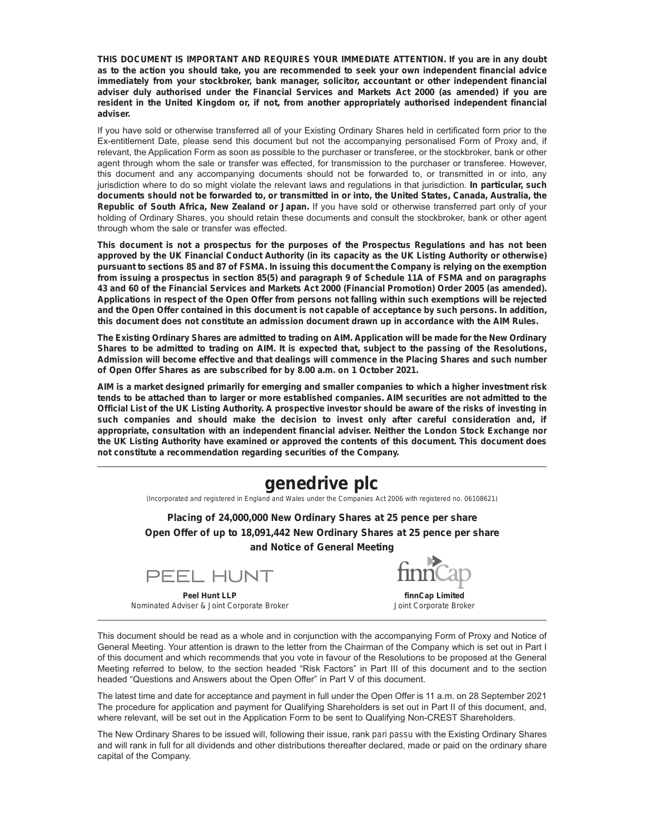**THIS DOCUMENT IS IMPORTANT AND REQUIRES YOUR IMMEDIATE ATTENTION. If you are in any doubt as to the action you should take, you are recommended to seek your own independent financial advice immediately from your stockbroker, bank manager, solicitor, accountant or other independent financial adviser duly authorised under the Financial Services and Markets Act 2000 (as amended) if you are resident in the United Kingdom or, if not, from another appropriately authorised independent financial adviser.**

If you have sold or otherwise transferred all of your Existing Ordinary Shares held in certificated form prior to the Ex-entitlement Date, please send this document but not the accompanying personalised Form of Proxy and, if relevant, the Application Form as soon as possible to the purchaser or transferee, or the stockbroker, bank or other agent through whom the sale or transfer was effected, for transmission to the purchaser or transferee. However, this document and any accompanying documents should not be forwarded to, or transmitted in or into, any jurisdiction where to do so might violate the relevant laws and regulations in that jurisdiction. **In particular, such documents should not be forwarded to, or transmitted in or into, the United States, Canada, Australia, the Republic of South Africa, New Zealand or Japan.** If you have sold or otherwise transferred part only of your holding of Ordinary Shares, you should retain these documents and consult the stockbroker, bank or other agent through whom the sale or transfer was effected.

**This document is not a prospectus for the purposes of the Prospectus Regulations and has not been approved by the UK Financial Conduct Authority (in its capacity as the UK Listing Authority or otherwise) pursuant to sections 85 and 87 of FSMA. In issuing this document the Company is relying on the exemption from issuing a prospectus in section 85(5) and paragraph 9 of Schedule 11A of FSMA and on paragraphs 43 and 60 of the Financial Services and Markets Act 2000 (Financial Promotion) Order 2005 (as amended). Applications in respect of the Open Offer from persons not falling within such exemptions will be rejected and the Open Offer contained in this document is not capable of acceptance by such persons. In addition, this document does not constitute an admission document drawn up in accordance with the AIM Rules.**

**The Existing Ordinary Shares are admitted to trading on AIM. Application will be made for the New Ordinary Shares to be admitted to trading on AIM. It is expected that, subject to the passing of the Resolutions, Admission will become effective and that dealings will commence in the Placing Shares and such number of Open Offer Shares as are subscribed for by 8.00 a.m. on 1 October 2021.**

**AIM is a market designed primarily for emerging and smaller companies to which a higher investment risk tends to be attached than to larger or more established companies. AIM securities are not admitted to the Official List of the UK Listing Authority. A prospective investor should be aware of the risks of investing in such companies and should make the decision to invest only after careful consideration and, if appropriate, consultation with an independent financial adviser. Neither the London Stock Exchange nor the UK Listing Authority have examined or approved the contents of this document. This document does not constitute a recommendation regarding securities of the Company.**

# **genedrive plc** *(Incorporated and registered in England and Wales under the Companies Act 2006 with registered no. 06108621)* **Placing of 24,000,000 New Ordinary Shares at 25 pence per share Open Offer of up to 18,091,442 New Ordinary Shares at 25 pence per share and Notice of General Meeting** PEEL HUNT **Peel Hunt LLP finnCap Limited**

*Nominated Adviser & Joint Corporate Broker Joint Corporate Broker*



This document should be read as a whole and in conjunction with the accompanying Form of Proxy and Notice of General Meeting. Your attention is drawn to the letter from the Chairman of the Company which is set out in Part I of this document and which recommends that you vote in favour of the Resolutions to be proposed at the General Meeting referred to below, to the section headed "Risk Factors" in Part III of this document and to the section headed "Questions and Answers about the Open Offer" in Part V of this document.

The latest time and date for acceptance and payment in full under the Open Offer is 11 a.m. on 28 September 2021 The procedure for application and payment for Qualifying Shareholders is set out in Part II of this document, and, where relevant, will be set out in the Application Form to be sent to Qualifying Non-CREST Shareholders.

The New Ordinary Shares to be issued will, following their issue, rank *pari passu* with the Existing Ordinary Shares and will rank in full for all dividends and other distributions thereafter declared, made or paid on the ordinary share capital of the Company.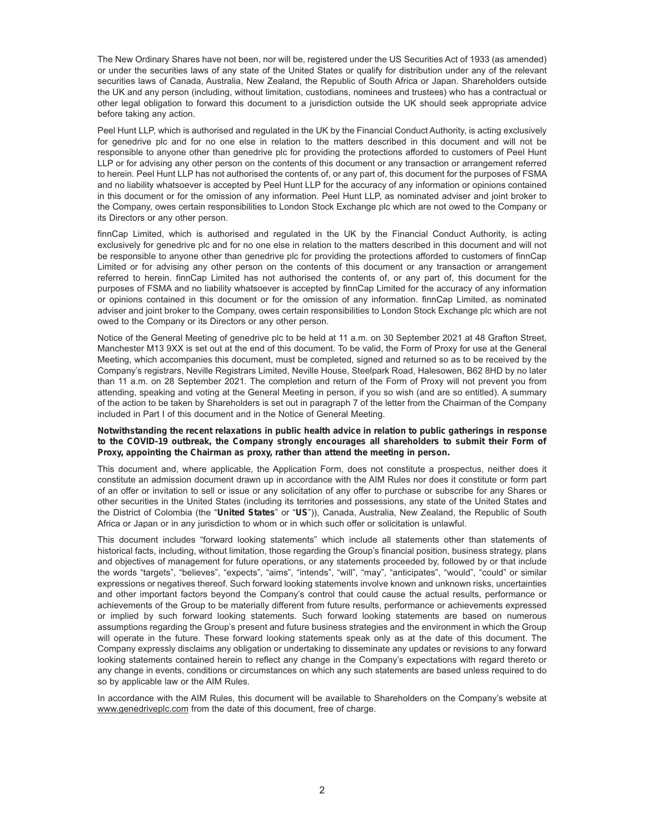The New Ordinary Shares have not been, nor will be, registered under the US Securities Act of 1933 (as amended) or under the securities laws of any state of the United States or qualify for distribution under any of the relevant securities laws of Canada, Australia, New Zealand, the Republic of South Africa or Japan. Shareholders outside the UK and any person (including, without limitation, custodians, nominees and trustees) who has a contractual or other legal obligation to forward this document to a jurisdiction outside the UK should seek appropriate advice before taking any action.

Peel Hunt LLP, which is authorised and regulated in the UK by the Financial Conduct Authority, is acting exclusively for genedrive plc and for no one else in relation to the matters described in this document and will not be responsible to anyone other than genedrive plc for providing the protections afforded to customers of Peel Hunt LLP or for advising any other person on the contents of this document or any transaction or arrangement referred to herein. Peel Hunt LLP has not authorised the contents of, or any part of, this document for the purposes of FSMA and no liability whatsoever is accepted by Peel Hunt LLP for the accuracy of any information or opinions contained in this document or for the omission of any information. Peel Hunt LLP, as nominated adviser and joint broker to the Company, owes certain responsibilities to London Stock Exchange plc which are not owed to the Company or its Directors or any other person.

finnCap Limited, which is authorised and regulated in the UK by the Financial Conduct Authority, is acting exclusively for genedrive plc and for no one else in relation to the matters described in this document and will not be responsible to anyone other than genedrive plc for providing the protections afforded to customers of finnCap Limited or for advising any other person on the contents of this document or any transaction or arrangement referred to herein. finnCap Limited has not authorised the contents of, or any part of, this document for the purposes of FSMA and no liability whatsoever is accepted by finnCap Limited for the accuracy of any information or opinions contained in this document or for the omission of any information. finnCap Limited, as nominated adviser and joint broker to the Company, owes certain responsibilities to London Stock Exchange plc which are not owed to the Company or its Directors or any other person.

Notice of the General Meeting of genedrive plc to be held at 11 a.m. on 30 September 2021 at 48 Grafton Street, Manchester M13 9XX is set out at the end of this document. To be valid, the Form of Proxy for use at the General Meeting, which accompanies this document, must be completed, signed and returned so as to be received by the Company's registrars, Neville Registrars Limited, Neville House, Steelpark Road, Halesowen, B62 8HD by no later than 11 a.m. on 28 September 2021. The completion and return of the Form of Proxy will not prevent you from attending, speaking and voting at the General Meeting in person, if you so wish (and are so entitled). A summary of the action to be taken by Shareholders is set out in paragraph 7 of the letter from the Chairman of the Company included in Part I of this document and in the Notice of General Meeting.

**Notwithstanding the recent relaxations in public health advice in relation to public gatherings in response to the COVID-19 outbreak, the Company strongly encourages all shareholders to submit their Form of Proxy, appointing the Chairman as proxy, rather than attend the meeting in person.**

This document and, where applicable, the Application Form, does not constitute a prospectus, neither does it constitute an admission document drawn up in accordance with the AIM Rules nor does it constitute or form part of an offer or invitation to sell or issue or any solicitation of any offer to purchase or subscribe for any Shares or other securities in the United States (including its territories and possessions, any state of the United States and the District of Colombia (the "**United States**" or "**US**")), Canada, Australia, New Zealand, the Republic of South Africa or Japan or in any jurisdiction to whom or in which such offer or solicitation is unlawful.

This document includes "forward looking statements" which include all statements other than statements of historical facts, including, without limitation, those regarding the Group's financial position, business strategy, plans and objectives of management for future operations, or any statements proceeded by, followed by or that include the words "targets", "believes", "expects", "aims", "intends", "will", "may", "anticipates", "would", "could" or similar expressions or negatives thereof. Such forward looking statements involve known and unknown risks, uncertainties and other important factors beyond the Company's control that could cause the actual results, performance or achievements of the Group to be materially different from future results, performance or achievements expressed or implied by such forward looking statements. Such forward looking statements are based on numerous assumptions regarding the Group's present and future business strategies and the environment in which the Group will operate in the future. These forward looking statements speak only as at the date of this document. The Company expressly disclaims any obligation or undertaking to disseminate any updates or revisions to any forward looking statements contained herein to reflect any change in the Company's expectations with regard thereto or any change in events, conditions or circumstances on which any such statements are based unless required to do so by applicable law or the AIM Rules.

In accordance with the AIM Rules, this document will be available to Shareholders on the Company's website at www.genedriveplc.com from the date of this document, free of charge.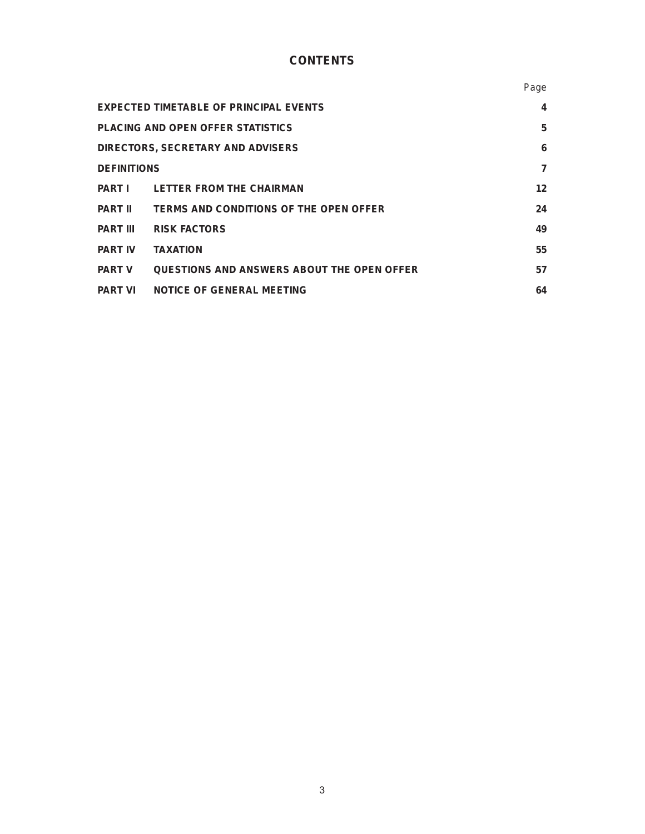# **CONTENTS**

|  |  | Page |
|--|--|------|
|  |  |      |
|  |  |      |

| EXPECTED TIMETABLE OF PRINCIPAL EVENTS<br>4 |                                            |    |
|---------------------------------------------|--------------------------------------------|----|
| 5<br>PLACING AND OPEN OFFER STATISTICS      |                                            |    |
| DIRECTORS, SECRETARY AND ADVISERS           |                                            |    |
| <b>DEFINITIONS</b>                          |                                            | 7  |
| PART I                                      | LETTER FROM THE CHAIRMAN                   | 12 |
| <b>PART II</b>                              | TERMS AND CONDITIONS OF THE OPEN OFFER     | 24 |
| PART III                                    | RISK FACTORS                               | 49 |
| <b>PART IV</b>                              | <b>TAXATION</b>                            | 55 |
| PART V                                      | OUFSTIONS AND ANSWERS ABOUT THE OPEN OFFER | 57 |
| <b>PART VI</b>                              | NOTICE OF GENERAL MEETING                  | 64 |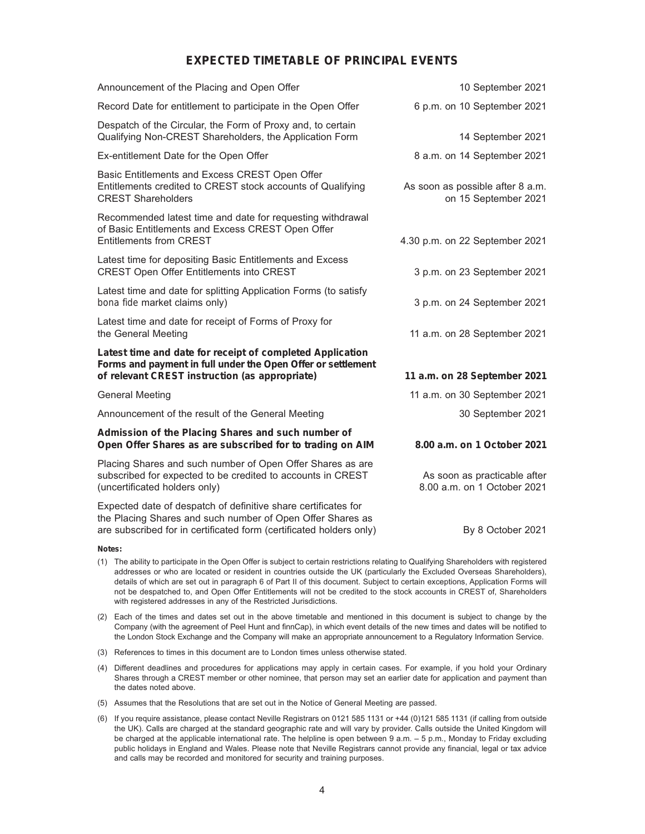# **EXPECTED TIMETABLE OF PRINCIPAL EVENTS**

| Announcement of the Placing and Open Offer                                                                                                                                                          | 10 September 2021                                           |
|-----------------------------------------------------------------------------------------------------------------------------------------------------------------------------------------------------|-------------------------------------------------------------|
| Record Date for entitlement to participate in the Open Offer                                                                                                                                        | 6 p.m. on 10 September 2021                                 |
| Despatch of the Circular, the Form of Proxy and, to certain<br>Qualifying Non-CREST Shareholders, the Application Form                                                                              | 14 September 2021                                           |
| Ex-entitlement Date for the Open Offer                                                                                                                                                              | 8 a.m. on 14 September 2021                                 |
| Basic Entitlements and Excess CREST Open Offer<br>Entitlements credited to CREST stock accounts of Qualifying<br><b>CREST Shareholders</b>                                                          | As soon as possible after 8 a.m.<br>on 15 September 2021    |
| Recommended latest time and date for requesting withdrawal<br>of Basic Entitlements and Excess CREST Open Offer<br><b>Entitlements from CREST</b>                                                   | 4.30 p.m. on 22 September 2021                              |
| Latest time for depositing Basic Entitlements and Excess<br><b>CREST Open Offer Entitlements into CREST</b>                                                                                         | 3 p.m. on 23 September 2021                                 |
| Latest time and date for splitting Application Forms (to satisfy<br>bona fide market claims only)                                                                                                   | 3 p.m. on 24 September 2021                                 |
| Latest time and date for receipt of Forms of Proxy for<br>the General Meeting                                                                                                                       | 11 a.m. on 28 September 2021                                |
| Latest time and date for receipt of completed Application<br>Forms and payment in full under the Open Offer or settlement<br>of relevant CREST instruction (as appropriate)                         | 11 a.m. on 28 September 2021                                |
| <b>General Meeting</b>                                                                                                                                                                              | 11 a.m. on 30 September 2021                                |
| Announcement of the result of the General Meeting                                                                                                                                                   | 30 September 2021                                           |
| Admission of the Placing Shares and such number of<br>Open Offer Shares as are subscribed for to trading on AIM                                                                                     | 8.00 a.m. on 1 October 2021                                 |
| Placing Shares and such number of Open Offer Shares as are<br>subscribed for expected to be credited to accounts in CREST<br>(uncertificated holders only)                                          | As soon as practicable after<br>8.00 a.m. on 1 October 2021 |
| Expected date of despatch of definitive share certificates for<br>the Placing Shares and such number of Open Offer Shares as<br>are subscribed for in certificated form (certificated holders only) | By 8 October 2021                                           |

**Notes:**

- (1) The ability to participate in the Open Offer is subject to certain restrictions relating to Qualifying Shareholders with registered addresses or who are located or resident in countries outside the UK (particularly the Excluded Overseas Shareholders), details of which are set out in paragraph 6 of Part II of this document. Subject to certain exceptions, Application Forms will not be despatched to, and Open Offer Entitlements will not be credited to the stock accounts in CREST of, Shareholders with registered addresses in any of the Restricted Jurisdictions.
- (2) Each of the times and dates set out in the above timetable and mentioned in this document is subject to change by the Company (with the agreement of Peel Hunt and finnCap), in which event details of the new times and dates will be notified to the London Stock Exchange and the Company will make an appropriate announcement to a Regulatory Information Service.
- (3) References to times in this document are to London times unless otherwise stated.
- (4) Different deadlines and procedures for applications may apply in certain cases. For example, if you hold your Ordinary Shares through a CREST member or other nominee, that person may set an earlier date for application and payment than the dates noted above.
- (5) Assumes that the Resolutions that are set out in the Notice of General Meeting are passed.
- (6) If you require assistance, please contact Neville Registrars on 0121 585 1131 or +44 (0)121 585 1131 (if calling from outside the UK). Calls are charged at the standard geographic rate and will vary by provider. Calls outside the United Kingdom will be charged at the applicable international rate. The helpline is open between 9 a.m. – 5 p.m., Monday to Friday excluding public holidays in England and Wales. Please note that Neville Registrars cannot provide any financial, legal or tax advice and calls may be recorded and monitored for security and training purposes.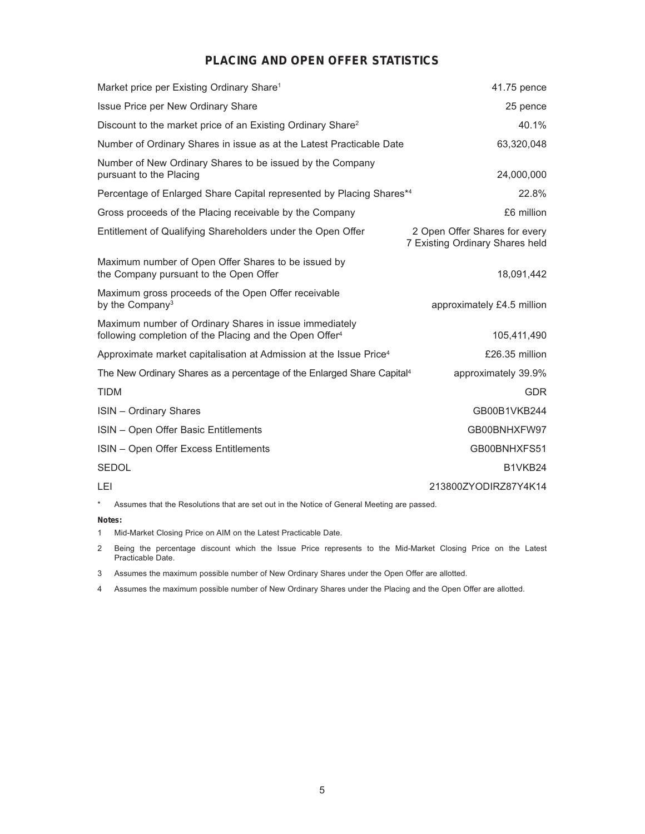# **PLACING AND OPEN OFFER STATISTICS**

| Market price per Existing Ordinary Share <sup>1</sup>                                                                         | 41.75 pence                                                      |
|-------------------------------------------------------------------------------------------------------------------------------|------------------------------------------------------------------|
| Issue Price per New Ordinary Share                                                                                            | 25 pence                                                         |
| Discount to the market price of an Existing Ordinary Share <sup>2</sup>                                                       | 40.1%                                                            |
| Number of Ordinary Shares in issue as at the Latest Practicable Date                                                          | 63,320,048                                                       |
| Number of New Ordinary Shares to be issued by the Company<br>pursuant to the Placing                                          | 24,000,000                                                       |
| Percentage of Enlarged Share Capital represented by Placing Shares*4                                                          | 22.8%                                                            |
| Gross proceeds of the Placing receivable by the Company                                                                       | £6 million                                                       |
| Entitlement of Qualifying Shareholders under the Open Offer                                                                   | 2 Open Offer Shares for every<br>7 Existing Ordinary Shares held |
| Maximum number of Open Offer Shares to be issued by<br>the Company pursuant to the Open Offer                                 | 18,091,442                                                       |
| Maximum gross proceeds of the Open Offer receivable<br>by the Company <sup>3</sup>                                            | approximately £4.5 million                                       |
| Maximum number of Ordinary Shares in issue immediately<br>following completion of the Placing and the Open Offer <sup>4</sup> | 105,411,490                                                      |
| Approximate market capitalisation at Admission at the Issue Price <sup>4</sup>                                                | £26.35 million                                                   |
| The New Ordinary Shares as a percentage of the Enlarged Share Capital <sup>4</sup>                                            | approximately 39.9%                                              |
| <b>TIDM</b>                                                                                                                   | <b>GDR</b>                                                       |
| <b>ISIN</b> - Ordinary Shares                                                                                                 | GB00B1VKB244                                                     |
| ISIN - Open Offer Basic Entitlements                                                                                          | GB00BNHXFW97                                                     |
| ISIN - Open Offer Excess Entitlements                                                                                         | GB00BNHXFS51                                                     |
| <b>SEDOL</b>                                                                                                                  | B1VKB24                                                          |
| LEI                                                                                                                           | 213800ZYODIRZ87Y4K14                                             |
|                                                                                                                               |                                                                  |

\* Assumes that the Resolutions that are set out in the Notice of General Meeting are passed.

**Notes:**

- 1 Mid-Market Closing Price on AIM on the Latest Practicable Date.
- 2 Being the percentage discount which the Issue Price represents to the Mid-Market Closing Price on the Latest Practicable Date.
- 3 Assumes the maximum possible number of New Ordinary Shares under the Open Offer are allotted.
- 4 Assumes the maximum possible number of New Ordinary Shares under the Placing and the Open Offer are allotted.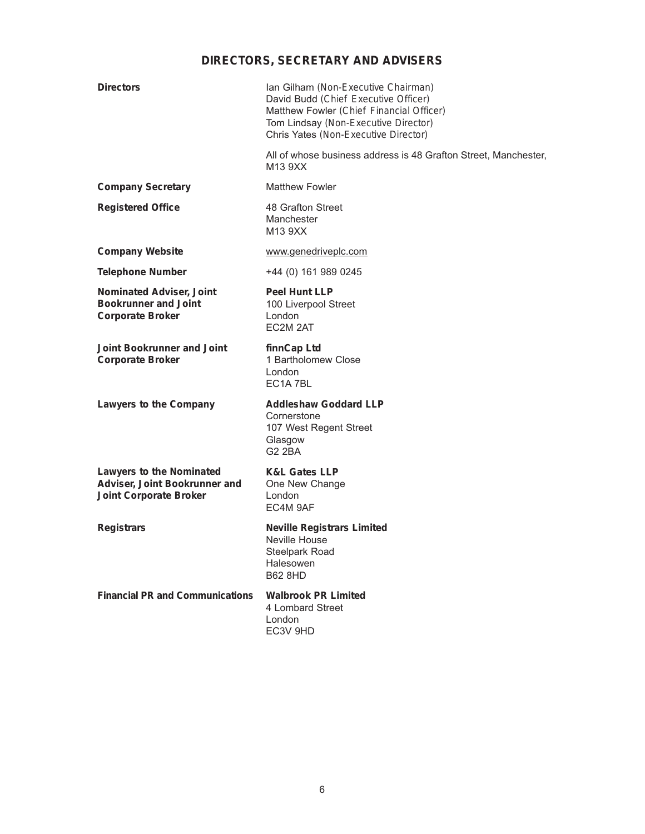# **DIRECTORS, SECRETARY AND ADVISERS**

| <b>Directors</b>                                                                    | Ian Gilham (Non-Executive Chairman)<br>David Budd (Chief Executive Officer)<br>Matthew Fowler (Chief Financial Officer)<br>Tom Lindsay (Non-Executive Director)<br>Chris Yates (Non-Executive Director) |
|-------------------------------------------------------------------------------------|---------------------------------------------------------------------------------------------------------------------------------------------------------------------------------------------------------|
|                                                                                     | All of whose business address is 48 Grafton Street, Manchester,<br>M13 9XX                                                                                                                              |
| Company Secretary                                                                   | <b>Matthew Fowler</b>                                                                                                                                                                                   |
| <b>Registered Office</b>                                                            | 48 Grafton Street<br>Manchester<br>M13 9XX                                                                                                                                                              |
| Company Website                                                                     | www.genedriveplc.com                                                                                                                                                                                    |
| Telephone Number                                                                    | +44 (0) 161 989 0245                                                                                                                                                                                    |
| Nominated Adviser, Joint<br>Bookrunner and Joint<br>Corporate Broker                | Peel Hunt LLP<br>100 Liverpool Street<br>London<br>EC2M 2AT                                                                                                                                             |
| Joint Bookrunner and Joint<br>Corporate Broker                                      | finnCap Ltd<br>1 Bartholomew Close<br>London<br>EC <sub>1</sub> A <sub>7BL</sub>                                                                                                                        |
| Lawyers to the Company                                                              | Addleshaw Goddard LLP<br>Cornerstone<br>107 West Regent Street<br>Glasgow<br><b>G2 2BA</b>                                                                                                              |
| Lawyers to the Nominated<br>Adviser, Joint Bookrunner and<br>Joint Corporate Broker | <b>K&amp;L Gates LLP</b><br>One New Change<br>London<br>EC4M 9AF                                                                                                                                        |
| Registrars                                                                          | Neville Registrars Limited<br>Neville House<br>Steelpark Road<br>Halesowen<br><b>B62 8HD</b>                                                                                                            |
| <b>Financial PR and Communications</b>                                              | <b>Walbrook PR Limited</b><br>4 Lombard Street<br>London<br>EC3V 9HD                                                                                                                                    |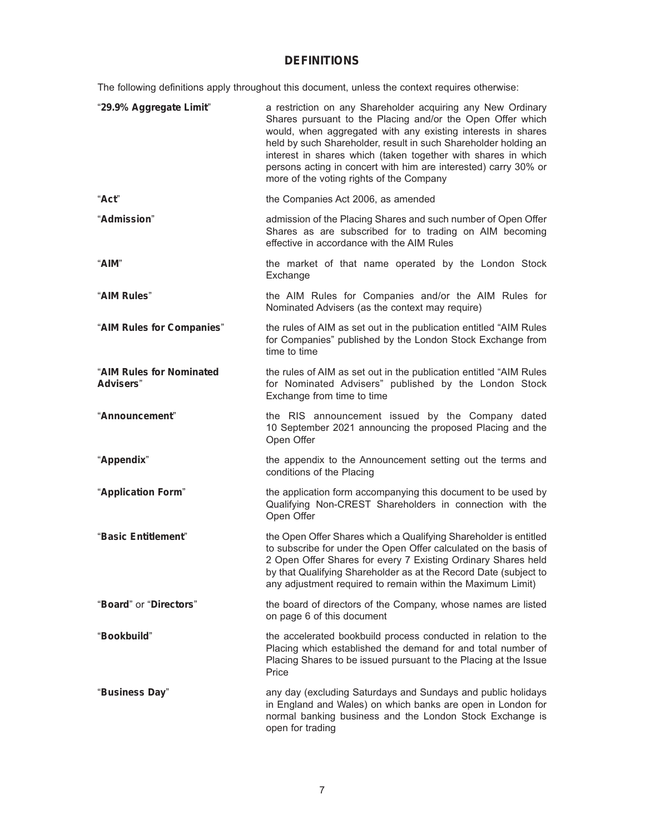# **DEFINITIONS**

The following definitions apply throughout this document, unless the context requires otherwise:

| "29.9% Aggregate Limit"               | a restriction on any Shareholder acquiring any New Ordinary<br>Shares pursuant to the Placing and/or the Open Offer which<br>would, when aggregated with any existing interests in shares<br>held by such Shareholder, result in such Shareholder holding an<br>interest in shares which (taken together with shares in which<br>persons acting in concert with him are interested) carry 30% or<br>more of the voting rights of the Company |
|---------------------------------------|----------------------------------------------------------------------------------------------------------------------------------------------------------------------------------------------------------------------------------------------------------------------------------------------------------------------------------------------------------------------------------------------------------------------------------------------|
| "Act"                                 | the Companies Act 2006, as amended                                                                                                                                                                                                                                                                                                                                                                                                           |
| "Admission"                           | admission of the Placing Shares and such number of Open Offer<br>Shares as are subscribed for to trading on AIM becoming<br>effective in accordance with the AIM Rules                                                                                                                                                                                                                                                                       |
| "AIM"                                 | the market of that name operated by the London Stock<br>Exchange                                                                                                                                                                                                                                                                                                                                                                             |
| "AIM Rules"                           | the AIM Rules for Companies and/or the AIM Rules for<br>Nominated Advisers (as the context may require)                                                                                                                                                                                                                                                                                                                                      |
| "AIM Rules for Companies"             | the rules of AIM as set out in the publication entitled "AIM Rules<br>for Companies" published by the London Stock Exchange from<br>time to time                                                                                                                                                                                                                                                                                             |
| "AIM Rules for Nominated<br>Advisers" | the rules of AIM as set out in the publication entitled "AIM Rules<br>for Nominated Advisers" published by the London Stock<br>Exchange from time to time                                                                                                                                                                                                                                                                                    |
| "Announcement"                        | the RIS announcement issued by the Company dated<br>10 September 2021 announcing the proposed Placing and the<br>Open Offer                                                                                                                                                                                                                                                                                                                  |
| "Appendix"                            | the appendix to the Announcement setting out the terms and<br>conditions of the Placing                                                                                                                                                                                                                                                                                                                                                      |
| "Application Form"                    | the application form accompanying this document to be used by<br>Qualifying Non-CREST Shareholders in connection with the<br>Open Offer                                                                                                                                                                                                                                                                                                      |
| "Basic Entitlement"                   | the Open Offer Shares which a Qualifying Shareholder is entitled<br>to subscribe for under the Open Offer calculated on the basis of<br>2 Open Offer Shares for every 7 Existing Ordinary Shares held<br>by that Qualifying Shareholder as at the Record Date (subject to<br>any adjustment required to remain within the Maximum Limit)                                                                                                     |
| "Board" or "Directors"                | the board of directors of the Company, whose names are listed<br>on page 6 of this document                                                                                                                                                                                                                                                                                                                                                  |
| "Bookbuild"                           | the accelerated bookbuild process conducted in relation to the<br>Placing which established the demand for and total number of<br>Placing Shares to be issued pursuant to the Placing at the Issue<br>Price                                                                                                                                                                                                                                  |
| "Business Day"                        | any day (excluding Saturdays and Sundays and public holidays<br>in England and Wales) on which banks are open in London for<br>normal banking business and the London Stock Exchange is<br>open for trading                                                                                                                                                                                                                                  |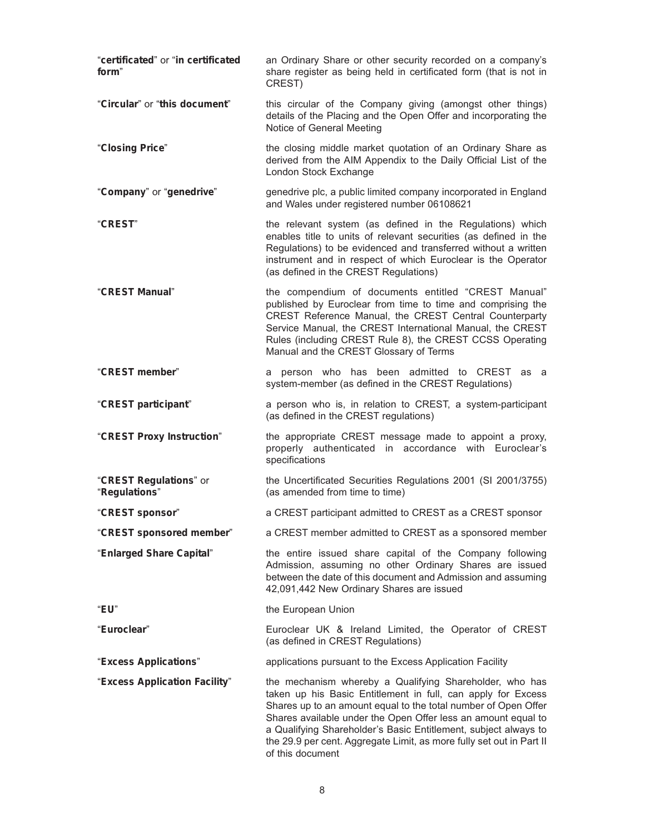| "certificated" or "in certificated<br>form" | an Ordinary Share or other security recorded on a company's<br>share register as being held in certificated form (that is not in<br>CREST)                                                                                                                                                                                                                                                                                |
|---------------------------------------------|---------------------------------------------------------------------------------------------------------------------------------------------------------------------------------------------------------------------------------------------------------------------------------------------------------------------------------------------------------------------------------------------------------------------------|
| "Circular" or "this document"               | this circular of the Company giving (amongst other things)<br>details of the Placing and the Open Offer and incorporating the<br>Notice of General Meeting                                                                                                                                                                                                                                                                |
| "Closing Price"                             | the closing middle market quotation of an Ordinary Share as<br>derived from the AIM Appendix to the Daily Official List of the<br>London Stock Exchange                                                                                                                                                                                                                                                                   |
| "Company" or "genedrive"                    | genedrive plc, a public limited company incorporated in England<br>and Wales under registered number 06108621                                                                                                                                                                                                                                                                                                             |
| "CREST"                                     | the relevant system (as defined in the Regulations) which<br>enables title to units of relevant securities (as defined in the<br>Regulations) to be evidenced and transferred without a written<br>instrument and in respect of which Euroclear is the Operator<br>(as defined in the CREST Regulations)                                                                                                                  |
| "CREST Manual"                              | the compendium of documents entitled "CREST Manual"<br>published by Euroclear from time to time and comprising the<br>CREST Reference Manual, the CREST Central Counterparty<br>Service Manual, the CREST International Manual, the CREST<br>Rules (including CREST Rule 8), the CREST CCSS Operating<br>Manual and the CREST Glossary of Terms                                                                           |
| "CREST member"                              | a person who has been admitted to CREST<br>as a<br>system-member (as defined in the CREST Regulations)                                                                                                                                                                                                                                                                                                                    |
| "CREST participant"                         | a person who is, in relation to CREST, a system-participant<br>(as defined in the CREST regulations)                                                                                                                                                                                                                                                                                                                      |
| "CREST Proxy Instruction"                   | the appropriate CREST message made to appoint a proxy,<br>properly authenticated in accordance with Euroclear's<br>specifications                                                                                                                                                                                                                                                                                         |
| "CREST Regulations" or<br>"Requlations"     | the Uncertificated Securities Regulations 2001 (SI 2001/3755)<br>(as amended from time to time)                                                                                                                                                                                                                                                                                                                           |
| "CREST sponsor"                             | a CREST participant admitted to CREST as a CREST sponsor                                                                                                                                                                                                                                                                                                                                                                  |
| "CREST sponsored member"                    | a CREST member admitted to CREST as a sponsored member                                                                                                                                                                                                                                                                                                                                                                    |
| "Enlarged Share Capital"                    | the entire issued share capital of the Company following<br>Admission, assuming no other Ordinary Shares are issued<br>between the date of this document and Admission and assuming<br>42,091,442 New Ordinary Shares are issued                                                                                                                                                                                          |
| "EU"                                        | the European Union                                                                                                                                                                                                                                                                                                                                                                                                        |
| "Euroclear"                                 | Euroclear UK & Ireland Limited, the Operator of CREST<br>(as defined in CREST Regulations)                                                                                                                                                                                                                                                                                                                                |
| "Excess Applications"                       | applications pursuant to the Excess Application Facility                                                                                                                                                                                                                                                                                                                                                                  |
| "Excess Application Facility"               | the mechanism whereby a Qualifying Shareholder, who has<br>taken up his Basic Entitlement in full, can apply for Excess<br>Shares up to an amount equal to the total number of Open Offer<br>Shares available under the Open Offer less an amount equal to<br>a Qualifying Shareholder's Basic Entitlement, subject always to<br>the 29.9 per cent. Aggregate Limit, as more fully set out in Part II<br>of this document |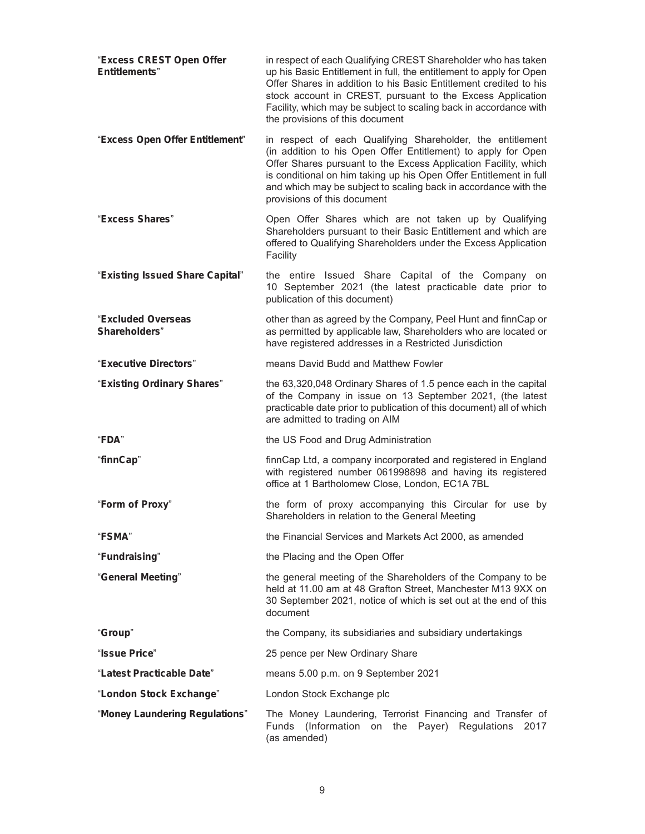| "Excess CREST Open Offer<br>Entitlements" | in respect of each Qualifying CREST Shareholder who has taken<br>up his Basic Entitlement in full, the entitlement to apply for Open<br>Offer Shares in addition to his Basic Entitlement credited to his<br>stock account in CREST, pursuant to the Excess Application<br>Facility, which may be subject to scaling back in accordance with<br>the provisions of this document |
|-------------------------------------------|---------------------------------------------------------------------------------------------------------------------------------------------------------------------------------------------------------------------------------------------------------------------------------------------------------------------------------------------------------------------------------|
| "Excess Open Offer Entitlement"           | in respect of each Qualifying Shareholder, the entitlement<br>(in addition to his Open Offer Entitlement) to apply for Open<br>Offer Shares pursuant to the Excess Application Facility, which<br>is conditional on him taking up his Open Offer Entitlement in full<br>and which may be subject to scaling back in accordance with the<br>provisions of this document          |
| "Excess Shares"                           | Open Offer Shares which are not taken up by Qualifying<br>Shareholders pursuant to their Basic Entitlement and which are<br>offered to Qualifying Shareholders under the Excess Application<br>Facility                                                                                                                                                                         |
| "Existing Issued Share Capital"           | the entire Issued Share Capital of the Company on<br>10 September 2021 (the latest practicable date prior to<br>publication of this document)                                                                                                                                                                                                                                   |
| "Excluded Overseas<br>Shareholders"       | other than as agreed by the Company, Peel Hunt and finnCap or<br>as permitted by applicable law, Shareholders who are located or<br>have registered addresses in a Restricted Jurisdiction                                                                                                                                                                                      |
| "Executive Directors"                     | means David Budd and Matthew Fowler                                                                                                                                                                                                                                                                                                                                             |
| "Existing Ordinary Shares"                | the 63,320,048 Ordinary Shares of 1.5 pence each in the capital<br>of the Company in issue on 13 September 2021, (the latest<br>practicable date prior to publication of this document) all of which<br>are admitted to trading on AIM                                                                                                                                          |
| "FDA"                                     | the US Food and Drug Administration                                                                                                                                                                                                                                                                                                                                             |
| "finnCap"                                 | finnCap Ltd, a company incorporated and registered in England<br>with registered number 061998898 and having its registered<br>office at 1 Bartholomew Close, London, EC1A 7BL                                                                                                                                                                                                  |
| "Form of Proxy"                           | the form of proxy accompanying this Circular for use by<br>Shareholders in relation to the General Meeting                                                                                                                                                                                                                                                                      |
| "FSMA"                                    | the Financial Services and Markets Act 2000, as amended                                                                                                                                                                                                                                                                                                                         |
| "Fundraising"                             | the Placing and the Open Offer                                                                                                                                                                                                                                                                                                                                                  |
| "General Meeting"                         | the general meeting of the Shareholders of the Company to be<br>held at 11.00 am at 48 Grafton Street, Manchester M13 9XX on<br>30 September 2021, notice of which is set out at the end of this<br>document                                                                                                                                                                    |
| "Group"                                   | the Company, its subsidiaries and subsidiary undertakings                                                                                                                                                                                                                                                                                                                       |
| "Issue Price"                             | 25 pence per New Ordinary Share                                                                                                                                                                                                                                                                                                                                                 |
| "Latest Practicable Date"                 | means 5.00 p.m. on 9 September 2021                                                                                                                                                                                                                                                                                                                                             |
| "London Stock Exchange"                   | London Stock Exchange plc                                                                                                                                                                                                                                                                                                                                                       |
| "Money Laundering Regulations"            | The Money Laundering, Terrorist Financing and Transfer of<br>Funds (Information on the Payer) Regulations<br>2017<br>(as amended)                                                                                                                                                                                                                                               |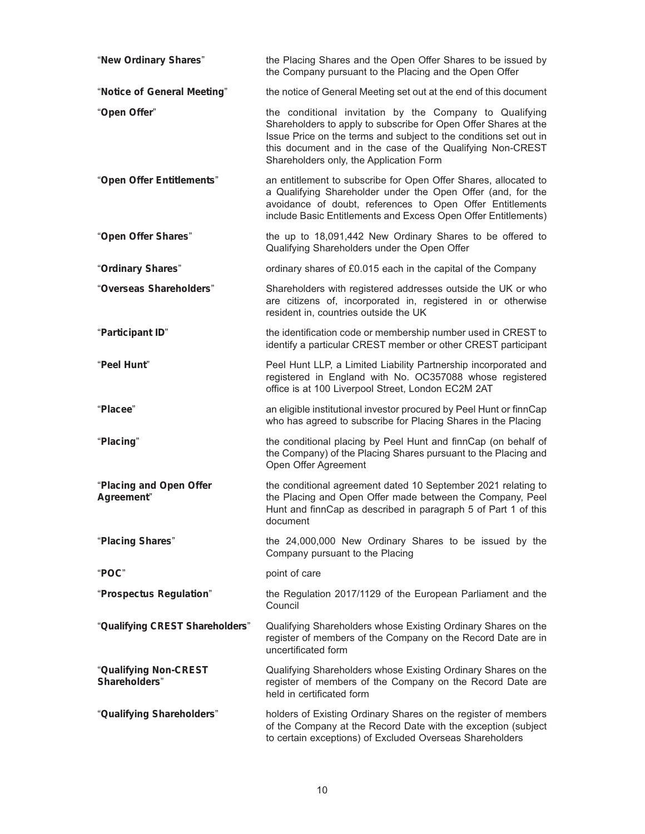| "New Ordinary Shares"                  | the Placing Shares and the Open Offer Shares to be issued by<br>the Company pursuant to the Placing and the Open Offer                                                                                                                                                                                  |
|----------------------------------------|---------------------------------------------------------------------------------------------------------------------------------------------------------------------------------------------------------------------------------------------------------------------------------------------------------|
| "Notice of General Meeting"            | the notice of General Meeting set out at the end of this document                                                                                                                                                                                                                                       |
| "Open Offer"                           | the conditional invitation by the Company to Qualifying<br>Shareholders to apply to subscribe for Open Offer Shares at the<br>Issue Price on the terms and subject to the conditions set out in<br>this document and in the case of the Qualifying Non-CREST<br>Shareholders only, the Application Form |
| "Open Offer Entitlements"              | an entitlement to subscribe for Open Offer Shares, allocated to<br>a Qualifying Shareholder under the Open Offer (and, for the<br>avoidance of doubt, references to Open Offer Entitlements<br>include Basic Entitlements and Excess Open Offer Entitlements)                                           |
| "Open Offer Shares"                    | the up to 18,091,442 New Ordinary Shares to be offered to<br>Qualifying Shareholders under the Open Offer                                                                                                                                                                                               |
| "Ordinary Shares"                      | ordinary shares of £0.015 each in the capital of the Company                                                                                                                                                                                                                                            |
| "Overseas Shareholders"                | Shareholders with registered addresses outside the UK or who<br>are citizens of, incorporated in, registered in or otherwise<br>resident in, countries outside the UK                                                                                                                                   |
| "Participant ID"                       | the identification code or membership number used in CREST to<br>identify a particular CREST member or other CREST participant                                                                                                                                                                          |
| "Peel Hunt"                            | Peel Hunt LLP, a Limited Liability Partnership incorporated and<br>registered in England with No. OC357088 whose registered<br>office is at 100 Liverpool Street, London EC2M 2AT                                                                                                                       |
| "Placee"                               | an eligible institutional investor procured by Peel Hunt or finnCap<br>who has agreed to subscribe for Placing Shares in the Placing                                                                                                                                                                    |
| "Placing"                              | the conditional placing by Peel Hunt and finnCap (on behalf of<br>the Company) of the Placing Shares pursuant to the Placing and<br>Open Offer Agreement                                                                                                                                                |
| "Placing and Open Offer<br>Agreement"  | the conditional agreement dated 10 September 2021 relating to<br>the Placing and Open Offer made between the Company, Peel<br>Hunt and finnCap as described in paragraph 5 of Part 1 of this<br>document                                                                                                |
| "Placing Shares"                       | the 24,000,000 New Ordinary Shares to be issued by the<br>Company pursuant to the Placing                                                                                                                                                                                                               |
| "POC"                                  | point of care                                                                                                                                                                                                                                                                                           |
| "Prospectus Regulation"                | the Regulation 2017/1129 of the European Parliament and the<br>Council                                                                                                                                                                                                                                  |
| "Qualifying CREST Shareholders"        | Qualifying Shareholders whose Existing Ordinary Shares on the<br>register of members of the Company on the Record Date are in<br>uncertificated form                                                                                                                                                    |
| "Qualifying Non-CREST<br>Shareholders" | Qualifying Shareholders whose Existing Ordinary Shares on the<br>register of members of the Company on the Record Date are<br>held in certificated form                                                                                                                                                 |
| "Qualifying Shareholders"              | holders of Existing Ordinary Shares on the register of members<br>of the Company at the Record Date with the exception (subject<br>to certain exceptions) of Excluded Overseas Shareholders                                                                                                             |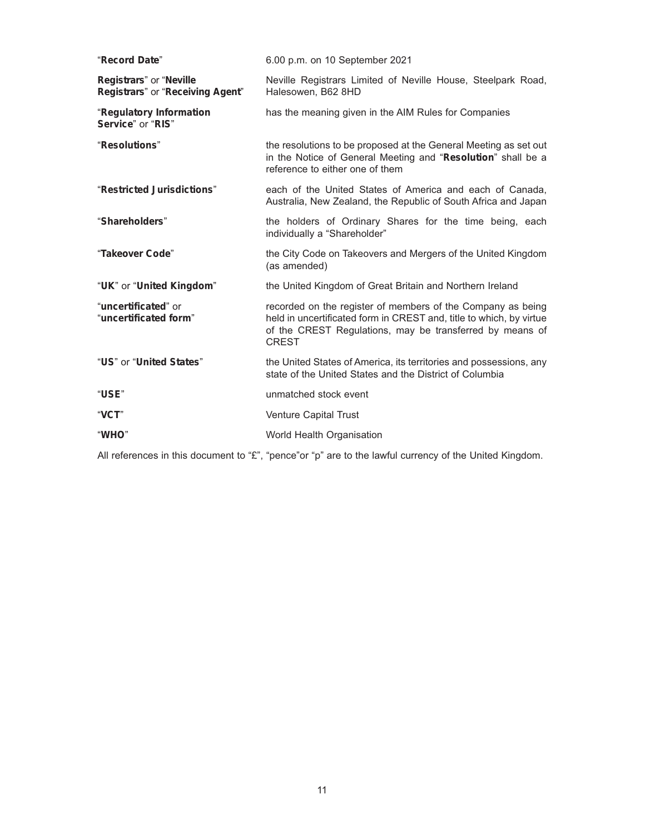| "Record Date"                                               | 6.00 p.m. on 10 September 2021                                                                                                                                                                                 |
|-------------------------------------------------------------|----------------------------------------------------------------------------------------------------------------------------------------------------------------------------------------------------------------|
| Registrars" or "Neville<br>Registrars" or "Receiving Agent" | Neville Registrars Limited of Neville House, Steelpark Road,<br>Halesowen, B62 8HD                                                                                                                             |
| "Regulatory Information<br>Service" or "RIS"                | has the meaning given in the AIM Rules for Companies                                                                                                                                                           |
| "Resolutions"                                               | the resolutions to be proposed at the General Meeting as set out<br>in the Notice of General Meeting and "Resolution" shall be a<br>reference to either one of them                                            |
| "Restricted Jurisdictions"                                  | each of the United States of America and each of Canada,<br>Australia, New Zealand, the Republic of South Africa and Japan                                                                                     |
| "Shareholders"                                              | the holders of Ordinary Shares for the time being, each<br>individually a "Shareholder"                                                                                                                        |
| "Takeover Code"                                             | the City Code on Takeovers and Mergers of the United Kingdom<br>(as amended)                                                                                                                                   |
| "UK" or "United Kingdom"                                    | the United Kingdom of Great Britain and Northern Ireland                                                                                                                                                       |
| "uncertificated" or<br>"uncertificated form"                | recorded on the register of members of the Company as being<br>held in uncertificated form in CREST and, title to which, by virtue<br>of the CREST Regulations, may be transferred by means of<br><b>CREST</b> |
| "US" or "United States"                                     | the United States of America, its territories and possessions, any<br>state of the United States and the District of Columbia                                                                                  |
| "USE"                                                       | unmatched stock event                                                                                                                                                                                          |
| "VCT"                                                       | <b>Venture Capital Trust</b>                                                                                                                                                                                   |
| "WHO"                                                       | World Health Organisation                                                                                                                                                                                      |

All references in this document to "£", "pence"or "p" are to the lawful currency of the United Kingdom.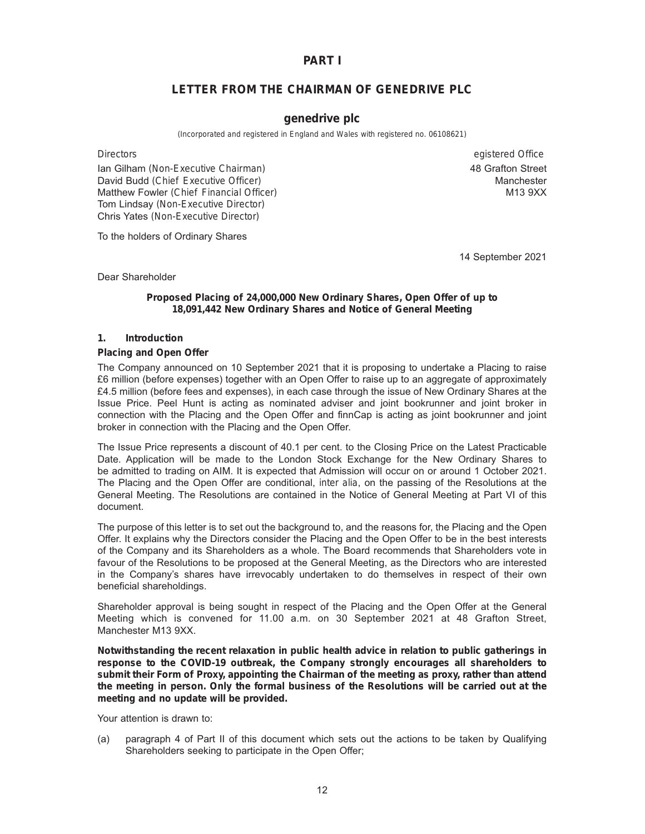# **PART I**

# **LETTER FROM THE CHAIRMAN OF GENEDRIVE PLC**

## **genedrive plc**

*(Incorporated and registered in England and Wales with registered no. 06108621)*

Ian Gilham *(Non-Executive Chairman)* 48 Grafton Street David Budd *(Chief Executive Officer)* Manchester **Matthew Fowler (Chief Financial Officer)** Tom Lindsay *(Non-Executive Director)* Chris Yates *(Non-Executive Director)*

*Directors egistered Office*

To the holders of Ordinary Shares

14 September 2021

Dear Shareholder

#### **Proposed Placing of 24,000,000 New Ordinary Shares, Open Offer of up to 18,091,442 New Ordinary Shares and Notice of General Meeting**

## **1. Introduction**

#### *Placing and Open Offer*

The Company announced on 10 September 2021 that it is proposing to undertake a Placing to raise £6 million (before expenses) together with an Open Offer to raise up to an aggregate of approximately £4.5 million (before fees and expenses), in each case through the issue of New Ordinary Shares at the Issue Price. Peel Hunt is acting as nominated adviser and joint bookrunner and joint broker in connection with the Placing and the Open Offer and finnCap is acting as joint bookrunner and joint broker in connection with the Placing and the Open Offer.

The Issue Price represents a discount of 40.1 per cent. to the Closing Price on the Latest Practicable Date. Application will be made to the London Stock Exchange for the New Ordinary Shares to be admitted to trading on AIM. It is expected that Admission will occur on or around 1 October 2021. The Placing and the Open Offer are conditional, *inter alia*, on the passing of the Resolutions at the General Meeting. The Resolutions are contained in the Notice of General Meeting at Part VI of this document.

The purpose of this letter is to set out the background to, and the reasons for, the Placing and the Open Offer. It explains why the Directors consider the Placing and the Open Offer to be in the best interests of the Company and its Shareholders as a whole. The Board recommends that Shareholders vote in favour of the Resolutions to be proposed at the General Meeting, as the Directors who are interested in the Company's shares have irrevocably undertaken to do themselves in respect of their own beneficial shareholdings.

Shareholder approval is being sought in respect of the Placing and the Open Offer at the General Meeting which is convened for 11.00 a.m. on 30 September 2021 at 48 Grafton Street, Manchester M13 9XX.

**Notwithstanding the recent relaxation in public health advice in relation to public gatherings in response to the COVID-19 outbreak, the Company strongly encourages all shareholders to submit their Form of Proxy, appointing the Chairman of the meeting as proxy, rather than attend the meeting in person. Only the formal business of the Resolutions will be carried out at the meeting and no update will be provided.**

Your attention is drawn to:

(a) paragraph 4 of Part II of this document which sets out the actions to be taken by Qualifying Shareholders seeking to participate in the Open Offer;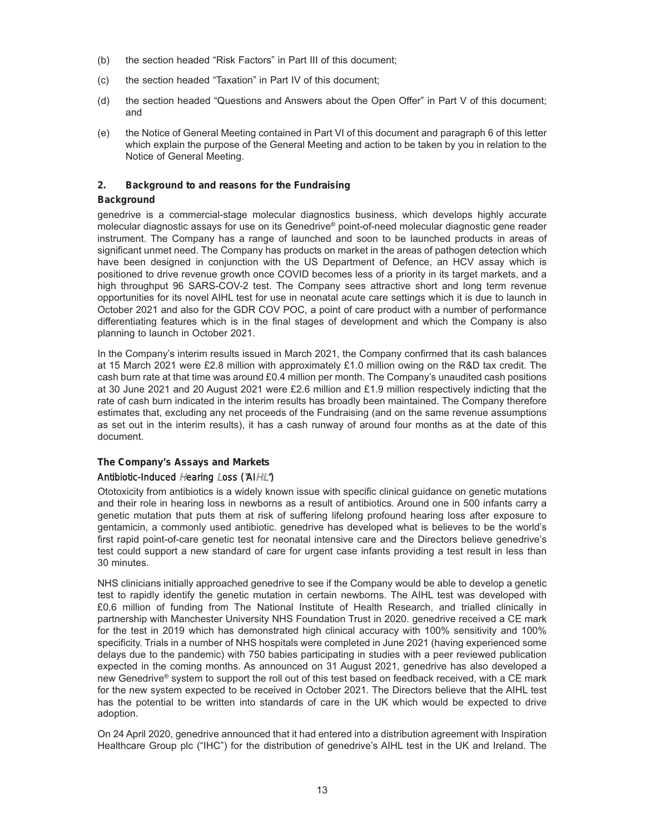- (b) the section headed "Risk Factors" in Part III of this document;
- (c) the section headed "Taxation" in Part IV of this document;
- (d) the section headed "Questions and Answers about the Open Offer" in Part V of this document; and
- (e) the Notice of General Meeting contained in Part VI of this document and paragraph 6 of this letter which explain the purpose of the General Meeting and action to be taken by you in relation to the Notice of General Meeting.

#### **2. Background to and reasons for the Fundraising**

#### *Background*

genedrive is a commercial-stage molecular diagnostics business, which develops highly accurate molecular diagnostic assays for use on its Genedrive® point-of-need molecular diagnostic gene reader instrument. The Company has a range of launched and soon to be launched products in areas of significant unmet need. The Company has products on market in the areas of pathogen detection which have been designed in conjunction with the US Department of Defence, an HCV assay which is positioned to drive revenue growth once COVID becomes less of a priority in its target markets, and a high throughput 96 SARS-COV-2 test. The Company sees attractive short and long term revenue opportunities for its novel AIHL test for use in neonatal acute care settings which it is due to launch in October 2021 and also for the GDR COV POC, a point of care product with a number of performance differentiating features which is in the final stages of development and which the Company is also planning to launch in October 2021.

In the Company's interim results issued in March 2021, the Company confirmed that its cash balances at 15 March 2021 were £2.8 million with approximately £1.0 million owing on the R&D tax credit. The cash burn rate at that time was around £0.4 million per month. The Company's unaudited cash positions at 30 June 2021 and 20 August 2021 were £2.6 million and £1.9 million respectively indicting that the rate of cash burn indicated in the interim results has broadly been maintained. The Company therefore estimates that, excluding any net proceeds of the Fundraising (and on the same revenue assumptions as set out in the interim results), it has a cash runway of around four months as at the date of this document.

#### *The Company's Assays and Markets*

## *Antibiotic-Induced Hearing Loss ("AIHL")*

Ototoxicity from antibiotics is a widely known issue with specific clinical guidance on genetic mutations and their role in hearing loss in newborns as a result of antibiotics. Around one in 500 infants carry a genetic mutation that puts them at risk of suffering lifelong profound hearing loss after exposure to gentamicin, a commonly used antibiotic. genedrive has developed what is believes to be the world's first rapid point-of-care genetic test for neonatal intensive care and the Directors believe genedrive's test could support a new standard of care for urgent case infants providing a test result in less than 30 minutes.

NHS clinicians initially approached genedrive to see if the Company would be able to develop a genetic test to rapidly identify the genetic mutation in certain newborns. The AIHL test was developed with £0.6 million of funding from The National Institute of Health Research, and trialled clinically in partnership with Manchester University NHS Foundation Trust in 2020. genedrive received a CE mark for the test in 2019 which has demonstrated high clinical accuracy with 100% sensitivity and 100% specificity. Trials in a number of NHS hospitals were completed in June 2021 (having experienced some delays due to the pandemic) with 750 babies participating in studies with a peer reviewed publication expected in the coming months. As announced on 31 August 2021, genedrive has also developed a new Genedrive® system to support the roll out of this test based on feedback received, with a CE mark for the new system expected to be received in October 2021. The Directors believe that the AIHL test has the potential to be written into standards of care in the UK which would be expected to drive adoption.

On 24 April 2020, genedrive announced that it had entered into a distribution agreement with Inspiration Healthcare Group plc ("IHC") for the distribution of genedrive's AIHL test in the UK and Ireland. The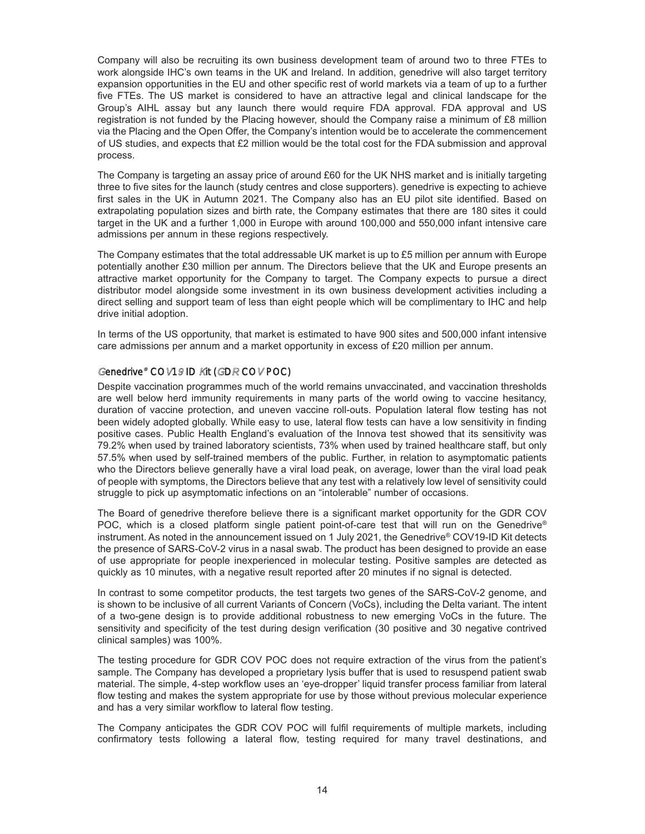Company will also be recruiting its own business development team of around two to three FTEs to work alongside IHC's own teams in the UK and Ireland. In addition, genedrive will also target territory expansion opportunities in the EU and other specific rest of world markets via a team of up to a further five FTEs. The US market is considered to have an attractive legal and clinical landscape for the Group's AIHL assay but any launch there would require FDA approval. FDA approval and US registration is not funded by the Placing however, should the Company raise a minimum of £8 million via the Placing and the Open Offer, the Company's intention would be to accelerate the commencement of US studies, and expects that £2 million would be the total cost for the FDA submission and approval process.

The Company is targeting an assay price of around £60 for the UK NHS market and is initially targeting three to five sites for the launch (study centres and close supporters). genedrive is expecting to achieve first sales in the UK in Autumn 2021. The Company also has an EU pilot site identified. Based on extrapolating population sizes and birth rate, the Company estimates that there are 180 sites it could target in the UK and a further 1,000 in Europe with around 100,000 and 550,000 infant intensive care admissions per annum in these regions respectively.

The Company estimates that the total addressable UK market is up to £5 million per annum with Europe potentially another £30 million per annum. The Directors believe that the UK and Europe presents an attractive market opportunity for the Company to target. The Company expects to pursue a direct distributor model alongside some investment in its own business development activities including a direct selling and support team of less than eight people which will be complimentary to IHC and help drive initial adoption.

In terms of the US opportunity, that market is estimated to have 900 sites and 500,000 infant intensive care admissions per annum and a market opportunity in excess of £20 million per annum.

## *Genedrive® COV19ID Kit (GDR COV POC)*

Despite vaccination programmes much of the world remains unvaccinated, and vaccination thresholds are well below herd immunity requirements in many parts of the world owing to vaccine hesitancy, duration of vaccine protection, and uneven vaccine roll-outs. Population lateral flow testing has not been widely adopted globally. While easy to use, lateral flow tests can have a low sensitivity in finding positive cases. Public Health England's evaluation of the Innova test showed that its sensitivity was 79.2% when used by trained laboratory scientists, 73% when used by trained healthcare staff, but only 57.5% when used by self-trained members of the public. Further, in relation to asymptomatic patients who the Directors believe generally have a viral load peak, on average, lower than the viral load peak of people with symptoms, the Directors believe that any test with a relatively low level of sensitivity could struggle to pick up asymptomatic infections on an "intolerable" number of occasions.

The Board of genedrive therefore believe there is a significant market opportunity for the GDR COV POC, which is a closed platform single patient point-of-care test that will run on the Genedrive® instrument. As noted in the announcement issued on 1 July 2021, the Genedrive® COV19-ID Kit detects the presence of SARS-CoV-2 virus in a nasal swab. The product has been designed to provide an ease of use appropriate for people inexperienced in molecular testing. Positive samples are detected as quickly as 10 minutes, with a negative result reported after 20 minutes if no signal is detected.

In contrast to some competitor products, the test targets two genes of the SARS-CoV-2 genome, and is shown to be inclusive of all current Variants of Concern (VoCs), including the Delta variant. The intent of a two-gene design is to provide additional robustness to new emerging VoCs in the future. The sensitivity and specificity of the test during design verification (30 positive and 30 negative contrived clinical samples) was 100%.

The testing procedure for GDR COV POC does not require extraction of the virus from the patient's sample. The Company has developed a proprietary lysis buffer that is used to resuspend patient swab material. The simple, 4-step workflow uses an 'eye-dropper' liquid transfer process familiar from lateral flow testing and makes the system appropriate for use by those without previous molecular experience and has a very similar workflow to lateral flow testing.

The Company anticipates the GDR COV POC will fulfil requirements of multiple markets, including confirmatory tests following a lateral flow, testing required for many travel destinations, and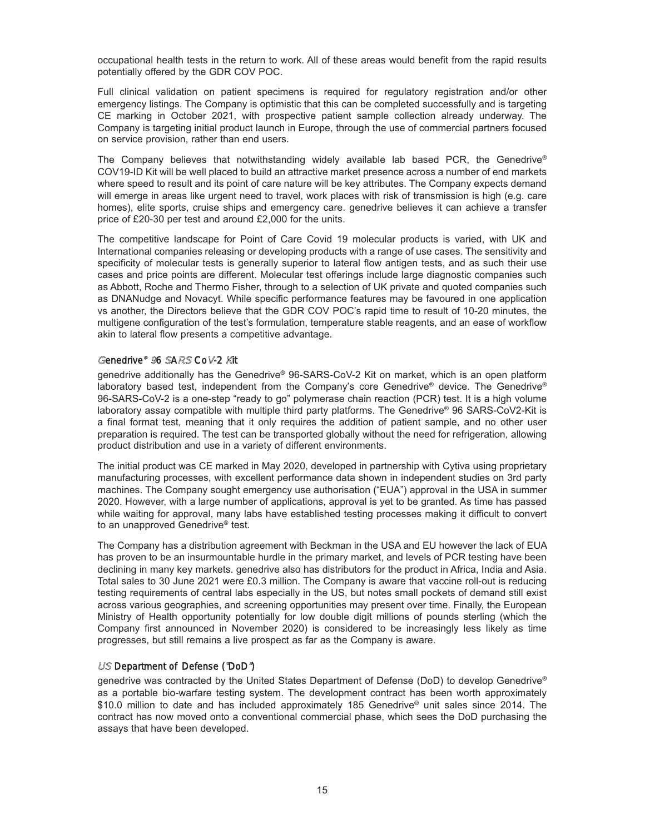occupational health tests in the return to work. All of these areas would benefit from the rapid results potentially offered by the GDR COV POC.

Full clinical validation on patient specimens is required for regulatory registration and/or other emergency listings. The Company is optimistic that this can be completed successfully and is targeting CE marking in October 2021, with prospective patient sample collection already underway. The Company is targeting initial product launch in Europe, through the use of commercial partners focused on service provision, rather than end users.

The Company believes that notwithstanding widely available lab based PCR, the Genedrive® COV19-ID Kit will be well placed to build an attractive market presence across a number of end markets where speed to result and its point of care nature will be key attributes. The Company expects demand will emerge in areas like urgent need to travel, work places with risk of transmission is high (e.g. care homes), elite sports, cruise ships and emergency care. genedrive believes it can achieve a transfer price of £20-30 per test and around £2,000 for the units.

The competitive landscape for Point of Care Covid 19 molecular products is varied, with UK and International companies releasing or developing products with a range of use cases. The sensitivity and specificity of molecular tests is generally superior to lateral flow antigen tests, and as such their use cases and price points are different. Molecular test offerings include large diagnostic companies such as Abbott, Roche and Thermo Fisher, through to a selection of UK private and quoted companies such as DNANudge and Novacyt. While specific performance features may be favoured in one application vs another, the Directors believe that the GDR COV POC's rapid time to result of 10-20 minutes, the multigene configuration of the test's formulation, temperature stable reagents, and an ease of workflow akin to lateral flow presents a competitive advantage.

## *Genedrive<sup>®</sup> 96 SARS CoV-2 Kit*

genedrive additionally has the Genedrive® 96-SARS-CoV-2 Kit on market, which is an open platform laboratory based test, independent from the Company's core Genedrive® device. The Genedrive® 96-SARS-CoV-2 is a one-step "ready to go" polymerase chain reaction (PCR) test. It is a high volume laboratory assay compatible with multiple third party platforms. The Genedrive® 96 SARS-CoV2-Kit is a final format test, meaning that it only requires the addition of patient sample, and no other user preparation is required. The test can be transported globally without the need for refrigeration, allowing product distribution and use in a variety of different environments.

The initial product was CE marked in May 2020, developed in partnership with Cytiva using proprietary manufacturing processes, with excellent performance data shown in independent studies on 3rd party machines. The Company sought emergency use authorisation ("EUA") approval in the USA in summer 2020. However, with a large number of applications, approval is yet to be granted. As time has passed while waiting for approval, many labs have established testing processes making it difficult to convert to an unapproved Genedrive® test.

The Company has a distribution agreement with Beckman in the USA and EU however the lack of EUA has proven to be an insurmountable hurdle in the primary market, and levels of PCR testing have been declining in many key markets. genedrive also has distributors for the product in Africa, India and Asia. Total sales to 30 June 2021 were £0.3 million. The Company is aware that vaccine roll-out is reducing testing requirements of central labs especially in the US, but notes small pockets of demand still exist across various geographies, and screening opportunities may present over time. Finally, the European Ministry of Health opportunity potentially for low double digit millions of pounds sterling (which the Company first announced in November 2020) is considered to be increasingly less likely as time progresses, but still remains a live prospect as far as the Company is aware.

## *Department of Defense ( DoD )*

genedrive was contracted by the United States Department of Defense (DoD) to develop Genedrive® as a portable bio-warfare testing system. The development contract has been worth approximately \$10.0 million to date and has included approximately 185 Genedrive® unit sales since 2014. The contract has now moved onto a conventional commercial phase, which sees the DoD purchasing the assays that have been developed.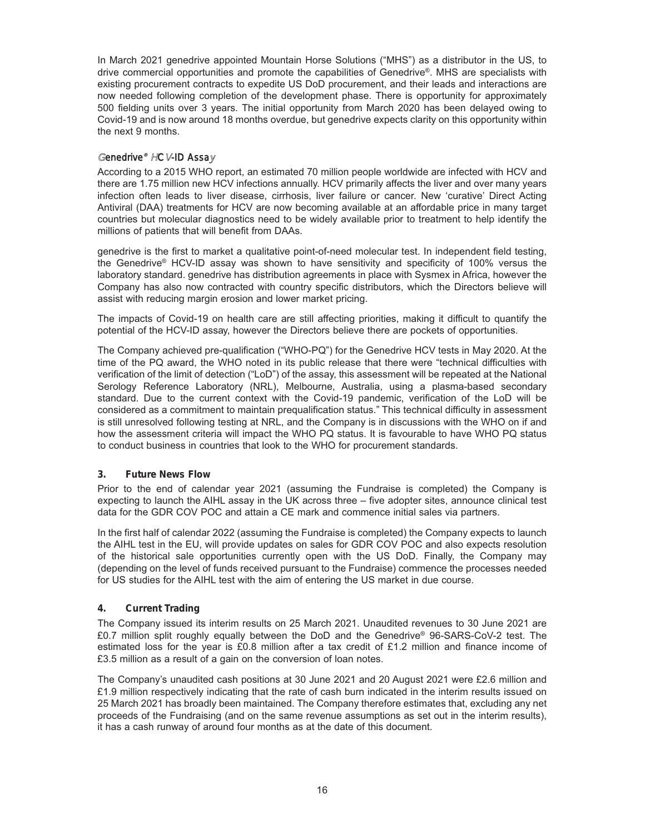In March 2021 genedrive appointed Mountain Horse Solutions ("MHS") as a distributor in the US, to drive commercial opportunities and promote the capabilities of Genedrive®. MHS are specialists with existing procurement contracts to expedite US DoD procurement, and their leads and interactions are now needed following completion of the development phase. There is opportunity for approximately 500 fielding units over 3 years. The initial opportunity from March 2020 has been delayed owing to Covid-19 and is now around 18 months overdue, but genedrive expects clarity on this opportunity within the next 9 months.

## *Genedrive<sup>®</sup> HCV-ID Assay*

According to a 2015 WHO report, an estimated 70 million people worldwide are infected with HCV and there are 1.75 million new HCV infections annually. HCV primarily affects the liver and over many years infection often leads to liver disease, cirrhosis, liver failure or cancer. New 'curative' Direct Acting Antiviral (DAA) treatments for HCV are now becoming available at an affordable price in many target countries but molecular diagnostics need to be widely available prior to treatment to help identify the millions of patients that will benefit from DAAs.

genedrive is the first to market a qualitative point-of-need molecular test. In independent field testing, the Genedrive® HCV-ID assay was shown to have sensitivity and specificity of 100% versus the laboratory standard. genedrive has distribution agreements in place with Sysmex in Africa, however the Company has also now contracted with country specific distributors, which the Directors believe will assist with reducing margin erosion and lower market pricing.

The impacts of Covid-19 on health care are still affecting priorities, making it difficult to quantify the potential of the HCV-ID assay, however the Directors believe there are pockets of opportunities.

The Company achieved pre-qualification ("WHO-PQ") for the Genedrive HCV tests in May 2020. At the time of the PQ award, the WHO noted in its public release that there were "technical difficulties with verification of the limit of detection ("LoD") of the assay, this assessment will be repeated at the National Serology Reference Laboratory (NRL), Melbourne, Australia, using a plasma-based secondary standard. Due to the current context with the Covid-19 pandemic, verification of the LoD will be considered as a commitment to maintain prequalification status." This technical difficulty in assessment is still unresolved following testing at NRL, and the Company is in discussions with the WHO on if and how the assessment criteria will impact the WHO PQ status. It is favourable to have WHO PQ status to conduct business in countries that look to the WHO for procurement standards.

## **3. Future News Flow**

Prior to the end of calendar year 2021 (assuming the Fundraise is completed) the Company is expecting to launch the AIHL assay in the UK across three – five adopter sites, announce clinical test data for the GDR COV POC and attain a CE mark and commence initial sales via partners.

In the first half of calendar 2022 (assuming the Fundraise is completed) the Company expects to launch the AIHL test in the EU, will provide updates on sales for GDR COV POC and also expects resolution of the historical sale opportunities currently open with the US DoD. Finally, the Company may (depending on the level of funds received pursuant to the Fundraise) commence the processes needed for US studies for the AIHL test with the aim of entering the US market in due course.

## **4. Current Trading**

The Company issued its interim results on 25 March 2021. Unaudited revenues to 30 June 2021 are £0.7 million split roughly equally between the DoD and the Genedrive® 96-SARS-CoV-2 test. The estimated loss for the year is £0.8 million after a tax credit of £1.2 million and finance income of £3.5 million as a result of a gain on the conversion of loan notes.

The Company's unaudited cash positions at 30 June 2021 and 20 August 2021 were £2.6 million and £1.9 million respectively indicating that the rate of cash burn indicated in the interim results issued on 25 March 2021 has broadly been maintained. The Company therefore estimates that, excluding any net proceeds of the Fundraising (and on the same revenue assumptions as set out in the interim results), it has a cash runway of around four months as at the date of this document.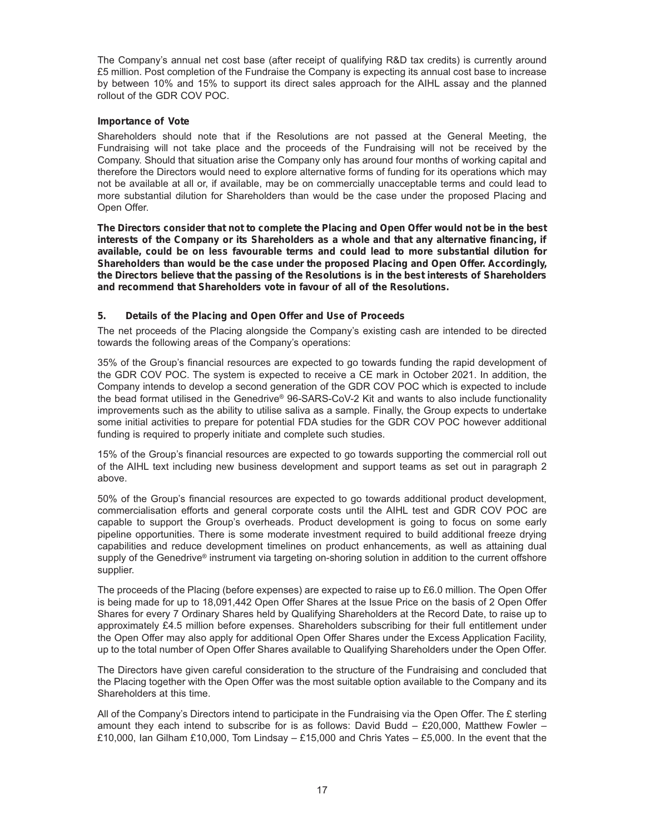The Company's annual net cost base (after receipt of qualifying R&D tax credits) is currently around £5 million. Post completion of the Fundraise the Company is expecting its annual cost base to increase by between 10% and 15% to support its direct sales approach for the AIHL assay and the planned rollout of the GDR COV POC.

#### *Importance of Vote*

Shareholders should note that if the Resolutions are not passed at the General Meeting, the Fundraising will not take place and the proceeds of the Fundraising will not be received by the Company. Should that situation arise the Company only has around four months of working capital and therefore the Directors would need to explore alternative forms of funding for its operations which may not be available at all or, if available, may be on commercially unacceptable terms and could lead to more substantial dilution for Shareholders than would be the case under the proposed Placing and Open Offer.

**The Directors consider that not to complete the Placing and Open Offer would not be in the best interests of the Company or its Shareholders as a whole and that any alternative financing, if available, could be on less favourable terms and could lead to more substantial dilution for Shareholders than would be the case under the proposed Placing and Open Offer. Accordingly, the Directors believe that the passing of the Resolutions is in the best interests of Shareholders and recommend that Shareholders vote in favour of all of the Resolutions.**

## **5. Details of the Placing and Open Offer and Use of Proceeds**

The net proceeds of the Placing alongside the Company's existing cash are intended to be directed towards the following areas of the Company's operations:

35% of the Group's financial resources are expected to go towards funding the rapid development of the GDR COV POC. The system is expected to receive a CE mark in October 2021. In addition, the Company intends to develop a second generation of the GDR COV POC which is expected to include the bead format utilised in the Genedrive® 96-SARS-CoV-2 Kit and wants to also include functionality improvements such as the ability to utilise saliva as a sample. Finally, the Group expects to undertake some initial activities to prepare for potential FDA studies for the GDR COV POC however additional funding is required to properly initiate and complete such studies.

15% of the Group's financial resources are expected to go towards supporting the commercial roll out of the AIHL text including new business development and support teams as set out in paragraph 2 above.

50% of the Group's financial resources are expected to go towards additional product development, commercialisation efforts and general corporate costs until the AIHL test and GDR COV POC are capable to support the Group's overheads. Product development is going to focus on some early pipeline opportunities. There is some moderate investment required to build additional freeze drying capabilities and reduce development timelines on product enhancements, as well as attaining dual supply of the Genedrive<sup>®</sup> instrument via targeting on-shoring solution in addition to the current offshore supplier.

The proceeds of the Placing (before expenses) are expected to raise up to £6.0 million. The Open Offer is being made for up to 18,091,442 Open Offer Shares at the Issue Price on the basis of 2 Open Offer Shares for every 7 Ordinary Shares held by Qualifying Shareholders at the Record Date, to raise up to approximately £4.5 million before expenses. Shareholders subscribing for their full entitlement under the Open Offer may also apply for additional Open Offer Shares under the Excess Application Facility, up to the total number of Open Offer Shares available to Qualifying Shareholders under the Open Offer.

The Directors have given careful consideration to the structure of the Fundraising and concluded that the Placing together with the Open Offer was the most suitable option available to the Company and its Shareholders at this time.

All of the Company's Directors intend to participate in the Fundraising via the Open Offer. The  $E$  sterling amount they each intend to subscribe for is as follows: David Budd  $-$  £20,000, Matthew Fowler  $-$ £10,000, Ian Gilham £10,000, Tom Lindsay – £15,000 and Chris Yates – £5,000. In the event that the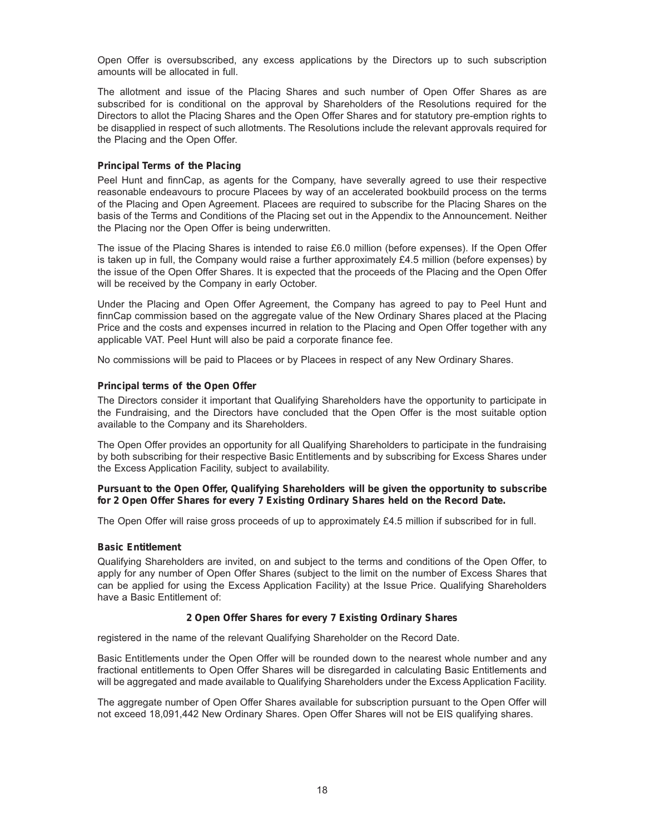Open Offer is oversubscribed, any excess applications by the Directors up to such subscription amounts will be allocated in full.

The allotment and issue of the Placing Shares and such number of Open Offer Shares as are subscribed for is conditional on the approval by Shareholders of the Resolutions required for the Directors to allot the Placing Shares and the Open Offer Shares and for statutory pre-emption rights to be disapplied in respect of such allotments. The Resolutions include the relevant approvals required for the Placing and the Open Offer.

#### *Principal Terms of the Placing*

Peel Hunt and finnCap, as agents for the Company, have severally agreed to use their respective reasonable endeavours to procure Placees by way of an accelerated bookbuild process on the terms of the Placing and Open Agreement. Placees are required to subscribe for the Placing Shares on the basis of the Terms and Conditions of the Placing set out in the Appendix to the Announcement. Neither the Placing nor the Open Offer is being underwritten.

The issue of the Placing Shares is intended to raise £6.0 million (before expenses). If the Open Offer is taken up in full, the Company would raise a further approximately £4.5 million (before expenses) by the issue of the Open Offer Shares. It is expected that the proceeds of the Placing and the Open Offer will be received by the Company in early October.

Under the Placing and Open Offer Agreement, the Company has agreed to pay to Peel Hunt and finnCap commission based on the aggregate value of the New Ordinary Shares placed at the Placing Price and the costs and expenses incurred in relation to the Placing and Open Offer together with any applicable VAT. Peel Hunt will also be paid a corporate finance fee.

No commissions will be paid to Placees or by Placees in respect of any New Ordinary Shares.

#### *Principal terms of the Open Offer*

The Directors consider it important that Qualifying Shareholders have the opportunity to participate in the Fundraising, and the Directors have concluded that the Open Offer is the most suitable option available to the Company and its Shareholders.

The Open Offer provides an opportunity for all Qualifying Shareholders to participate in the fundraising by both subscribing for their respective Basic Entitlements and by subscribing for Excess Shares under the Excess Application Facility, subject to availability.

**Pursuant to the Open Offer, Qualifying Shareholders will be given the opportunity to subscribe for 2 Open Offer Shares for every 7 Existing Ordinary Shares held on the Record Date.**

The Open Offer will raise gross proceeds of up to approximately £4.5 million if subscribed for in full.

#### *Basic Entitlement*

Qualifying Shareholders are invited, on and subject to the terms and conditions of the Open Offer, to apply for any number of Open Offer Shares (subject to the limit on the number of Excess Shares that can be applied for using the Excess Application Facility) at the Issue Price. Qualifying Shareholders have a Basic Entitlement of:

#### **2 Open Offer Shares for every 7 Existing Ordinary Shares**

registered in the name of the relevant Qualifying Shareholder on the Record Date.

Basic Entitlements under the Open Offer will be rounded down to the nearest whole number and any fractional entitlements to Open Offer Shares will be disregarded in calculating Basic Entitlements and will be aggregated and made available to Qualifying Shareholders under the Excess Application Facility.

The aggregate number of Open Offer Shares available for subscription pursuant to the Open Offer will not exceed 18,091,442 New Ordinary Shares. Open Offer Shares will not be EIS qualifying shares.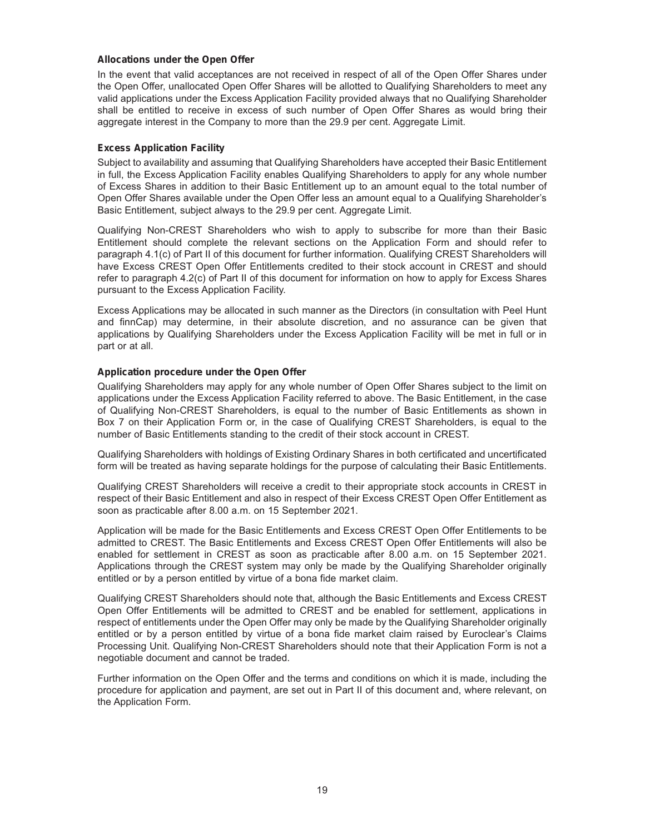#### *Allocations under the Open Offer*

In the event that valid acceptances are not received in respect of all of the Open Offer Shares under the Open Offer, unallocated Open Offer Shares will be allotted to Qualifying Shareholders to meet any valid applications under the Excess Application Facility provided always that no Qualifying Shareholder shall be entitled to receive in excess of such number of Open Offer Shares as would bring their aggregate interest in the Company to more than the 29.9 per cent. Aggregate Limit.

#### *Excess Application Facility*

Subject to availability and assuming that Qualifying Shareholders have accepted their Basic Entitlement in full, the Excess Application Facility enables Qualifying Shareholders to apply for any whole number of Excess Shares in addition to their Basic Entitlement up to an amount equal to the total number of Open Offer Shares available under the Open Offer less an amount equal to a Qualifying Shareholder's Basic Entitlement, subject always to the 29.9 per cent. Aggregate Limit.

Qualifying Non-CREST Shareholders who wish to apply to subscribe for more than their Basic Entitlement should complete the relevant sections on the Application Form and should refer to paragraph 4.1(c) of Part II of this document for further information. Qualifying CREST Shareholders will have Excess CREST Open Offer Entitlements credited to their stock account in CREST and should refer to paragraph 4.2(c) of Part II of this document for information on how to apply for Excess Shares pursuant to the Excess Application Facility.

Excess Applications may be allocated in such manner as the Directors (in consultation with Peel Hunt and finnCap) may determine, in their absolute discretion, and no assurance can be given that applications by Qualifying Shareholders under the Excess Application Facility will be met in full or in part or at all.

#### *Application procedure under the Open Offer*

Qualifying Shareholders may apply for any whole number of Open Offer Shares subject to the limit on applications under the Excess Application Facility referred to above. The Basic Entitlement, in the case of Qualifying Non-CREST Shareholders, is equal to the number of Basic Entitlements as shown in Box 7 on their Application Form or, in the case of Qualifying CREST Shareholders, is equal to the number of Basic Entitlements standing to the credit of their stock account in CREST.

Qualifying Shareholders with holdings of Existing Ordinary Shares in both certificated and uncertificated form will be treated as having separate holdings for the purpose of calculating their Basic Entitlements.

Qualifying CREST Shareholders will receive a credit to their appropriate stock accounts in CREST in respect of their Basic Entitlement and also in respect of their Excess CREST Open Offer Entitlement as soon as practicable after 8.00 a.m. on 15 September 2021.

Application will be made for the Basic Entitlements and Excess CREST Open Offer Entitlements to be admitted to CREST. The Basic Entitlements and Excess CREST Open Offer Entitlements will also be enabled for settlement in CREST as soon as practicable after 8.00 a.m. on 15 September 2021. Applications through the CREST system may only be made by the Qualifying Shareholder originally entitled or by a person entitled by virtue of a bona fide market claim.

Qualifying CREST Shareholders should note that, although the Basic Entitlements and Excess CREST Open Offer Entitlements will be admitted to CREST and be enabled for settlement, applications in respect of entitlements under the Open Offer may only be made by the Qualifying Shareholder originally entitled or by a person entitled by virtue of a bona fide market claim raised by Euroclear's Claims Processing Unit. Qualifying Non-CREST Shareholders should note that their Application Form is not a negotiable document and cannot be traded.

Further information on the Open Offer and the terms and conditions on which it is made, including the procedure for application and payment, are set out in Part II of this document and, where relevant, on the Application Form.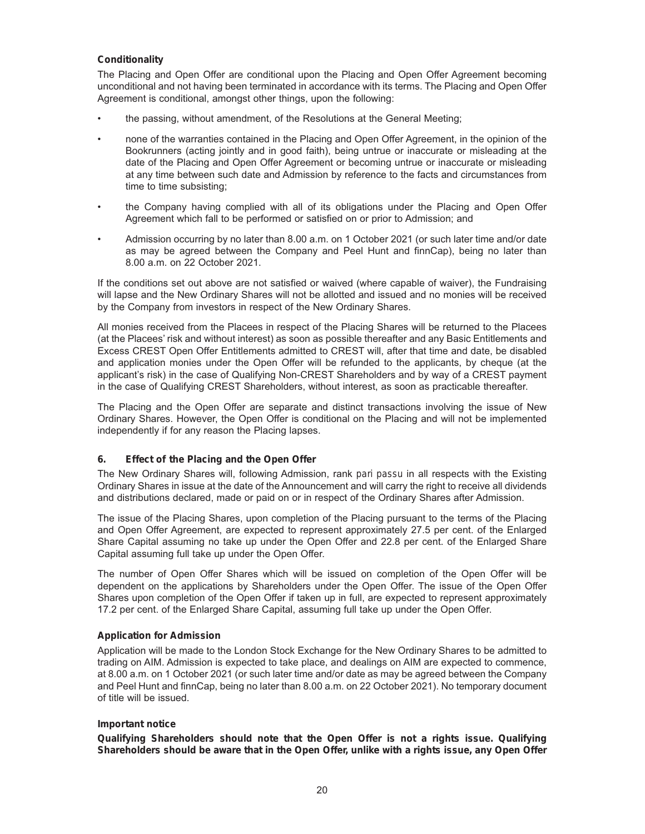#### *Conditionality*

The Placing and Open Offer are conditional upon the Placing and Open Offer Agreement becoming unconditional and not having been terminated in accordance with its terms. The Placing and Open Offer Agreement is conditional, amongst other things, upon the following:

- the passing, without amendment, of the Resolutions at the General Meeting;
- none of the warranties contained in the Placing and Open Offer Agreement, in the opinion of the Bookrunners (acting jointly and in good faith), being untrue or inaccurate or misleading at the date of the Placing and Open Offer Agreement or becoming untrue or inaccurate or misleading at any time between such date and Admission by reference to the facts and circumstances from time to time subsisting;
- the Company having complied with all of its obligations under the Placing and Open Offer Agreement which fall to be performed or satisfied on or prior to Admission; and
- Admission occurring by no later than 8.00 a.m. on 1 October 2021 (or such later time and/or date as may be agreed between the Company and Peel Hunt and finnCap), being no later than 8.00 a.m. on 22 October 2021.

If the conditions set out above are not satisfied or waived (where capable of waiver), the Fundraising will lapse and the New Ordinary Shares will not be allotted and issued and no monies will be received by the Company from investors in respect of the New Ordinary Shares.

All monies received from the Placees in respect of the Placing Shares will be returned to the Placees (at the Placees' risk and without interest) as soon as possible thereafter and any Basic Entitlements and Excess CREST Open Offer Entitlements admitted to CREST will, after that time and date, be disabled and application monies under the Open Offer will be refunded to the applicants, by cheque (at the applicant's risk) in the case of Qualifying Non-CREST Shareholders and by way of a CREST payment in the case of Qualifying CREST Shareholders, without interest, as soon as practicable thereafter.

The Placing and the Open Offer are separate and distinct transactions involving the issue of New Ordinary Shares. However, the Open Offer is conditional on the Placing and will not be implemented independently if for any reason the Placing lapses.

## **6. Effect of the Placing and the Open Offer**

The New Ordinary Shares will, following Admission, rank *pari passu* in all respects with the Existing Ordinary Shares in issue at the date of the Announcement and will carry the right to receive all dividends and distributions declared, made or paid on or in respect of the Ordinary Shares after Admission.

The issue of the Placing Shares, upon completion of the Placing pursuant to the terms of the Placing and Open Offer Agreement, are expected to represent approximately 27.5 per cent. of the Enlarged Share Capital assuming no take up under the Open Offer and 22.8 per cent. of the Enlarged Share Capital assuming full take up under the Open Offer.

The number of Open Offer Shares which will be issued on completion of the Open Offer will be dependent on the applications by Shareholders under the Open Offer. The issue of the Open Offer Shares upon completion of the Open Offer if taken up in full, are expected to represent approximately 17.2 per cent. of the Enlarged Share Capital, assuming full take up under the Open Offer.

#### *Application for Admission*

Application will be made to the London Stock Exchange for the New Ordinary Shares to be admitted to trading on AIM. Admission is expected to take place, and dealings on AIM are expected to commence, at 8.00 a.m. on 1 October 2021 (or such later time and/or date as may be agreed between the Company and Peel Hunt and finnCap, being no later than 8.00 a.m. on 22 October 2021). No temporary document of title will be issued.

## *Important notice*

*Qualifying Shareholders should note that the Open Offer is not a rights issue. Qualifying Shareholders should be aware that in the Open Offer, unlike with a rights issue, any Open Offer*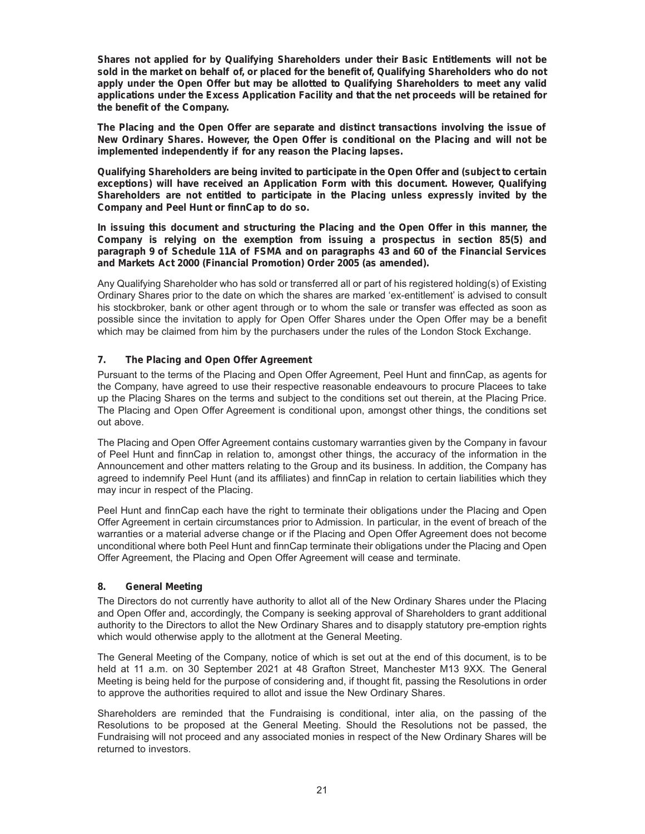*Shares not applied for by Qualifying Shareholders under their Basic Entitlements will not be sold in the market on behalf of, or placed for the benefit of, Qualifying Shareholders who do not apply under the Open Offer but may be allotted to Qualifying Shareholders to meet any valid applications under the Excess Application Facility and that the net proceeds will be retained for the benefit of the Company.*

*The Placing and the Open Offer are separate and distinct transactions involving the issue of New Ordinary Shares. However, the Open Offer is conditional on the Placing and will not be implemented independently if for any reason the Placing lapses.*

*Qualifying Shareholders are being invited to participate in the Open Offer and (subject to certain exceptions) will have received an Application Form with this document. However, Qualifying Shareholders are not entitled to participate in the Placing unless expressly invited by the Company and Peel Hunt or finnCap to do so.*

*In issuing this document and structuring the Placing and the Open Offer in this manner, the Company is relying on the exemption from issuing a prospectus in section 85(5) and paragraph 9 of Schedule 11A of FSMA and on paragraphs 43 and 60 of the Financial Services and Markets Act 2000 (Financial Promotion) Order 2005 (as amended).*

Any Qualifying Shareholder who has sold or transferred all or part of his registered holding(s) of Existing Ordinary Shares prior to the date on which the shares are marked 'ex-entitlement' is advised to consult his stockbroker, bank or other agent through or to whom the sale or transfer was effected as soon as possible since the invitation to apply for Open Offer Shares under the Open Offer may be a benefit which may be claimed from him by the purchasers under the rules of the London Stock Exchange.

## **7. The Placing and Open Offer Agreement**

Pursuant to the terms of the Placing and Open Offer Agreement, Peel Hunt and finnCap, as agents for the Company, have agreed to use their respective reasonable endeavours to procure Placees to take up the Placing Shares on the terms and subject to the conditions set out therein, at the Placing Price. The Placing and Open Offer Agreement is conditional upon, amongst other things, the conditions set out above.

The Placing and Open Offer Agreement contains customary warranties given by the Company in favour of Peel Hunt and finnCap in relation to, amongst other things, the accuracy of the information in the Announcement and other matters relating to the Group and its business. In addition, the Company has agreed to indemnify Peel Hunt (and its affiliates) and finnCap in relation to certain liabilities which they may incur in respect of the Placing.

Peel Hunt and finnCap each have the right to terminate their obligations under the Placing and Open Offer Agreement in certain circumstances prior to Admission. In particular, in the event of breach of the warranties or a material adverse change or if the Placing and Open Offer Agreement does not become unconditional where both Peel Hunt and finnCap terminate their obligations under the Placing and Open Offer Agreement, the Placing and Open Offer Agreement will cease and terminate.

#### **8. General Meeting**

The Directors do not currently have authority to allot all of the New Ordinary Shares under the Placing and Open Offer and, accordingly, the Company is seeking approval of Shareholders to grant additional authority to the Directors to allot the New Ordinary Shares and to disapply statutory pre-emption rights which would otherwise apply to the allotment at the General Meeting.

The General Meeting of the Company, notice of which is set out at the end of this document, is to be held at 11 a.m. on 30 September 2021 at 48 Grafton Street, Manchester M13 9XX. The General Meeting is being held for the purpose of considering and, if thought fit, passing the Resolutions in order to approve the authorities required to allot and issue the New Ordinary Shares.

Shareholders are reminded that the Fundraising is conditional, inter alia, on the passing of the Resolutions to be proposed at the General Meeting. Should the Resolutions not be passed, the Fundraising will not proceed and any associated monies in respect of the New Ordinary Shares will be returned to investors.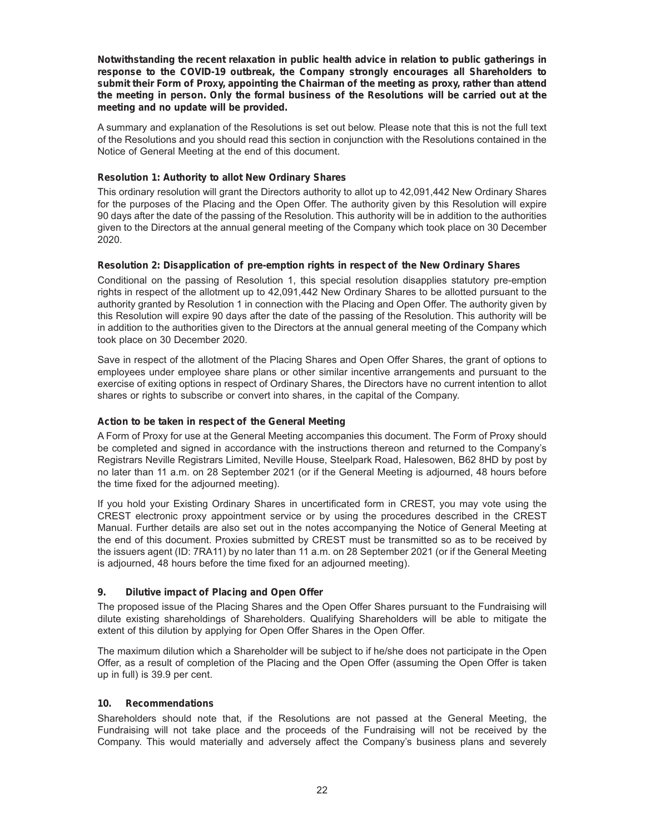**Notwithstanding the recent relaxation in public health advice in relation to public gatherings in response to the COVID-19 outbreak, the Company strongly encourages all Shareholders to submit their Form of Proxy, appointing the Chairman of the meeting as proxy, rather than attend the meeting in person. Only the formal business of the Resolutions will be carried out at the meeting and no update will be provided.**

A summary and explanation of the Resolutions is set out below. Please note that this is not the full text of the Resolutions and you should read this section in conjunction with the Resolutions contained in the Notice of General Meeting at the end of this document.

#### *Resolution 1: Authority to allot New Ordinary Shares*

This ordinary resolution will grant the Directors authority to allot up to 42,091,442 New Ordinary Shares for the purposes of the Placing and the Open Offer. The authority given by this Resolution will expire 90 days after the date of the passing of the Resolution. This authority will be in addition to the authorities given to the Directors at the annual general meeting of the Company which took place on 30 December 2020.

*Resolution 2: Disapplication of pre-emption rights in respect of the New Ordinary Shares* Conditional on the passing of Resolution 1, this special resolution disapplies statutory pre-emption rights in respect of the allotment up to 42,091,442 New Ordinary Shares to be allotted pursuant to the authority granted by Resolution 1 in connection with the Placing and Open Offer. The authority given by this Resolution will expire 90 days after the date of the passing of the Resolution. This authority will be in addition to the authorities given to the Directors at the annual general meeting of the Company which took place on 30 December 2020.

Save in respect of the allotment of the Placing Shares and Open Offer Shares, the grant of options to employees under employee share plans or other similar incentive arrangements and pursuant to the exercise of exiting options in respect of Ordinary Shares, the Directors have no current intention to allot shares or rights to subscribe or convert into shares, in the capital of the Company.

## *Action to be taken in respect of the General Meeting*

A Form of Proxy for use at the General Meeting accompanies this document. The Form of Proxy should be completed and signed in accordance with the instructions thereon and returned to the Company's Registrars Neville Registrars Limited, Neville House, Steelpark Road, Halesowen, B62 8HD by post by no later than 11 a.m. on 28 September 2021 (or if the General Meeting is adjourned, 48 hours before the time fixed for the adjourned meeting).

If you hold your Existing Ordinary Shares in uncertificated form in CREST, you may vote using the CREST electronic proxy appointment service or by using the procedures described in the CREST Manual. Further details are also set out in the notes accompanying the Notice of General Meeting at the end of this document. Proxies submitted by CREST must be transmitted so as to be received by the issuers agent (ID: 7RA11) by no later than 11 a.m. on 28 September 2021 (or if the General Meeting is adjourned, 48 hours before the time fixed for an adjourned meeting).

## **9. Dilutive impact of Placing and Open Offer**

The proposed issue of the Placing Shares and the Open Offer Shares pursuant to the Fundraising will dilute existing shareholdings of Shareholders. Qualifying Shareholders will be able to mitigate the extent of this dilution by applying for Open Offer Shares in the Open Offer.

The maximum dilution which a Shareholder will be subject to if he/she does not participate in the Open Offer, as a result of completion of the Placing and the Open Offer (assuming the Open Offer is taken up in full) is 39.9 per cent.

#### **10. Recommendations**

Shareholders should note that, if the Resolutions are not passed at the General Meeting, the Fundraising will not take place and the proceeds of the Fundraising will not be received by the Company. This would materially and adversely affect the Company's business plans and severely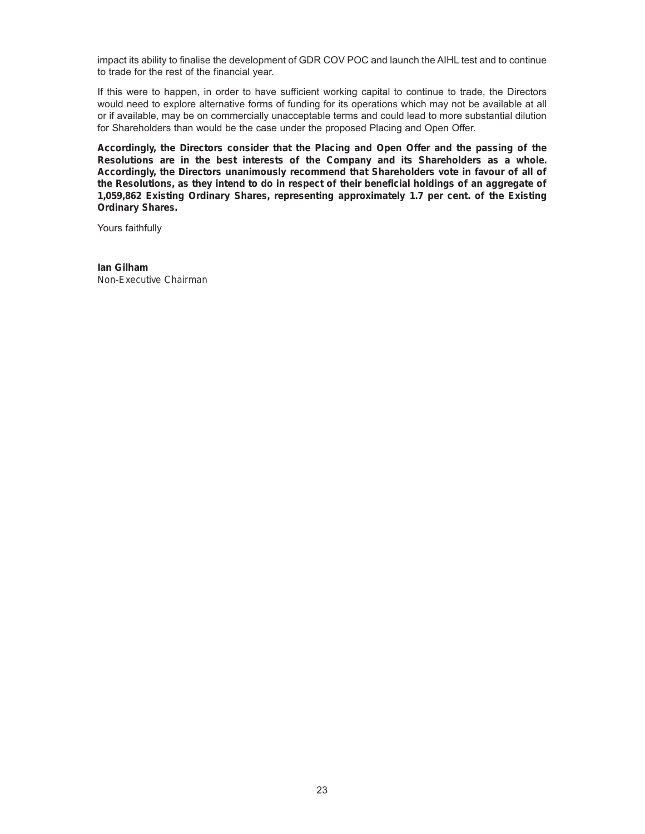impact its ability to finalise the development of GDR COV POC and launch the AIHL test and to continue to trade for the rest of the financial year.

If this were to happen, in order to have sufficient working capital to continue to trade, the Directors would need to explore alternative forms of funding for its operations which may not be available at all or if available, may be on commercially unacceptable terms and could lead to more substantial dilution for Shareholders than would be the case under the proposed Placing and Open Offer.

**Accordingly, the Directors consider that the Placing and Open Offer and the passing of the Resolutions are in the best interests of the Company and its Shareholders as a whole. Accordingly, the Directors unanimously recommend that Shareholders vote in favour of all of the Resolutions, as they intend to do in respect of their beneficial holdings of an aggregate of 1,059,862 Existing Ordinary Shares, representing approximately 1.7 per cent. of the Existing Ordinary Shares.**

Yours faithfully

**Ian Gilham** *Non-Executive Chairman*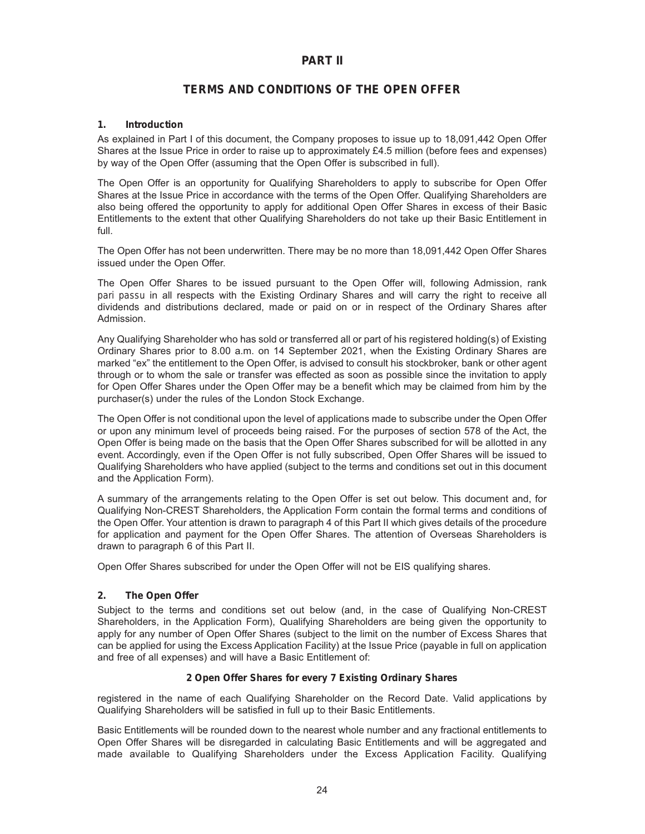## **PART II**

# **TERMS AND CONDITIONS OF THE OPEN OFFER**

#### **1. Introduction**

As explained in Part I of this document, the Company proposes to issue up to 18,091,442 Open Offer Shares at the Issue Price in order to raise up to approximately £4.5 million (before fees and expenses) by way of the Open Offer (assuming that the Open Offer is subscribed in full).

The Open Offer is an opportunity for Qualifying Shareholders to apply to subscribe for Open Offer Shares at the Issue Price in accordance with the terms of the Open Offer. Qualifying Shareholders are also being offered the opportunity to apply for additional Open Offer Shares in excess of their Basic Entitlements to the extent that other Qualifying Shareholders do not take up their Basic Entitlement in full.

The Open Offer has not been underwritten. There may be no more than 18,091,442 Open Offer Shares issued under the Open Offer.

The Open Offer Shares to be issued pursuant to the Open Offer will, following Admission, rank *pari passu* in all respects with the Existing Ordinary Shares and will carry the right to receive all dividends and distributions declared, made or paid on or in respect of the Ordinary Shares after Admission.

Any Qualifying Shareholder who has sold or transferred all or part of his registered holding(s) of Existing Ordinary Shares prior to 8.00 a.m. on 14 September 2021, when the Existing Ordinary Shares are marked "ex" the entitlement to the Open Offer, is advised to consult his stockbroker, bank or other agent through or to whom the sale or transfer was effected as soon as possible since the invitation to apply for Open Offer Shares under the Open Offer may be a benefit which may be claimed from him by the purchaser(s) under the rules of the London Stock Exchange.

The Open Offer is not conditional upon the level of applications made to subscribe under the Open Offer or upon any minimum level of proceeds being raised. For the purposes of section 578 of the Act, the Open Offer is being made on the basis that the Open Offer Shares subscribed for will be allotted in any event. Accordingly, even if the Open Offer is not fully subscribed, Open Offer Shares will be issued to Qualifying Shareholders who have applied (subject to the terms and conditions set out in this document and the Application Form).

A summary of the arrangements relating to the Open Offer is set out below. This document and, for Qualifying Non-CREST Shareholders, the Application Form contain the formal terms and conditions of the Open Offer. Your attention is drawn to paragraph 4 of this Part II which gives details of the procedure for application and payment for the Open Offer Shares. The attention of Overseas Shareholders is drawn to paragraph 6 of this Part II.

Open Offer Shares subscribed for under the Open Offer will not be EIS qualifying shares.

#### **2. The Open Offer**

Subject to the terms and conditions set out below (and, in the case of Qualifying Non-CREST Shareholders, in the Application Form), Qualifying Shareholders are being given the opportunity to apply for any number of Open Offer Shares (subject to the limit on the number of Excess Shares that can be applied for using the Excess Application Facility) at the Issue Price (payable in full on application and free of all expenses) and will have a Basic Entitlement of:

#### **2 Open Offer Shares for every 7 Existing Ordinary Shares**

registered in the name of each Qualifying Shareholder on the Record Date. Valid applications by Qualifying Shareholders will be satisfied in full up to their Basic Entitlements.

Basic Entitlements will be rounded down to the nearest whole number and any fractional entitlements to Open Offer Shares will be disregarded in calculating Basic Entitlements and will be aggregated and made available to Qualifying Shareholders under the Excess Application Facility. Qualifying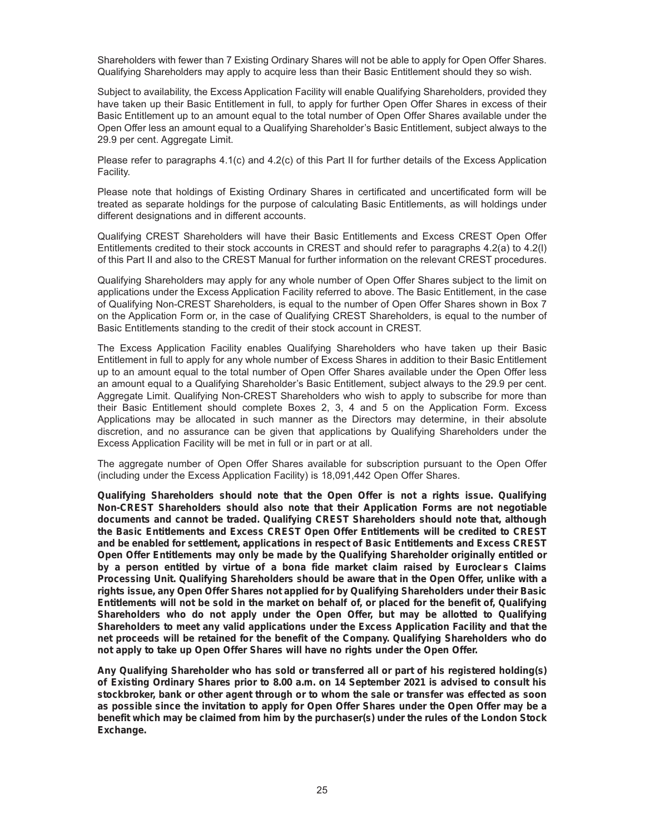Shareholders with fewer than 7 Existing Ordinary Shares will not be able to apply for Open Offer Shares. Qualifying Shareholders may apply to acquire less than their Basic Entitlement should they so wish.

Subject to availability, the Excess Application Facility will enable Qualifying Shareholders, provided they have taken up their Basic Entitlement in full, to apply for further Open Offer Shares in excess of their Basic Entitlement up to an amount equal to the total number of Open Offer Shares available under the Open Offer less an amount equal to a Qualifying Shareholder's Basic Entitlement, subject always to the 29.9 per cent. Aggregate Limit.

Please refer to paragraphs 4.1(c) and 4.2(c) of this Part II for further details of the Excess Application Facility.

Please note that holdings of Existing Ordinary Shares in certificated and uncertificated form will be treated as separate holdings for the purpose of calculating Basic Entitlements, as will holdings under different designations and in different accounts.

Qualifying CREST Shareholders will have their Basic Entitlements and Excess CREST Open Offer Entitlements credited to their stock accounts in CREST and should refer to paragraphs 4.2(a) to 4.2(l) of this Part II and also to the CREST Manual for further information on the relevant CREST procedures.

Qualifying Shareholders may apply for any whole number of Open Offer Shares subject to the limit on applications under the Excess Application Facility referred to above. The Basic Entitlement, in the case of Qualifying Non-CREST Shareholders, is equal to the number of Open Offer Shares shown in Box 7 on the Application Form or, in the case of Qualifying CREST Shareholders, is equal to the number of Basic Entitlements standing to the credit of their stock account in CREST.

The Excess Application Facility enables Qualifying Shareholders who have taken up their Basic Entitlement in full to apply for any whole number of Excess Shares in addition to their Basic Entitlement up to an amount equal to the total number of Open Offer Shares available under the Open Offer less an amount equal to a Qualifying Shareholder's Basic Entitlement, subject always to the 29.9 per cent. Aggregate Limit. Qualifying Non-CREST Shareholders who wish to apply to subscribe for more than their Basic Entitlement should complete Boxes 2, 3, 4 and 5 on the Application Form. Excess Applications may be allocated in such manner as the Directors may determine, in their absolute discretion, and no assurance can be given that applications by Qualifying Shareholders under the Excess Application Facility will be met in full or in part or at all.

The aggregate number of Open Offer Shares available for subscription pursuant to the Open Offer (including under the Excess Application Facility) is 18,091,442 Open Offer Shares.

**Qualifying Shareholders should note that the Open Offer is not a rights issue. Qualifying Non-CREST Shareholders should also note that their Application Forms are not negotiable documents and cannot be traded. Qualifying CREST Shareholders should note that, although the Basic Entitlements and Excess CREST Open Offer Entitlements will be credited to CREST and be enabled for settlement, applications in respect of Basic Entitlements and Excess CREST Open Offer Entitlements may only be made by the Qualifying Shareholder originally entitled or by a person entitled by virtue of a bona fide market claim raised by Euroclear s Claims Processing Unit. Qualifying Shareholders should be aware that in the Open Offer, unlike with a rights issue, any Open Offer Shares not applied for by Qualifying Shareholders under their Basic Entitlements will not be sold in the market on behalf of, or placed for the benefit of, Qualifying Shareholders who do not apply under the Open Offer, but may be allotted to Qualifying Shareholders to meet any valid applications under the Excess Application Facility and that the net proceeds will be retained for the benefit of the Company. Qualifying Shareholders who do not apply to take up Open Offer Shares will have no rights under the Open Offer.**

**Any Qualifying Shareholder who has sold or transferred all or part of his registered holding(s) of Existing Ordinary Shares prior to 8.00 a.m. on 14 September 2021 is advised to consult his stockbroker, bank or other agent through or to whom the sale or transfer was effected as soon as possible since the invitation to apply for Open Offer Shares under the Open Offer may be a benefit which may be claimed from him by the purchaser(s) under the rules of the London Stock Exchange.**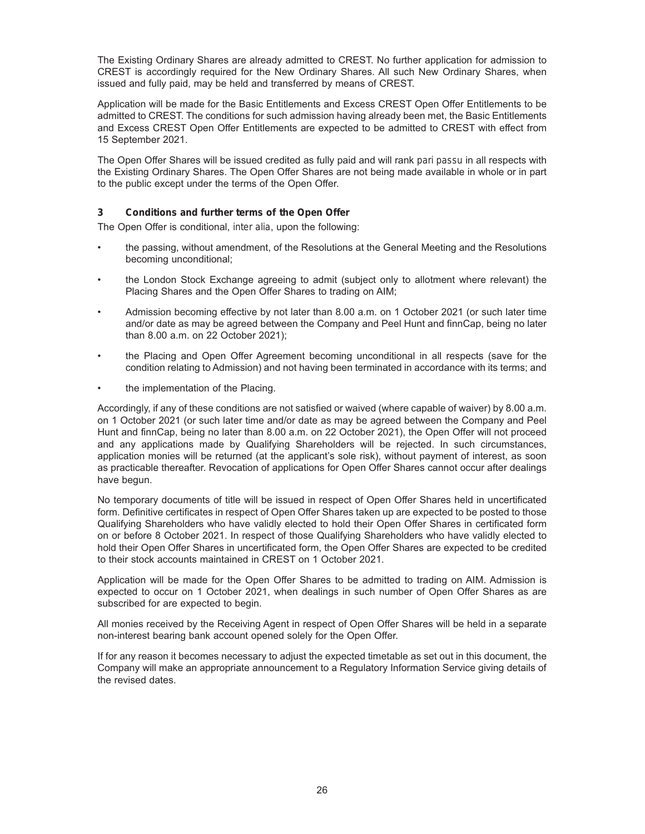The Existing Ordinary Shares are already admitted to CREST. No further application for admission to CREST is accordingly required for the New Ordinary Shares. All such New Ordinary Shares, when issued and fully paid, may be held and transferred by means of CREST.

Application will be made for the Basic Entitlements and Excess CREST Open Offer Entitlements to be admitted to CREST. The conditions for such admission having already been met, the Basic Entitlements and Excess CREST Open Offer Entitlements are expected to be admitted to CREST with effect from 15 September 2021.

The Open Offer Shares will be issued credited as fully paid and will rank *pari passu* in all respects with the Existing Ordinary Shares. The Open Offer Shares are not being made available in whole or in part to the public except under the terms of the Open Offer.

**3 Conditions and further terms of the Open Offer**

The Open Offer is conditional, *inter alia*, upon the following:

- the passing, without amendment, of the Resolutions at the General Meeting and the Resolutions becoming unconditional;
- the London Stock Exchange agreeing to admit (subject only to allotment where relevant) the Placing Shares and the Open Offer Shares to trading on AIM;
- Admission becoming effective by not later than 8.00 a.m. on 1 October 2021 (or such later time and/or date as may be agreed between the Company and Peel Hunt and finnCap, being no later than 8.00 a.m. on 22 October 2021);
- the Placing and Open Offer Agreement becoming unconditional in all respects (save for the condition relating to Admission) and not having been terminated in accordance with its terms; and
- the implementation of the Placing.

Accordingly, if any of these conditions are not satisfied or waived (where capable of waiver) by 8.00 a.m. on 1 October 2021 (or such later time and/or date as may be agreed between the Company and Peel Hunt and finnCap, being no later than 8.00 a.m. on 22 October 2021), the Open Offer will not proceed and any applications made by Qualifying Shareholders will be rejected. In such circumstances, application monies will be returned (at the applicant's sole risk), without payment of interest, as soon as practicable thereafter. Revocation of applications for Open Offer Shares cannot occur after dealings have begun.

No temporary documents of title will be issued in respect of Open Offer Shares held in uncertificated form. Definitive certificates in respect of Open Offer Shares taken up are expected to be posted to those Qualifying Shareholders who have validly elected to hold their Open Offer Shares in certificated form on or before 8 October 2021. In respect of those Qualifying Shareholders who have validly elected to hold their Open Offer Shares in uncertificated form, the Open Offer Shares are expected to be credited to their stock accounts maintained in CREST on 1 October 2021.

Application will be made for the Open Offer Shares to be admitted to trading on AIM. Admission is expected to occur on 1 October 2021, when dealings in such number of Open Offer Shares as are subscribed for are expected to begin.

All monies received by the Receiving Agent in respect of Open Offer Shares will be held in a separate non-interest bearing bank account opened solely for the Open Offer.

If for any reason it becomes necessary to adjust the expected timetable as set out in this document, the Company will make an appropriate announcement to a Regulatory Information Service giving details of the revised dates.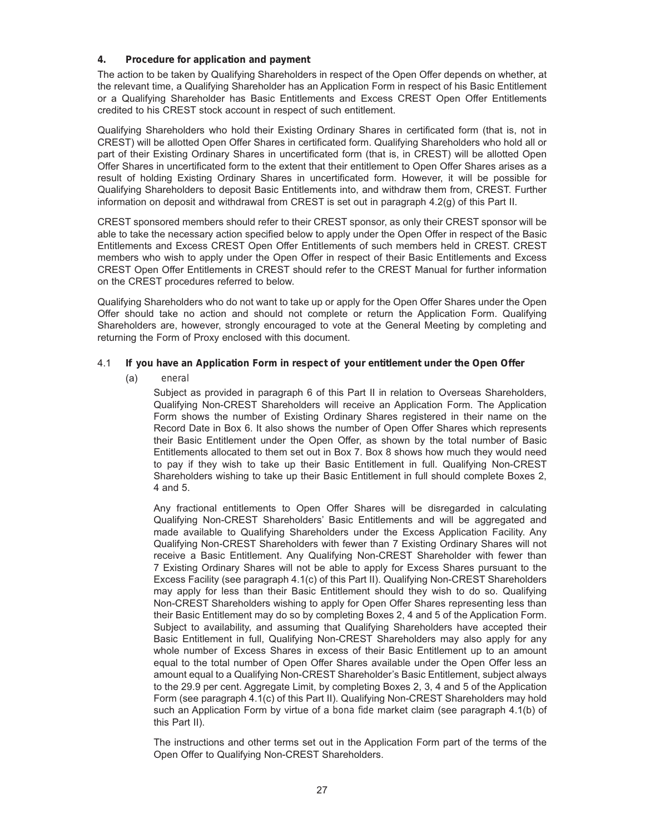#### **4. Procedure for application and payment**

The action to be taken by Qualifying Shareholders in respect of the Open Offer depends on whether, at the relevant time, a Qualifying Shareholder has an Application Form in respect of his Basic Entitlement or a Qualifying Shareholder has Basic Entitlements and Excess CREST Open Offer Entitlements credited to his CREST stock account in respect of such entitlement.

Qualifying Shareholders who hold their Existing Ordinary Shares in certificated form (that is, not in CREST) will be allotted Open Offer Shares in certificated form. Qualifying Shareholders who hold all or part of their Existing Ordinary Shares in uncertificated form (that is, in CREST) will be allotted Open Offer Shares in uncertificated form to the extent that their entitlement to Open Offer Shares arises as a result of holding Existing Ordinary Shares in uncertificated form. However, it will be possible for Qualifying Shareholders to deposit Basic Entitlements into, and withdraw them from, CREST. Further information on deposit and withdrawal from CREST is set out in paragraph 4.2(g) of this Part II.

CREST sponsored members should refer to their CREST sponsor, as only their CREST sponsor will be able to take the necessary action specified below to apply under the Open Offer in respect of the Basic Entitlements and Excess CREST Open Offer Entitlements of such members held in CREST. CREST members who wish to apply under the Open Offer in respect of their Basic Entitlements and Excess CREST Open Offer Entitlements in CREST should refer to the CREST Manual for further information on the CREST procedures referred to below.

Qualifying Shareholders who do not want to take up or apply for the Open Offer Shares under the Open Offer should take no action and should not complete or return the Application Form. Qualifying Shareholders are, however, strongly encouraged to vote at the General Meeting by completing and returning the Form of Proxy enclosed with this document.

- 4.1 *If you have an Application Form in respect of your entitlement under the Open Offer*
	- (a) *eneral*

Subject as provided in paragraph 6 of this Part II in relation to Overseas Shareholders, Qualifying Non-CREST Shareholders will receive an Application Form. The Application Form shows the number of Existing Ordinary Shares registered in their name on the Record Date in Box 6. It also shows the number of Open Offer Shares which represents their Basic Entitlement under the Open Offer, as shown by the total number of Basic Entitlements allocated to them set out in Box 7. Box 8 shows how much they would need to pay if they wish to take up their Basic Entitlement in full. Qualifying Non-CREST Shareholders wishing to take up their Basic Entitlement in full should complete Boxes 2, 4 and 5.

Any fractional entitlements to Open Offer Shares will be disregarded in calculating Qualifying Non-CREST Shareholders' Basic Entitlements and will be aggregated and made available to Qualifying Shareholders under the Excess Application Facility. Any Qualifying Non-CREST Shareholders with fewer than 7 Existing Ordinary Shares will not receive a Basic Entitlement. Any Qualifying Non-CREST Shareholder with fewer than 7 Existing Ordinary Shares will not be able to apply for Excess Shares pursuant to the Excess Facility (see paragraph 4.1(c) of this Part II). Qualifying Non-CREST Shareholders may apply for less than their Basic Entitlement should they wish to do so. Qualifying Non-CREST Shareholders wishing to apply for Open Offer Shares representing less than their Basic Entitlement may do so by completing Boxes 2, 4 and 5 of the Application Form. Subject to availability, and assuming that Qualifying Shareholders have accepted their Basic Entitlement in full, Qualifying Non-CREST Shareholders may also apply for any whole number of Excess Shares in excess of their Basic Entitlement up to an amount equal to the total number of Open Offer Shares available under the Open Offer less an amount equal to a Qualifying Non-CREST Shareholder's Basic Entitlement, subject always to the 29.9 per cent. Aggregate Limit, by completing Boxes 2, 3, 4 and 5 of the Application Form (see paragraph 4.1(c) of this Part II). Qualifying Non-CREST Shareholders may hold such an Application Form by virtue of a *bona fide* market claim (see paragraph 4.1(b) of this Part II).

The instructions and other terms set out in the Application Form part of the terms of the Open Offer to Qualifying Non-CREST Shareholders.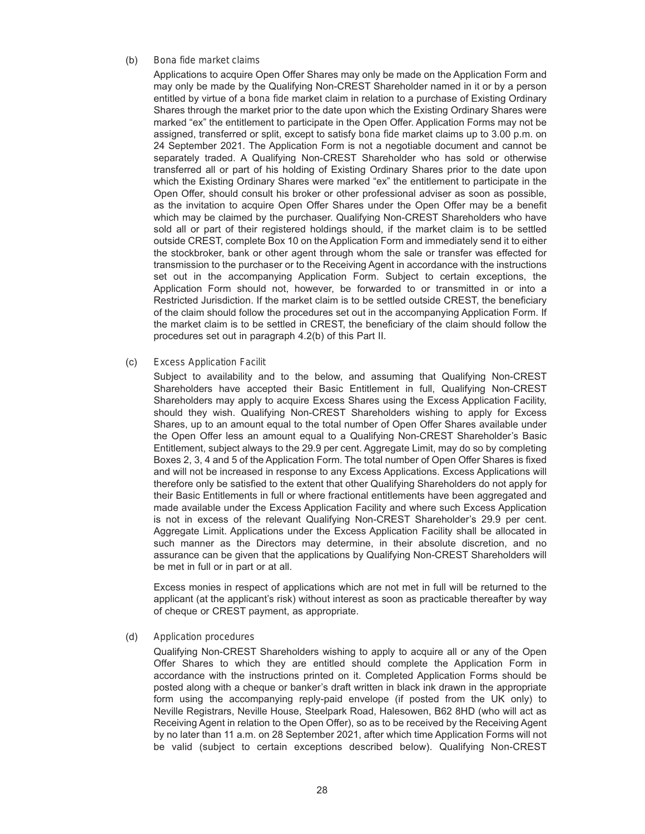#### (b) *Bona fide market claims*

Applications to acquire Open Offer Shares may only be made on the Application Form and may only be made by the Qualifying Non-CREST Shareholder named in it or by a person entitled by virtue of a *bona fide* market claim in relation to a purchase of Existing Ordinary Shares through the market prior to the date upon which the Existing Ordinary Shares were marked "ex" the entitlement to participate in the Open Offer. Application Forms may not be assigned, transferred or split, except to satisfy *bona fide* market claims up to 3.00 p.m. on 24 September 2021. The Application Form is not a negotiable document and cannot be separately traded. A Qualifying Non-CREST Shareholder who has sold or otherwise transferred all or part of his holding of Existing Ordinary Shares prior to the date upon which the Existing Ordinary Shares were marked "ex" the entitlement to participate in the Open Offer, should consult his broker or other professional adviser as soon as possible, as the invitation to acquire Open Offer Shares under the Open Offer may be a benefit which may be claimed by the purchaser. Qualifying Non-CREST Shareholders who have sold all or part of their registered holdings should, if the market claim is to be settled outside CREST, complete Box 10 on the Application Form and immediately send it to either the stockbroker, bank or other agent through whom the sale or transfer was effected for transmission to the purchaser or to the Receiving Agent in accordance with the instructions set out in the accompanying Application Form. Subject to certain exceptions, the Application Form should not, however, be forwarded to or transmitted in or into a Restricted Jurisdiction. If the market claim is to be settled outside CREST, the beneficiary of the claim should follow the procedures set out in the accompanying Application Form. If the market claim is to be settled in CREST, the beneficiary of the claim should follow the procedures set out in paragraph 4.2(b) of this Part II.

(c) *Excess Application Facilit*

Subject to availability and to the below, and assuming that Qualifying Non-CREST Shareholders have accepted their Basic Entitlement in full, Qualifying Non-CREST Shareholders may apply to acquire Excess Shares using the Excess Application Facility, should they wish. Qualifying Non-CREST Shareholders wishing to apply for Excess Shares, up to an amount equal to the total number of Open Offer Shares available under the Open Offer less an amount equal to a Qualifying Non-CREST Shareholder's Basic Entitlement, subject always to the 29.9 per cent. Aggregate Limit, may do so by completing Boxes 2, 3, 4 and 5 of the Application Form. The total number of Open Offer Shares is fixed and will not be increased in response to any Excess Applications. Excess Applications will therefore only be satisfied to the extent that other Qualifying Shareholders do not apply for their Basic Entitlements in full or where fractional entitlements have been aggregated and made available under the Excess Application Facility and where such Excess Application is not in excess of the relevant Qualifying Non-CREST Shareholder's 29.9 per cent. Aggregate Limit. Applications under the Excess Application Facility shall be allocated in such manner as the Directors may determine, in their absolute discretion, and no assurance can be given that the applications by Qualifying Non-CREST Shareholders will be met in full or in part or at all.

Excess monies in respect of applications which are not met in full will be returned to the applicant (at the applicant's risk) without interest as soon as practicable thereafter by way of cheque or CREST payment, as appropriate.

(d) *Application procedures*

Qualifying Non-CREST Shareholders wishing to apply to acquire all or any of the Open Offer Shares to which they are entitled should complete the Application Form in accordance with the instructions printed on it. Completed Application Forms should be posted along with a cheque or banker's draft written in black ink drawn in the appropriate form using the accompanying reply-paid envelope (if posted from the UK only) to Neville Registrars, Neville House, Steelpark Road, Halesowen, B62 8HD (who will act as Receiving Agent in relation to the Open Offer), so as to be received by the Receiving Agent by no later than 11 a.m. on 28 September 2021, after which time Application Forms will not be valid (subject to certain exceptions described below). Qualifying Non-CREST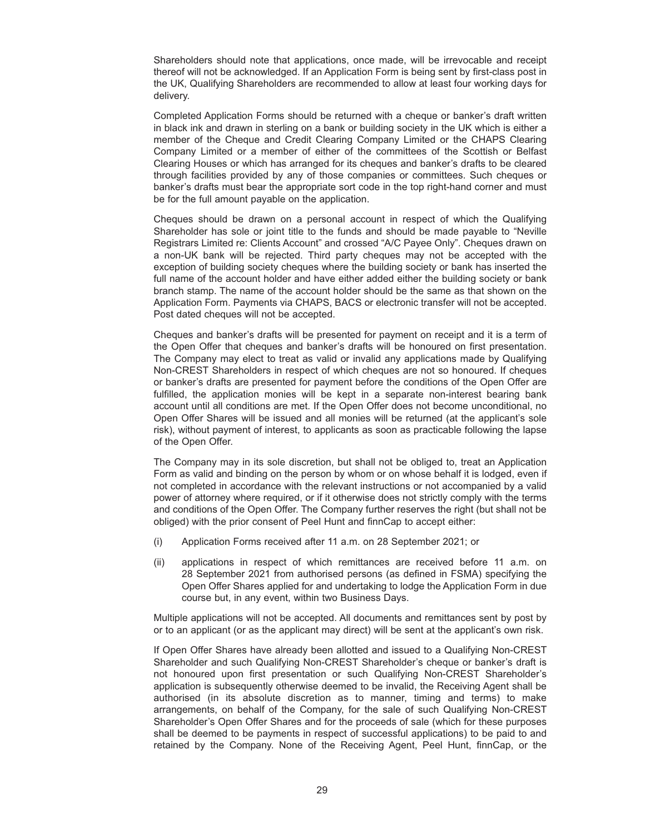Shareholders should note that applications, once made, will be irrevocable and receipt thereof will not be acknowledged. If an Application Form is being sent by first-class post in the UK, Qualifying Shareholders are recommended to allow at least four working days for delivery.

Completed Application Forms should be returned with a cheque or banker's draft written in black ink and drawn in sterling on a bank or building society in the UK which is either a member of the Cheque and Credit Clearing Company Limited or the CHAPS Clearing Company Limited or a member of either of the committees of the Scottish or Belfast Clearing Houses or which has arranged for its cheques and banker's drafts to be cleared through facilities provided by any of those companies or committees. Such cheques or banker's drafts must bear the appropriate sort code in the top right-hand corner and must be for the full amount payable on the application.

Cheques should be drawn on a personal account in respect of which the Qualifying Shareholder has sole or joint title to the funds and should be made payable to "Neville Registrars Limited re: Clients Account" and crossed "A/C Payee Only". Cheques drawn on a non-UK bank will be rejected. Third party cheques may not be accepted with the exception of building society cheques where the building society or bank has inserted the full name of the account holder and have either added either the building society or bank branch stamp. The name of the account holder should be the same as that shown on the Application Form. Payments via CHAPS, BACS or electronic transfer will not be accepted. Post dated cheques will not be accepted.

Cheques and banker's drafts will be presented for payment on receipt and it is a term of the Open Offer that cheques and banker's drafts will be honoured on first presentation. The Company may elect to treat as valid or invalid any applications made by Qualifying Non-CREST Shareholders in respect of which cheques are not so honoured. If cheques or banker's drafts are presented for payment before the conditions of the Open Offer are fulfilled, the application monies will be kept in a separate non-interest bearing bank account until all conditions are met. If the Open Offer does not become unconditional, no Open Offer Shares will be issued and all monies will be returned (at the applicant's sole risk), without payment of interest, to applicants as soon as practicable following the lapse of the Open Offer.

The Company may in its sole discretion, but shall not be obliged to, treat an Application Form as valid and binding on the person by whom or on whose behalf it is lodged, even if not completed in accordance with the relevant instructions or not accompanied by a valid power of attorney where required, or if it otherwise does not strictly comply with the terms and conditions of the Open Offer. The Company further reserves the right (but shall not be obliged) with the prior consent of Peel Hunt and finnCap to accept either:

- (i) Application Forms received after 11 a.m. on 28 September 2021; or
- (ii) applications in respect of which remittances are received before 11 a.m. on 28 September 2021 from authorised persons (as defined in FSMA) specifying the Open Offer Shares applied for and undertaking to lodge the Application Form in due course but, in any event, within two Business Days.

Multiple applications will not be accepted. All documents and remittances sent by post by or to an applicant (or as the applicant may direct) will be sent at the applicant's own risk.

If Open Offer Shares have already been allotted and issued to a Qualifying Non-CREST Shareholder and such Qualifying Non-CREST Shareholder's cheque or banker's draft is not honoured upon first presentation or such Qualifying Non-CREST Shareholder's application is subsequently otherwise deemed to be invalid, the Receiving Agent shall be authorised (in its absolute discretion as to manner, timing and terms) to make arrangements, on behalf of the Company, for the sale of such Qualifying Non-CREST Shareholder's Open Offer Shares and for the proceeds of sale (which for these purposes shall be deemed to be payments in respect of successful applications) to be paid to and retained by the Company. None of the Receiving Agent, Peel Hunt, finnCap, or the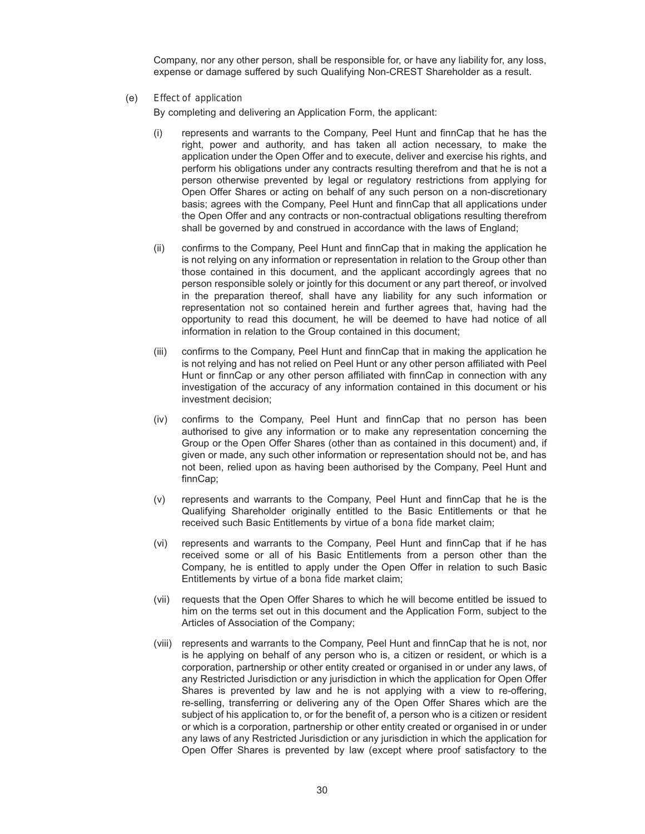Company, nor any other person, shall be responsible for, or have any liability for, any loss, expense or damage suffered by such Qualifying Non-CREST Shareholder as a result.

(e) *Effect of application*

By completing and delivering an Application Form, the applicant:

- (i) represents and warrants to the Company, Peel Hunt and finnCap that he has the right, power and authority, and has taken all action necessary, to make the application under the Open Offer and to execute, deliver and exercise his rights, and perform his obligations under any contracts resulting therefrom and that he is not a person otherwise prevented by legal or regulatory restrictions from applying for Open Offer Shares or acting on behalf of any such person on a non-discretionary basis; agrees with the Company, Peel Hunt and finnCap that all applications under the Open Offer and any contracts or non-contractual obligations resulting therefrom shall be governed by and construed in accordance with the laws of England;
- (ii) confirms to the Company, Peel Hunt and finnCap that in making the application he is not relying on any information or representation in relation to the Group other than those contained in this document, and the applicant accordingly agrees that no person responsible solely or jointly for this document or any part thereof, or involved in the preparation thereof, shall have any liability for any such information or representation not so contained herein and further agrees that, having had the opportunity to read this document, he will be deemed to have had notice of all information in relation to the Group contained in this document;
- (iii) confirms to the Company, Peel Hunt and finnCap that in making the application he is not relying and has not relied on Peel Hunt or any other person affiliated with Peel Hunt or finnCap or any other person affiliated with finnCap in connection with any investigation of the accuracy of any information contained in this document or his investment decision;
- (iv) confirms to the Company, Peel Hunt and finnCap that no person has been authorised to give any information or to make any representation concerning the Group or the Open Offer Shares (other than as contained in this document) and, if given or made, any such other information or representation should not be, and has not been, relied upon as having been authorised by the Company, Peel Hunt and finnCap;
- (v) represents and warrants to the Company, Peel Hunt and finnCap that he is the Qualifying Shareholder originally entitled to the Basic Entitlements or that he received such Basic Entitlements by virtue of a *bona fide* market claim;
- (vi) represents and warrants to the Company, Peel Hunt and finnCap that if he has received some or all of his Basic Entitlements from a person other than the Company, he is entitled to apply under the Open Offer in relation to such Basic Entitlements by virtue of a *bona fide* market claim;
- (vii) requests that the Open Offer Shares to which he will become entitled be issued to him on the terms set out in this document and the Application Form, subject to the Articles of Association of the Company;
- (viii) represents and warrants to the Company, Peel Hunt and finnCap that he is not, nor is he applying on behalf of any person who is, a citizen or resident, or which is a corporation, partnership or other entity created or organised in or under any laws, of any Restricted Jurisdiction or any jurisdiction in which the application for Open Offer Shares is prevented by law and he is not applying with a view to re-offering, re-selling, transferring or delivering any of the Open Offer Shares which are the subject of his application to, or for the benefit of, a person who is a citizen or resident or which is a corporation, partnership or other entity created or organised in or under any laws of any Restricted Jurisdiction or any jurisdiction in which the application for Open Offer Shares is prevented by law (except where proof satisfactory to the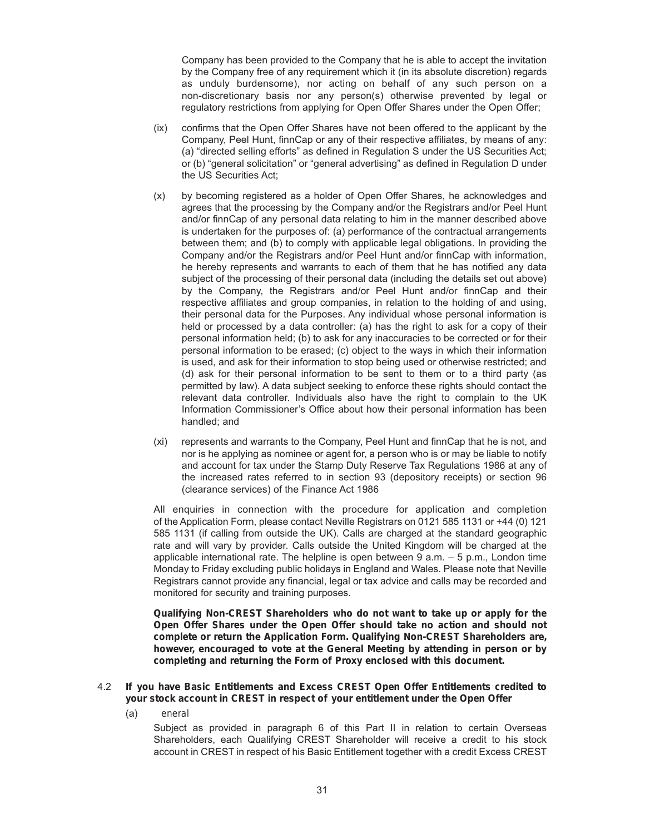Company has been provided to the Company that he is able to accept the invitation by the Company free of any requirement which it (in its absolute discretion) regards as unduly burdensome), nor acting on behalf of any such person on a non-discretionary basis nor any person(s) otherwise prevented by legal or regulatory restrictions from applying for Open Offer Shares under the Open Offer;

- (ix) confirms that the Open Offer Shares have not been offered to the applicant by the Company, Peel Hunt, finnCap or any of their respective affiliates, by means of any: (a) "directed selling efforts" as defined in Regulation S under the US Securities Act; or (b) "general solicitation" or "general advertising" as defined in Regulation D under the US Securities Act;
- (x) by becoming registered as a holder of Open Offer Shares, he acknowledges and agrees that the processing by the Company and/or the Registrars and/or Peel Hunt and/or finnCap of any personal data relating to him in the manner described above is undertaken for the purposes of: (a) performance of the contractual arrangements between them; and (b) to comply with applicable legal obligations. In providing the Company and/or the Registrars and/or Peel Hunt and/or finnCap with information, he hereby represents and warrants to each of them that he has notified any data subject of the processing of their personal data (including the details set out above) by the Company, the Registrars and/or Peel Hunt and/or finnCap and their respective affiliates and group companies, in relation to the holding of and using, their personal data for the Purposes. Any individual whose personal information is held or processed by a data controller: (a) has the right to ask for a copy of their personal information held; (b) to ask for any inaccuracies to be corrected or for their personal information to be erased; (c) object to the ways in which their information is used, and ask for their information to stop being used or otherwise restricted; and (d) ask for their personal information to be sent to them or to a third party (as permitted by law). A data subject seeking to enforce these rights should contact the relevant data controller. Individuals also have the right to complain to the UK Information Commissioner's Office about how their personal information has been handled; and
- (xi) represents and warrants to the Company, Peel Hunt and finnCap that he is not, and nor is he applying as nominee or agent for, a person who is or may be liable to notify and account for tax under the Stamp Duty Reserve Tax Regulations 1986 at any of the increased rates referred to in section 93 (depository receipts) or section 96 (clearance services) of the Finance Act 1986

All enquiries in connection with the procedure for application and completion of the Application Form, please contact Neville Registrars on 0121 585 1131 or +44 (0) 121 585 1131 (if calling from outside the UK). Calls are charged at the standard geographic rate and will vary by provider. Calls outside the United Kingdom will be charged at the applicable international rate. The helpline is open between  $9$  a.m.  $-5$  p.m., London time Monday to Friday excluding public holidays in England and Wales. Please note that Neville Registrars cannot provide any financial, legal or tax advice and calls may be recorded and monitored for security and training purposes.

**Qualifying Non-CREST Shareholders who do not want to take up or apply for the Open Offer Shares under the Open Offer should take no action and should not complete or return the Application Form. Qualifying Non-CREST Shareholders are, however, encouraged to vote at the General Meeting by attending in person or by completing and returning the Form of Proxy enclosed with this document.**

- 4.2 *If you have Basic Entitlements and Excess CREST Open Offer Entitlements credited to your stock account in CREST in respect of your entitlement under the Open Offer*
	- (a) *eneral*

Subject as provided in paragraph 6 of this Part II in relation to certain Overseas Shareholders, each Qualifying CREST Shareholder will receive a credit to his stock account in CREST in respect of his Basic Entitlement together with a credit Excess CREST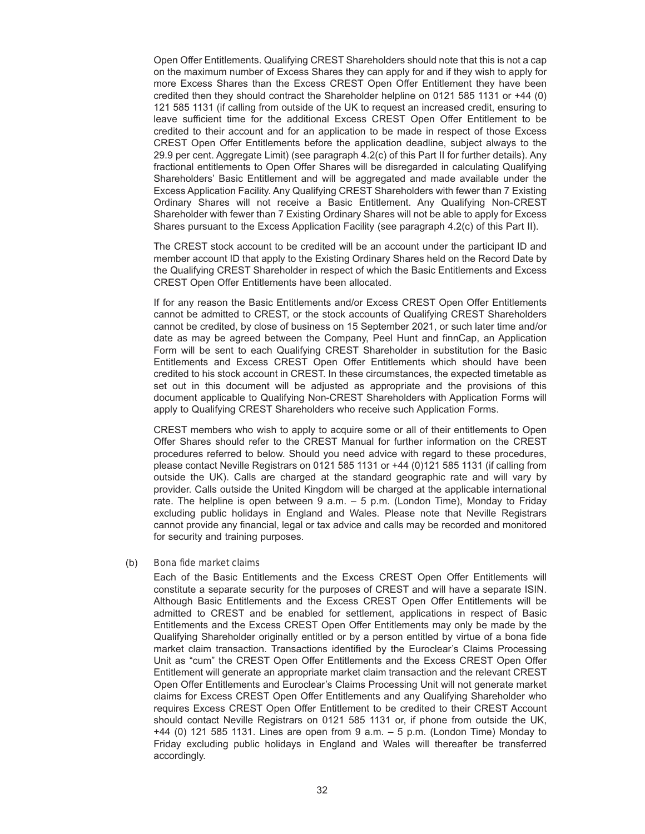Open Offer Entitlements. Qualifying CREST Shareholders should note that this is not a cap on the maximum number of Excess Shares they can apply for and if they wish to apply for more Excess Shares than the Excess CREST Open Offer Entitlement they have been credited then they should contract the Shareholder helpline on 0121 585 1131 or +44 (0) 121 585 1131 (if calling from outside of the UK to request an increased credit, ensuring to leave sufficient time for the additional Excess CREST Open Offer Entitlement to be credited to their account and for an application to be made in respect of those Excess CREST Open Offer Entitlements before the application deadline, subject always to the 29.9 per cent. Aggregate Limit) (see paragraph 4.2(c) of this Part II for further details). Any fractional entitlements to Open Offer Shares will be disregarded in calculating Qualifying Shareholders' Basic Entitlement and will be aggregated and made available under the Excess Application Facility. Any Qualifying CREST Shareholders with fewer than 7 Existing Ordinary Shares will not receive a Basic Entitlement. Any Qualifying Non-CREST Shareholder with fewer than 7 Existing Ordinary Shares will not be able to apply for Excess Shares pursuant to the Excess Application Facility (see paragraph 4.2(c) of this Part II).

The CREST stock account to be credited will be an account under the participant ID and member account ID that apply to the Existing Ordinary Shares held on the Record Date by the Qualifying CREST Shareholder in respect of which the Basic Entitlements and Excess CREST Open Offer Entitlements have been allocated.

If for any reason the Basic Entitlements and/or Excess CREST Open Offer Entitlements cannot be admitted to CREST, or the stock accounts of Qualifying CREST Shareholders cannot be credited, by close of business on 15 September 2021, or such later time and/or date as may be agreed between the Company, Peel Hunt and finnCap, an Application Form will be sent to each Qualifying CREST Shareholder in substitution for the Basic Entitlements and Excess CREST Open Offer Entitlements which should have been credited to his stock account in CREST. In these circumstances, the expected timetable as set out in this document will be adjusted as appropriate and the provisions of this document applicable to Qualifying Non-CREST Shareholders with Application Forms will apply to Qualifying CREST Shareholders who receive such Application Forms.

CREST members who wish to apply to acquire some or all of their entitlements to Open Offer Shares should refer to the CREST Manual for further information on the CREST procedures referred to below. Should you need advice with regard to these procedures, please contact Neville Registrars on 0121 585 1131 or +44 (0)121 585 1131 (if calling from outside the UK). Calls are charged at the standard geographic rate and will vary by provider. Calls outside the United Kingdom will be charged at the applicable international rate. The helpline is open between  $9$  a.m.  $-5$  p.m. (London Time), Monday to Friday excluding public holidays in England and Wales. Please note that Neville Registrars cannot provide any financial, legal or tax advice and calls may be recorded and monitored for security and training purposes.

(b) *Bona fide market claims*

Each of the Basic Entitlements and the Excess CREST Open Offer Entitlements will constitute a separate security for the purposes of CREST and will have a separate ISIN. Although Basic Entitlements and the Excess CREST Open Offer Entitlements will be admitted to CREST and be enabled for settlement, applications in respect of Basic Entitlements and the Excess CREST Open Offer Entitlements may only be made by the Qualifying Shareholder originally entitled or by a person entitled by virtue of a bona fide market claim transaction. Transactions identified by the Euroclear's Claims Processing Unit as "cum" the CREST Open Offer Entitlements and the Excess CREST Open Offer Entitlement will generate an appropriate market claim transaction and the relevant CREST Open Offer Entitlements and Euroclear's Claims Processing Unit will not generate market claims for Excess CREST Open Offer Entitlements and any Qualifying Shareholder who requires Excess CREST Open Offer Entitlement to be credited to their CREST Account should contact Neville Registrars on 0121 585 1131 or, if phone from outside the UK,  $+44$  (0) 121 585 1131. Lines are open from 9 a.m.  $-5$  p.m. (London Time) Monday to Friday excluding public holidays in England and Wales will thereafter be transferred accordingly.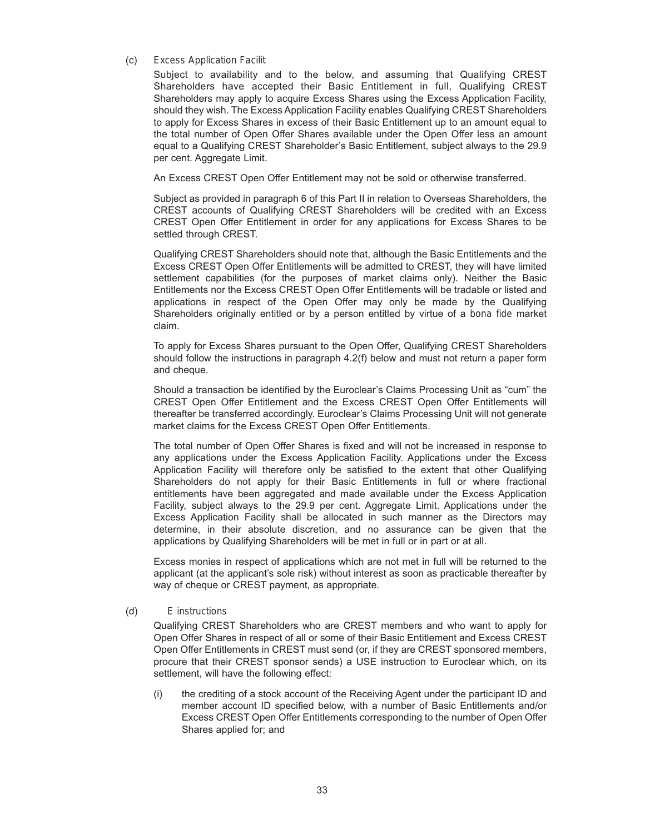#### (c) *Excess Application Facilit*

Subject to availability and to the below, and assuming that Qualifying CREST Shareholders have accepted their Basic Entitlement in full, Qualifying CREST Shareholders may apply to acquire Excess Shares using the Excess Application Facility, should they wish. The Excess Application Facility enables Qualifying CREST Shareholders to apply for Excess Shares in excess of their Basic Entitlement up to an amount equal to the total number of Open Offer Shares available under the Open Offer less an amount equal to a Qualifying CREST Shareholder's Basic Entitlement, subject always to the 29.9 per cent. Aggregate Limit.

An Excess CREST Open Offer Entitlement may not be sold or otherwise transferred.

Subject as provided in paragraph 6 of this Part II in relation to Overseas Shareholders, the CREST accounts of Qualifying CREST Shareholders will be credited with an Excess CREST Open Offer Entitlement in order for any applications for Excess Shares to be settled through CREST.

Qualifying CREST Shareholders should note that, although the Basic Entitlements and the Excess CREST Open Offer Entitlements will be admitted to CREST, they will have limited settlement capabilities (for the purposes of market claims only). Neither the Basic Entitlements nor the Excess CREST Open Offer Entitlements will be tradable or listed and applications in respect of the Open Offer may only be made by the Qualifying Shareholders originally entitled or by a person entitled by virtue of a *bona fide* market claim.

To apply for Excess Shares pursuant to the Open Offer, Qualifying CREST Shareholders should follow the instructions in paragraph 4.2(f) below and must not return a paper form and cheque.

Should a transaction be identified by the Euroclear's Claims Processing Unit as "cum" the CREST Open Offer Entitlement and the Excess CREST Open Offer Entitlements will thereafter be transferred accordingly. Euroclear's Claims Processing Unit will not generate market claims for the Excess CREST Open Offer Entitlements.

The total number of Open Offer Shares is fixed and will not be increased in response to any applications under the Excess Application Facility. Applications under the Excess Application Facility will therefore only be satisfied to the extent that other Qualifying Shareholders do not apply for their Basic Entitlements in full or where fractional entitlements have been aggregated and made available under the Excess Application Facility, subject always to the 29.9 per cent. Aggregate Limit. Applications under the Excess Application Facility shall be allocated in such manner as the Directors may determine, in their absolute discretion, and no assurance can be given that the applications by Qualifying Shareholders will be met in full or in part or at all.

Excess monies in respect of applications which are not met in full will be returned to the applicant (at the applicant's sole risk) without interest as soon as practicable thereafter by way of cheque or CREST payment, as appropriate.

#### (d) *E instructions*

Qualifying CREST Shareholders who are CREST members and who want to apply for Open Offer Shares in respect of all or some of their Basic Entitlement and Excess CREST Open Offer Entitlements in CREST must send (or, if they are CREST sponsored members, procure that their CREST sponsor sends) a USE instruction to Euroclear which, on its settlement, will have the following effect:

(i) the crediting of a stock account of the Receiving Agent under the participant ID and member account ID specified below, with a number of Basic Entitlements and/or Excess CREST Open Offer Entitlements corresponding to the number of Open Offer Shares applied for; and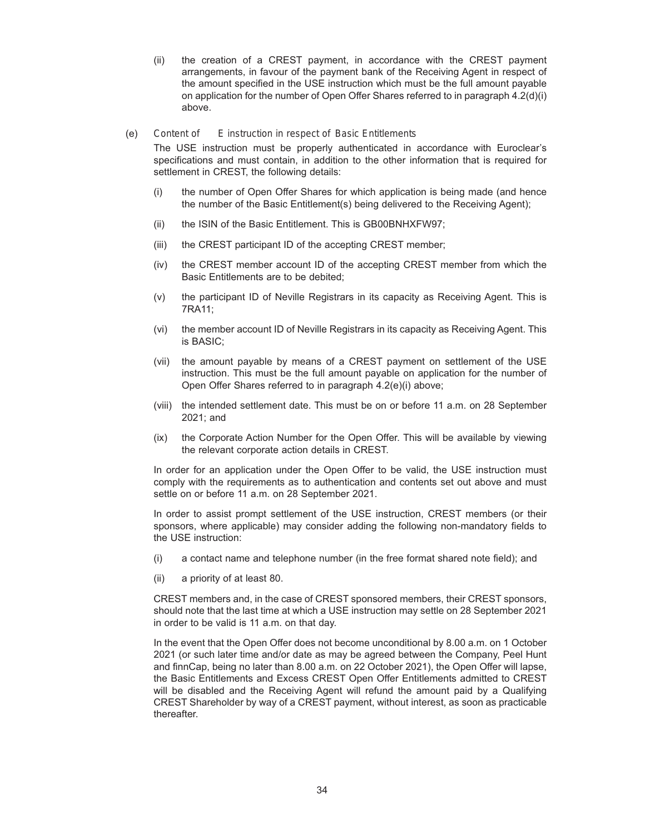(ii) the creation of a CREST payment, in accordance with the CREST payment arrangements, in favour of the payment bank of the Receiving Agent in respect of the amount specified in the USE instruction which must be the full amount payable on application for the number of Open Offer Shares referred to in paragraph 4.2(d)(i) above.

(e) *Content of E instruction in respect of Basic Entitlements*

The USE instruction must be properly authenticated in accordance with Euroclear's specifications and must contain, in addition to the other information that is required for settlement in CREST, the following details:

- (i) the number of Open Offer Shares for which application is being made (and hence the number of the Basic Entitlement(s) being delivered to the Receiving Agent);
- (ii) the ISIN of the Basic Entitlement. This is GB00BNHXFW97;
- (iii) the CREST participant ID of the accepting CREST member;
- (iv) the CREST member account ID of the accepting CREST member from which the Basic Entitlements are to be debited;
- (v) the participant ID of Neville Registrars in its capacity as Receiving Agent. This is 7RA11;
- (vi) the member account ID of Neville Registrars in its capacity as Receiving Agent. This is BASIC;
- (vii) the amount payable by means of a CREST payment on settlement of the USE instruction. This must be the full amount payable on application for the number of Open Offer Shares referred to in paragraph 4.2(e)(i) above;
- (viii) the intended settlement date. This must be on or before 11 a.m. on 28 September 2021; and
- (ix) the Corporate Action Number for the Open Offer. This will be available by viewing the relevant corporate action details in CREST.

In order for an application under the Open Offer to be valid, the USE instruction must comply with the requirements as to authentication and contents set out above and must settle on or before 11 a.m. on 28 September 2021.

In order to assist prompt settlement of the USE instruction, CREST members (or their sponsors, where applicable) may consider adding the following non-mandatory fields to the USE instruction:

- (i) a contact name and telephone number (in the free format shared note field); and
- (ii) a priority of at least 80.

CREST members and, in the case of CREST sponsored members, their CREST sponsors, should note that the last time at which a USE instruction may settle on 28 September 2021 in order to be valid is 11 a.m. on that day.

In the event that the Open Offer does not become unconditional by 8.00 a.m. on 1 October 2021 (or such later time and/or date as may be agreed between the Company, Peel Hunt and finnCap, being no later than 8.00 a.m. on 22 October 2021), the Open Offer will lapse, the Basic Entitlements and Excess CREST Open Offer Entitlements admitted to CREST will be disabled and the Receiving Agent will refund the amount paid by a Qualifying CREST Shareholder by way of a CREST payment, without interest, as soon as practicable thereafter.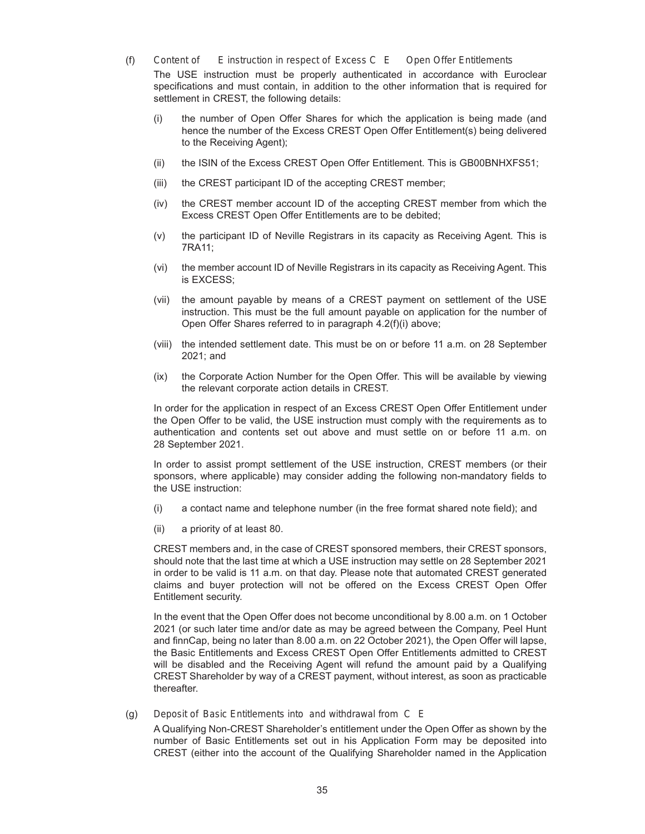(f) *Content of E instruction in respect of Excess C E Open Offer Entitlements*

The USE instruction must be properly authenticated in accordance with Euroclear specifications and must contain, in addition to the other information that is required for settlement in CREST, the following details:

- (i) the number of Open Offer Shares for which the application is being made (and hence the number of the Excess CREST Open Offer Entitlement(s) being delivered to the Receiving Agent);
- (ii) the ISIN of the Excess CREST Open Offer Entitlement. This is GB00BNHXFS51;
- (iii) the CREST participant ID of the accepting CREST member;
- (iv) the CREST member account ID of the accepting CREST member from which the Excess CREST Open Offer Entitlements are to be debited;
- (v) the participant ID of Neville Registrars in its capacity as Receiving Agent. This is 7RA11;
- (vi) the member account ID of Neville Registrars in its capacity as Receiving Agent. This is EXCESS;
- (vii) the amount payable by means of a CREST payment on settlement of the USE instruction. This must be the full amount payable on application for the number of Open Offer Shares referred to in paragraph 4.2(f)(i) above;
- (viii) the intended settlement date. This must be on or before 11 a.m. on 28 September 2021; and
- (ix) the Corporate Action Number for the Open Offer. This will be available by viewing the relevant corporate action details in CREST.

In order for the application in respect of an Excess CREST Open Offer Entitlement under the Open Offer to be valid, the USE instruction must comply with the requirements as to authentication and contents set out above and must settle on or before 11 a.m. on 28 September 2021.

In order to assist prompt settlement of the USE instruction, CREST members (or their sponsors, where applicable) may consider adding the following non-mandatory fields to the USE instruction:

- (i) a contact name and telephone number (in the free format shared note field); and
- (ii) a priority of at least 80.

CREST members and, in the case of CREST sponsored members, their CREST sponsors, should note that the last time at which a USE instruction may settle on 28 September 2021 in order to be valid is 11 a.m. on that day. Please note that automated CREST generated claims and buyer protection will not be offered on the Excess CREST Open Offer Entitlement security.

In the event that the Open Offer does not become unconditional by 8.00 a.m. on 1 October 2021 (or such later time and/or date as may be agreed between the Company, Peel Hunt and finnCap, being no later than 8.00 a.m. on 22 October 2021), the Open Offer will lapse, the Basic Entitlements and Excess CREST Open Offer Entitlements admitted to CREST will be disabled and the Receiving Agent will refund the amount paid by a Qualifying CREST Shareholder by way of a CREST payment, without interest, as soon as practicable thereafter.

(g) *Deposit of Basic Entitlements into and withdrawal from C E*

A Qualifying Non-CREST Shareholder's entitlement under the Open Offer as shown by the number of Basic Entitlements set out in his Application Form may be deposited into CREST (either into the account of the Qualifying Shareholder named in the Application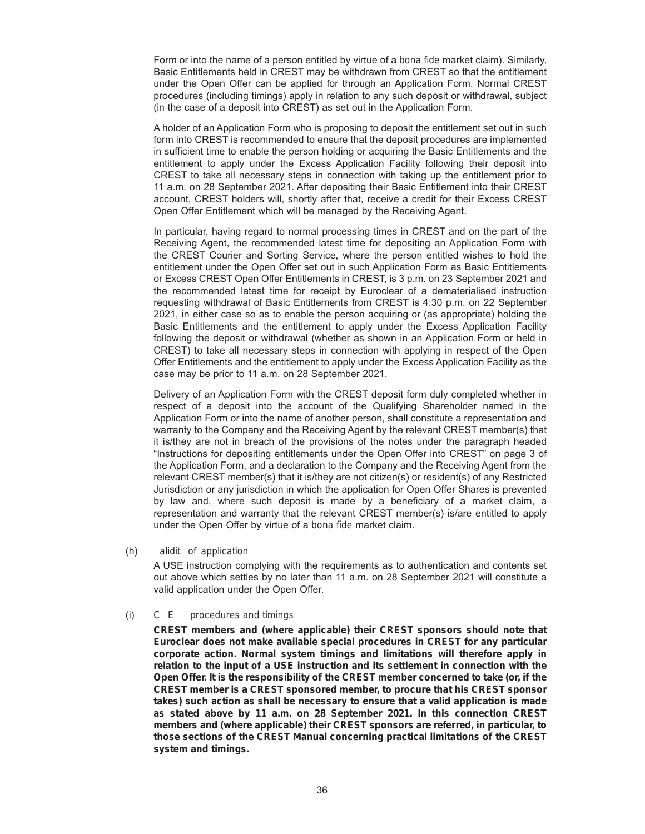Form or into the name of a person entitled by virtue of a *bona fide* market claim). Similarly, Basic Entitlements held in CREST may be withdrawn from CREST so that the entitlement under the Open Offer can be applied for through an Application Form. Normal CREST procedures (including timings) apply in relation to any such deposit or withdrawal, subject (in the case of a deposit into CREST) as set out in the Application Form.

A holder of an Application Form who is proposing to deposit the entitlement set out in such form into CREST is recommended to ensure that the deposit procedures are implemented in sufficient time to enable the person holding or acquiring the Basic Entitlements and the entitlement to apply under the Excess Application Facility following their deposit into CREST to take all necessary steps in connection with taking up the entitlement prior to 11 a.m. on 28 September 2021. After depositing their Basic Entitlement into their CREST account, CREST holders will, shortly after that, receive a credit for their Excess CREST Open Offer Entitlement which will be managed by the Receiving Agent.

In particular, having regard to normal processing times in CREST and on the part of the Receiving Agent, the recommended latest time for depositing an Application Form with the CREST Courier and Sorting Service, where the person entitled wishes to hold the entitlement under the Open Offer set out in such Application Form as Basic Entitlements or Excess CREST Open Offer Entitlements in CREST, is 3 p.m. on 23 September 2021 and the recommended latest time for receipt by Euroclear of a dematerialised instruction requesting withdrawal of Basic Entitlements from CREST is 4:30 p.m. on 22 September 2021, in either case so as to enable the person acquiring or (as appropriate) holding the Basic Entitlements and the entitlement to apply under the Excess Application Facility following the deposit or withdrawal (whether as shown in an Application Form or held in CREST) to take all necessary steps in connection with applying in respect of the Open Offer Entitlements and the entitlement to apply under the Excess Application Facility as the case may be prior to 11 a.m. on 28 September 2021.

Delivery of an Application Form with the CREST deposit form duly completed whether in respect of a deposit into the account of the Qualifying Shareholder named in the Application Form or into the name of another person, shall constitute a representation and warranty to the Company and the Receiving Agent by the relevant CREST member(s) that it is/they are not in breach of the provisions of the notes under the paragraph headed "Instructions for depositing entitlements under the Open Offer into CREST" on page 3 of the Application Form, and a declaration to the Company and the Receiving Agent from the relevant CREST member(s) that it is/they are not citizen(s) or resident(s) of any Restricted Jurisdiction or any jurisdiction in which the application for Open Offer Shares is prevented by law and, where such deposit is made by a beneficiary of a market claim, a representation and warranty that the relevant CREST member(s) is/are entitled to apply under the Open Offer by virtue of a *bona fide* market claim.

(h) *alidit of application*

A USE instruction complying with the requirements as to authentication and contents set out above which settles by no later than 11 a.m. on 28 September 2021 will constitute a valid application under the Open Offer.

(i) *C E procedures and timings*

**CREST members and (where applicable) their CREST sponsors should note that Euroclear does not make available special procedures in CREST for any particular corporate action. Normal system timings and limitations will therefore apply in relation to the input of a USE instruction and its settlement in connection with the Open Offer. It is the responsibility of the CREST member concerned to take (or, if the CREST member is a CREST sponsored member, to procure that his CREST sponsor takes) such action as shall be necessary to ensure that a valid application is made as stated above by 11 a.m. on 28 September 2021. In this connection CREST members and (where applicable) their CREST sponsors are referred, in particular, to those sections of the CREST Manual concerning practical limitations of the CREST system and timings.**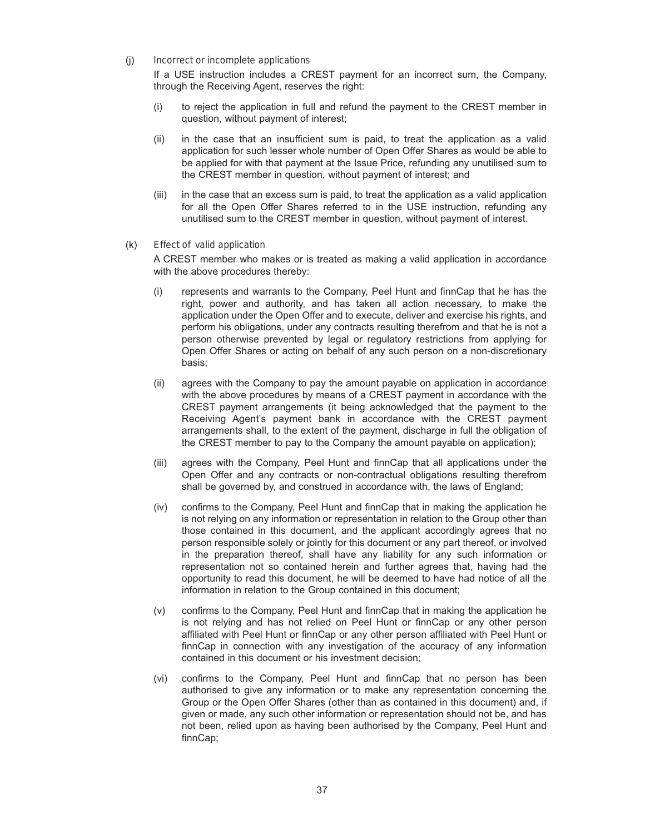(j) *Incorrect or incomplete applications*

If a USE instruction includes a CREST payment for an incorrect sum, the Company, through the Receiving Agent, reserves the right:

- (i) to reject the application in full and refund the payment to the CREST member in question, without payment of interest;
- (ii) in the case that an insufficient sum is paid, to treat the application as a valid application for such lesser whole number of Open Offer Shares as would be able to be applied for with that payment at the Issue Price, refunding any unutilised sum to the CREST member in question, without payment of interest; and
- (iii) in the case that an excess sum is paid, to treat the application as a valid application for all the Open Offer Shares referred to in the USE instruction, refunding any unutilised sum to the CREST member in question, without payment of interest.
- (k) *Effect of valid application*

A CREST member who makes or is treated as making a valid application in accordance with the above procedures thereby:

- (i) represents and warrants to the Company, Peel Hunt and finnCap that he has the right, power and authority, and has taken all action necessary, to make the application under the Open Offer and to execute, deliver and exercise his rights, and perform his obligations, under any contracts resulting therefrom and that he is not a person otherwise prevented by legal or regulatory restrictions from applying for Open Offer Shares or acting on behalf of any such person on a non-discretionary basis;
- (ii) agrees with the Company to pay the amount payable on application in accordance with the above procedures by means of a CREST payment in accordance with the CREST payment arrangements (it being acknowledged that the payment to the Receiving Agent's payment bank in accordance with the CREST payment arrangements shall, to the extent of the payment, discharge in full the obligation of the CREST member to pay to the Company the amount payable on application);
- (iii) agrees with the Company, Peel Hunt and finnCap that all applications under the Open Offer and any contracts or non-contractual obligations resulting therefrom shall be governed by, and construed in accordance with, the laws of England;
- (iv) confirms to the Company, Peel Hunt and finnCap that in making the application he is not relying on any information or representation in relation to the Group other than those contained in this document, and the applicant accordingly agrees that no person responsible solely or jointly for this document or any part thereof, or involved in the preparation thereof, shall have any liability for any such information or representation not so contained herein and further agrees that, having had the opportunity to read this document, he will be deemed to have had notice of all the information in relation to the Group contained in this document;
- (v) confirms to the Company, Peel Hunt and finnCap that in making the application he is not relying and has not relied on Peel Hunt or finnCap or any other person affiliated with Peel Hunt or finnCap or any other person affiliated with Peel Hunt or finnCap in connection with any investigation of the accuracy of any information contained in this document or his investment decision;
- (vi) confirms to the Company, Peel Hunt and finnCap that no person has been authorised to give any information or to make any representation concerning the Group or the Open Offer Shares (other than as contained in this document) and, if given or made, any such other information or representation should not be, and has not been, relied upon as having been authorised by the Company, Peel Hunt and finnCap;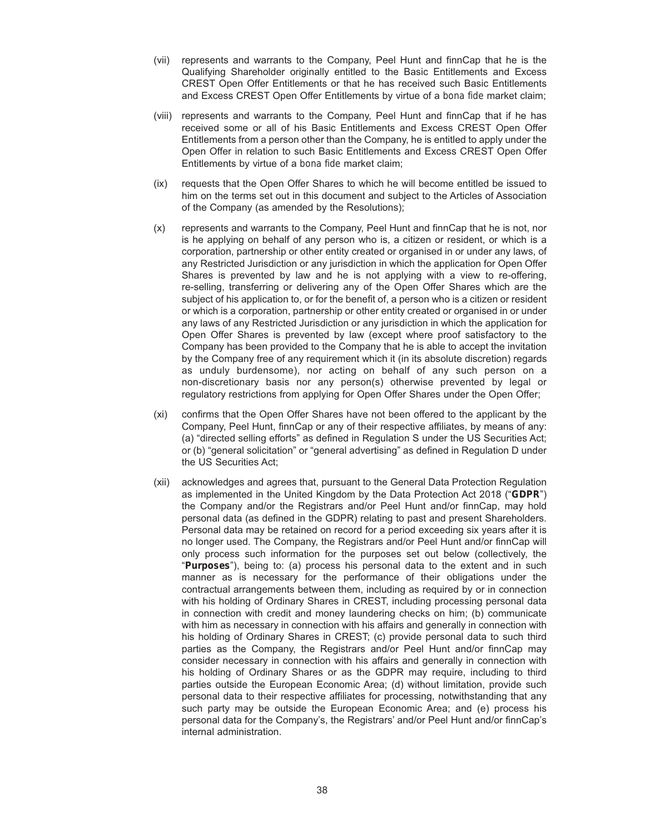- (vii) represents and warrants to the Company, Peel Hunt and finnCap that he is the Qualifying Shareholder originally entitled to the Basic Entitlements and Excess CREST Open Offer Entitlements or that he has received such Basic Entitlements and Excess CREST Open Offer Entitlements by virtue of a *bona fide* market claim;
- (viii) represents and warrants to the Company, Peel Hunt and finnCap that if he has received some or all of his Basic Entitlements and Excess CREST Open Offer Entitlements from a person other than the Company, he is entitled to apply under the Open Offer in relation to such Basic Entitlements and Excess CREST Open Offer Entitlements by virtue of a *bona fide* market claim;
- (ix) requests that the Open Offer Shares to which he will become entitled be issued to him on the terms set out in this document and subject to the Articles of Association of the Company (as amended by the Resolutions);
- (x) represents and warrants to the Company, Peel Hunt and finnCap that he is not, nor is he applying on behalf of any person who is, a citizen or resident, or which is a corporation, partnership or other entity created or organised in or under any laws, of any Restricted Jurisdiction or any jurisdiction in which the application for Open Offer Shares is prevented by law and he is not applying with a view to re-offering, re-selling, transferring or delivering any of the Open Offer Shares which are the subject of his application to, or for the benefit of, a person who is a citizen or resident or which is a corporation, partnership or other entity created or organised in or under any laws of any Restricted Jurisdiction or any jurisdiction in which the application for Open Offer Shares is prevented by law (except where proof satisfactory to the Company has been provided to the Company that he is able to accept the invitation by the Company free of any requirement which it (in its absolute discretion) regards as unduly burdensome), nor acting on behalf of any such person on a non-discretionary basis nor any person(s) otherwise prevented by legal or regulatory restrictions from applying for Open Offer Shares under the Open Offer;
- (xi) confirms that the Open Offer Shares have not been offered to the applicant by the Company, Peel Hunt, finnCap or any of their respective affiliates, by means of any: (a) "directed selling efforts" as defined in Regulation S under the US Securities Act; or (b) "general solicitation" or "general advertising" as defined in Regulation D under the US Securities Act;
- (xii) acknowledges and agrees that, pursuant to the General Data Protection Regulation as implemented in the United Kingdom by the Data Protection Act 2018 ("**GDPR**") the Company and/or the Registrars and/or Peel Hunt and/or finnCap, may hold personal data (as defined in the GDPR) relating to past and present Shareholders. Personal data may be retained on record for a period exceeding six years after it is no longer used. The Company, the Registrars and/or Peel Hunt and/or finnCap will only process such information for the purposes set out below (collectively, the "**Purposes**"), being to: (a) process his personal data to the extent and in such manner as is necessary for the performance of their obligations under the contractual arrangements between them, including as required by or in connection with his holding of Ordinary Shares in CREST, including processing personal data in connection with credit and money laundering checks on him; (b) communicate with him as necessary in connection with his affairs and generally in connection with his holding of Ordinary Shares in CREST; (c) provide personal data to such third parties as the Company, the Registrars and/or Peel Hunt and/or finnCap may consider necessary in connection with his affairs and generally in connection with his holding of Ordinary Shares or as the GDPR may require, including to third parties outside the European Economic Area; (d) without limitation, provide such personal data to their respective affiliates for processing, notwithstanding that any such party may be outside the European Economic Area; and (e) process his personal data for the Company's, the Registrars' and/or Peel Hunt and/or finnCap's internal administration.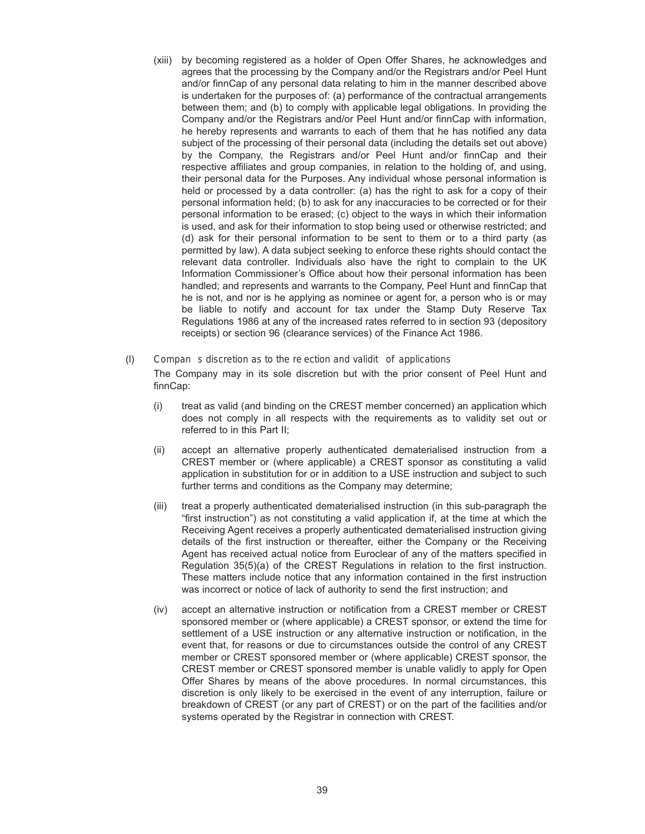- (xiii) by becoming registered as a holder of Open Offer Shares, he acknowledges and agrees that the processing by the Company and/or the Registrars and/or Peel Hunt and/or finnCap of any personal data relating to him in the manner described above is undertaken for the purposes of: (a) performance of the contractual arrangements between them; and (b) to comply with applicable legal obligations. In providing the Company and/or the Registrars and/or Peel Hunt and/or finnCap with information, he hereby represents and warrants to each of them that he has notified any data subject of the processing of their personal data (including the details set out above) by the Company, the Registrars and/or Peel Hunt and/or finnCap and their respective affiliates and group companies, in relation to the holding of, and using, their personal data for the Purposes. Any individual whose personal information is held or processed by a data controller: (a) has the right to ask for a copy of their personal information held; (b) to ask for any inaccuracies to be corrected or for their personal information to be erased; (c) object to the ways in which their information is used, and ask for their information to stop being used or otherwise restricted; and (d) ask for their personal information to be sent to them or to a third party (as permitted by law). A data subject seeking to enforce these rights should contact the relevant data controller. Individuals also have the right to complain to the UK Information Commissioner's Office about how their personal information has been handled; and represents and warrants to the Company, Peel Hunt and finnCap that he is not, and nor is he applying as nominee or agent for, a person who is or may be liable to notify and account for tax under the Stamp Duty Reserve Tax Regulations 1986 at any of the increased rates referred to in section 93 (depository receipts) or section 96 (clearance services) of the Finance Act 1986.
- (l) *Compan s discretion as to the re ection and validit of applications* The Company may in its sole discretion but with the prior consent of Peel Hunt and finnCap:
	- (i) treat as valid (and binding on the CREST member concerned) an application which does not comply in all respects with the requirements as to validity set out or referred to in this Part II;
	- (ii) accept an alternative properly authenticated dematerialised instruction from a CREST member or (where applicable) a CREST sponsor as constituting a valid application in substitution for or in addition to a USE instruction and subject to such further terms and conditions as the Company may determine;
	- (iii) treat a properly authenticated dematerialised instruction (in this sub-paragraph the "first instruction") as not constituting a valid application if, at the time at which the Receiving Agent receives a properly authenticated dematerialised instruction giving details of the first instruction or thereafter, either the Company or the Receiving Agent has received actual notice from Euroclear of any of the matters specified in Regulation 35(5)(a) of the CREST Regulations in relation to the first instruction. These matters include notice that any information contained in the first instruction was incorrect or notice of lack of authority to send the first instruction; and
	- (iv) accept an alternative instruction or notification from a CREST member or CREST sponsored member or (where applicable) a CREST sponsor, or extend the time for settlement of a USE instruction or any alternative instruction or notification, in the event that, for reasons or due to circumstances outside the control of any CREST member or CREST sponsored member or (where applicable) CREST sponsor, the CREST member or CREST sponsored member is unable validly to apply for Open Offer Shares by means of the above procedures. In normal circumstances, this discretion is only likely to be exercised in the event of any interruption, failure or breakdown of CREST (or any part of CREST) or on the part of the facilities and/or systems operated by the Registrar in connection with CREST.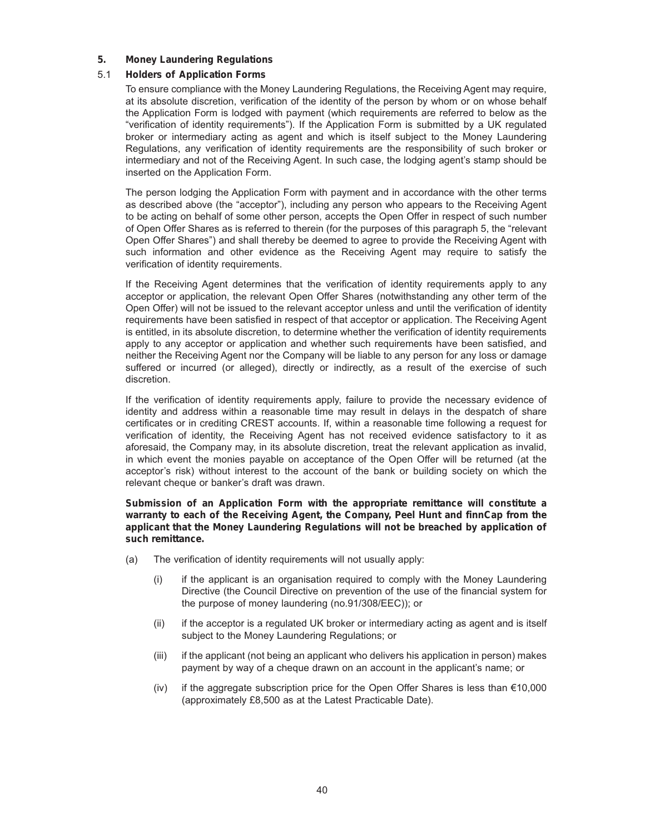#### **5. Money Laundering Regulations**

#### 5.1 *Holders of Application Forms*

To ensure compliance with the Money Laundering Regulations, the Receiving Agent may require, at its absolute discretion, verification of the identity of the person by whom or on whose behalf the Application Form is lodged with payment (which requirements are referred to below as the "verification of identity requirements"). If the Application Form is submitted by a UK regulated broker or intermediary acting as agent and which is itself subject to the Money Laundering Regulations, any verification of identity requirements are the responsibility of such broker or intermediary and not of the Receiving Agent. In such case, the lodging agent's stamp should be inserted on the Application Form.

The person lodging the Application Form with payment and in accordance with the other terms as described above (the "acceptor"), including any person who appears to the Receiving Agent to be acting on behalf of some other person, accepts the Open Offer in respect of such number of Open Offer Shares as is referred to therein (for the purposes of this paragraph 5, the "relevant Open Offer Shares") and shall thereby be deemed to agree to provide the Receiving Agent with such information and other evidence as the Receiving Agent may require to satisfy the verification of identity requirements.

If the Receiving Agent determines that the verification of identity requirements apply to any acceptor or application, the relevant Open Offer Shares (notwithstanding any other term of the Open Offer) will not be issued to the relevant acceptor unless and until the verification of identity requirements have been satisfied in respect of that acceptor or application. The Receiving Agent is entitled, in its absolute discretion, to determine whether the verification of identity requirements apply to any acceptor or application and whether such requirements have been satisfied, and neither the Receiving Agent nor the Company will be liable to any person for any loss or damage suffered or incurred (or alleged), directly or indirectly, as a result of the exercise of such discretion.

If the verification of identity requirements apply, failure to provide the necessary evidence of identity and address within a reasonable time may result in delays in the despatch of share certificates or in crediting CREST accounts. If, within a reasonable time following a request for verification of identity, the Receiving Agent has not received evidence satisfactory to it as aforesaid, the Company may, in its absolute discretion, treat the relevant application as invalid, in which event the monies payable on acceptance of the Open Offer will be returned (at the acceptor's risk) without interest to the account of the bank or building society on which the relevant cheque or banker's draft was drawn.

**Submission of an Application Form with the appropriate remittance will constitute a warranty to each of the Receiving Agent, the Company, Peel Hunt and finnCap from the applicant that the Money Laundering Regulations will not be breached by application of such remittance.**

- (a) The verification of identity requirements will not usually apply:
	- (i) if the applicant is an organisation required to comply with the Money Laundering Directive (the Council Directive on prevention of the use of the financial system for the purpose of money laundering (no.91/308/EEC)); or
	- (ii) if the acceptor is a regulated UK broker or intermediary acting as agent and is itself subject to the Money Laundering Regulations; or
	- (iii) if the applicant (not being an applicant who delivers his application in person) makes payment by way of a cheque drawn on an account in the applicant's name; or
	- (iv) if the aggregate subscription price for the Open Offer Shares is less than  $€10,000$ (approximately £8,500 as at the Latest Practicable Date).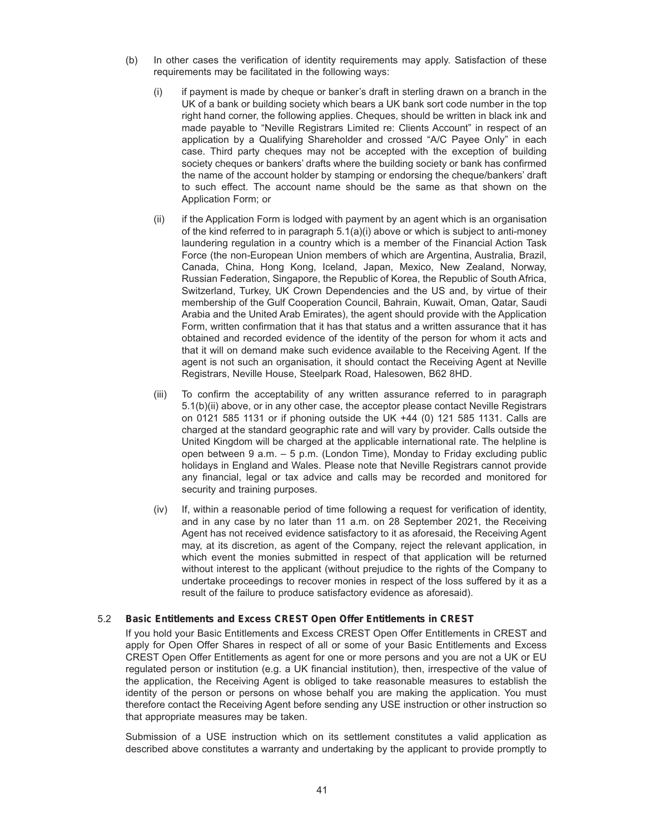- (b) In other cases the verification of identity requirements may apply. Satisfaction of these requirements may be facilitated in the following ways:
	- (i) if payment is made by cheque or banker's draft in sterling drawn on a branch in the UK of a bank or building society which bears a UK bank sort code number in the top right hand corner, the following applies. Cheques, should be written in black ink and made payable to "Neville Registrars Limited re: Clients Account" in respect of an application by a Qualifying Shareholder and crossed "A/C Payee Only" in each case. Third party cheques may not be accepted with the exception of building society cheques or bankers' drafts where the building society or bank has confirmed the name of the account holder by stamping or endorsing the cheque/bankers' draft to such effect. The account name should be the same as that shown on the Application Form; or
	- (ii) if the Application Form is lodged with payment by an agent which is an organisation of the kind referred to in paragraph 5.1(a)(i) above or which is subject to anti-money laundering regulation in a country which is a member of the Financial Action Task Force (the non-European Union members of which are Argentina, Australia, Brazil, Canada, China, Hong Kong, Iceland, Japan, Mexico, New Zealand, Norway, Russian Federation, Singapore, the Republic of Korea, the Republic of South Africa, Switzerland, Turkey, UK Crown Dependencies and the US and, by virtue of their membership of the Gulf Cooperation Council, Bahrain, Kuwait, Oman, Qatar, Saudi Arabia and the United Arab Emirates), the agent should provide with the Application Form, written confirmation that it has that status and a written assurance that it has obtained and recorded evidence of the identity of the person for whom it acts and that it will on demand make such evidence available to the Receiving Agent. If the agent is not such an organisation, it should contact the Receiving Agent at Neville Registrars, Neville House, Steelpark Road, Halesowen, B62 8HD.
	- (iii) To confirm the acceptability of any written assurance referred to in paragraph 5.1(b)(ii) above, or in any other case, the acceptor please contact Neville Registrars on 0121 585 1131 or if phoning outside the UK +44 (0) 121 585 1131. Calls are charged at the standard geographic rate and will vary by provider. Calls outside the United Kingdom will be charged at the applicable international rate. The helpline is open between 9 a.m. – 5 p.m. (London Time), Monday to Friday excluding public holidays in England and Wales. Please note that Neville Registrars cannot provide any financial, legal or tax advice and calls may be recorded and monitored for security and training purposes.
	- (iv) If, within a reasonable period of time following a request for verification of identity, and in any case by no later than 11 a.m. on 28 September 2021, the Receiving Agent has not received evidence satisfactory to it as aforesaid, the Receiving Agent may, at its discretion, as agent of the Company, reject the relevant application, in which event the monies submitted in respect of that application will be returned without interest to the applicant (without prejudice to the rights of the Company to undertake proceedings to recover monies in respect of the loss suffered by it as a result of the failure to produce satisfactory evidence as aforesaid).

#### 5.2 *Basic Entitlements and Excess CREST Open Offer Entitlements in CREST*

If you hold your Basic Entitlements and Excess CREST Open Offer Entitlements in CREST and apply for Open Offer Shares in respect of all or some of your Basic Entitlements and Excess CREST Open Offer Entitlements as agent for one or more persons and you are not a UK or EU regulated person or institution (e.g. a UK financial institution), then, irrespective of the value of the application, the Receiving Agent is obliged to take reasonable measures to establish the identity of the person or persons on whose behalf you are making the application. You must therefore contact the Receiving Agent before sending any USE instruction or other instruction so that appropriate measures may be taken.

Submission of a USE instruction which on its settlement constitutes a valid application as described above constitutes a warranty and undertaking by the applicant to provide promptly to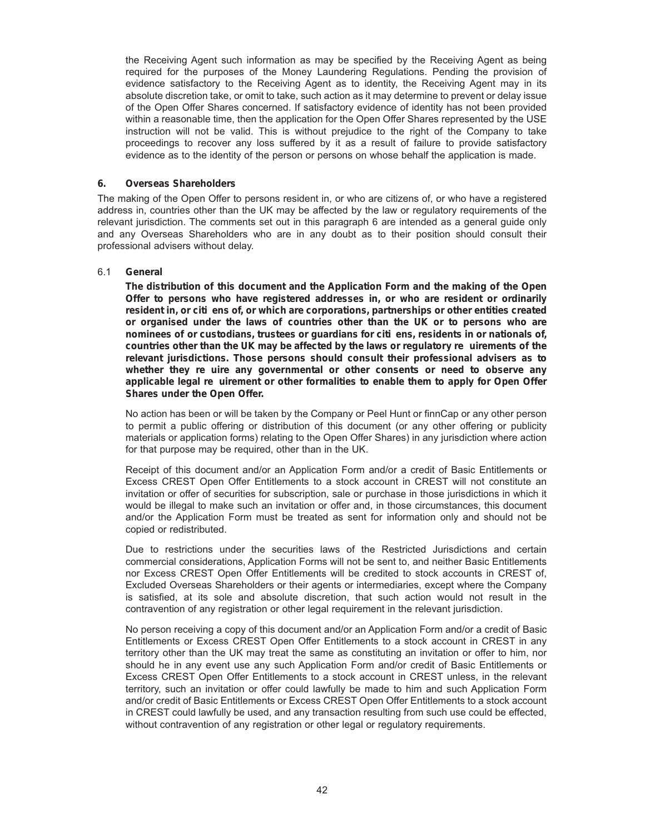the Receiving Agent such information as may be specified by the Receiving Agent as being required for the purposes of the Money Laundering Regulations. Pending the provision of evidence satisfactory to the Receiving Agent as to identity, the Receiving Agent may in its absolute discretion take, or omit to take, such action as it may determine to prevent or delay issue of the Open Offer Shares concerned. If satisfactory evidence of identity has not been provided within a reasonable time, then the application for the Open Offer Shares represented by the USE instruction will not be valid. This is without prejudice to the right of the Company to take proceedings to recover any loss suffered by it as a result of failure to provide satisfactory evidence as to the identity of the person or persons on whose behalf the application is made.

#### **6. Overseas Shareholders**

The making of the Open Offer to persons resident in, or who are citizens of, or who have a registered address in, countries other than the UK may be affected by the law or regulatory requirements of the relevant jurisdiction. The comments set out in this paragraph 6 are intended as a general guide only and any Overseas Shareholders who are in any doubt as to their position should consult their professional advisers without delay.

#### 6.1 *General*

**The distribution of this document and the Application Form and the making of the Open Offer to persons who have registered addresses in, or who are resident or ordinarily resident in, or citi ens of, or which are corporations, partnerships or other entities created or organised under the laws of countries other than the UK or to persons who are nominees of or custodians, trustees or guardians for citi ens, residents in or nationals of, countries other than the UK may be affected by the laws or regulatory re uirements of the relevant jurisdictions. Those persons should consult their professional advisers as to whether they re uire any governmental or other consents or need to observe any applicable legal re uirement or other formalities to enable them to apply for Open Offer Shares under the Open Offer.**

No action has been or will be taken by the Company or Peel Hunt or finnCap or any other person to permit a public offering or distribution of this document (or any other offering or publicity materials or application forms) relating to the Open Offer Shares) in any jurisdiction where action for that purpose may be required, other than in the UK.

Receipt of this document and/or an Application Form and/or a credit of Basic Entitlements or Excess CREST Open Offer Entitlements to a stock account in CREST will not constitute an invitation or offer of securities for subscription, sale or purchase in those jurisdictions in which it would be illegal to make such an invitation or offer and, in those circumstances, this document and/or the Application Form must be treated as sent for information only and should not be copied or redistributed.

Due to restrictions under the securities laws of the Restricted Jurisdictions and certain commercial considerations, Application Forms will not be sent to, and neither Basic Entitlements nor Excess CREST Open Offer Entitlements will be credited to stock accounts in CREST of, Excluded Overseas Shareholders or their agents or intermediaries, except where the Company is satisfied, at its sole and absolute discretion, that such action would not result in the contravention of any registration or other legal requirement in the relevant jurisdiction.

No person receiving a copy of this document and/or an Application Form and/or a credit of Basic Entitlements or Excess CREST Open Offer Entitlements to a stock account in CREST in any territory other than the UK may treat the same as constituting an invitation or offer to him, nor should he in any event use any such Application Form and/or credit of Basic Entitlements or Excess CREST Open Offer Entitlements to a stock account in CREST unless, in the relevant territory, such an invitation or offer could lawfully be made to him and such Application Form and/or credit of Basic Entitlements or Excess CREST Open Offer Entitlements to a stock account in CREST could lawfully be used, and any transaction resulting from such use could be effected, without contravention of any registration or other legal or regulatory requirements.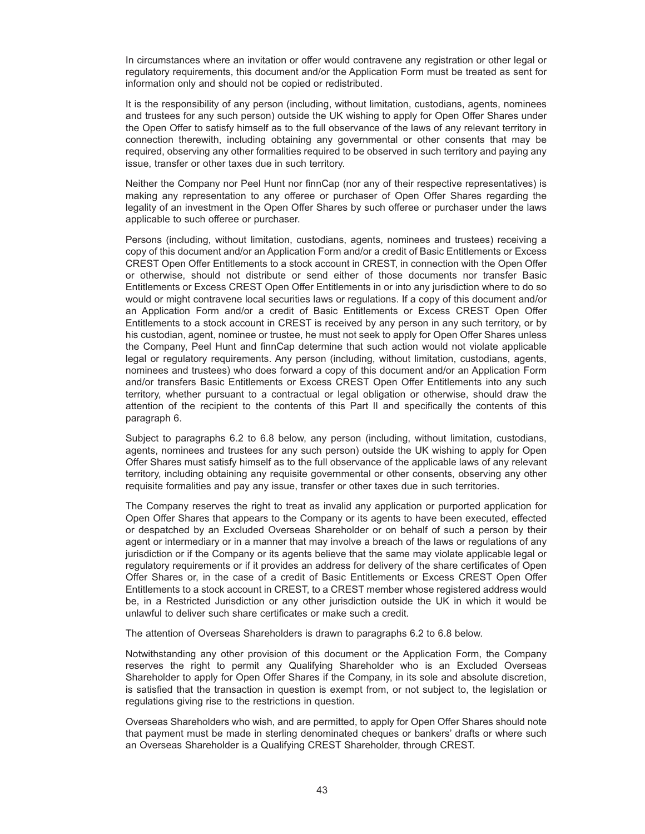In circumstances where an invitation or offer would contravene any registration or other legal or regulatory requirements, this document and/or the Application Form must be treated as sent for information only and should not be copied or redistributed.

It is the responsibility of any person (including, without limitation, custodians, agents, nominees and trustees for any such person) outside the UK wishing to apply for Open Offer Shares under the Open Offer to satisfy himself as to the full observance of the laws of any relevant territory in connection therewith, including obtaining any governmental or other consents that may be required, observing any other formalities required to be observed in such territory and paying any issue, transfer or other taxes due in such territory.

Neither the Company nor Peel Hunt nor finnCap (nor any of their respective representatives) is making any representation to any offeree or purchaser of Open Offer Shares regarding the legality of an investment in the Open Offer Shares by such offeree or purchaser under the laws applicable to such offeree or purchaser.

Persons (including, without limitation, custodians, agents, nominees and trustees) receiving a copy of this document and/or an Application Form and/or a credit of Basic Entitlements or Excess CREST Open Offer Entitlements to a stock account in CREST, in connection with the Open Offer or otherwise, should not distribute or send either of those documents nor transfer Basic Entitlements or Excess CREST Open Offer Entitlements in or into any jurisdiction where to do so would or might contravene local securities laws or regulations. If a copy of this document and/or an Application Form and/or a credit of Basic Entitlements or Excess CREST Open Offer Entitlements to a stock account in CREST is received by any person in any such territory, or by his custodian, agent, nominee or trustee, he must not seek to apply for Open Offer Shares unless the Company, Peel Hunt and finnCap determine that such action would not violate applicable legal or regulatory requirements. Any person (including, without limitation, custodians, agents, nominees and trustees) who does forward a copy of this document and/or an Application Form and/or transfers Basic Entitlements or Excess CREST Open Offer Entitlements into any such territory, whether pursuant to a contractual or legal obligation or otherwise, should draw the attention of the recipient to the contents of this Part lI and specifically the contents of this paragraph 6.

Subject to paragraphs 6.2 to 6.8 below, any person (including, without limitation, custodians, agents, nominees and trustees for any such person) outside the UK wishing to apply for Open Offer Shares must satisfy himself as to the full observance of the applicable laws of any relevant territory, including obtaining any requisite governmental or other consents, observing any other requisite formalities and pay any issue, transfer or other taxes due in such territories.

The Company reserves the right to treat as invalid any application or purported application for Open Offer Shares that appears to the Company or its agents to have been executed, effected or despatched by an Excluded Overseas Shareholder or on behalf of such a person by their agent or intermediary or in a manner that may involve a breach of the laws or regulations of any jurisdiction or if the Company or its agents believe that the same may violate applicable legal or regulatory requirements or if it provides an address for delivery of the share certificates of Open Offer Shares or, in the case of a credit of Basic Entitlements or Excess CREST Open Offer Entitlements to a stock account in CREST, to a CREST member whose registered address would be, in a Restricted Jurisdiction or any other jurisdiction outside the UK in which it would be unlawful to deliver such share certificates or make such a credit.

The attention of Overseas Shareholders is drawn to paragraphs 6.2 to 6.8 below.

Notwithstanding any other provision of this document or the Application Form, the Company reserves the right to permit any Qualifying Shareholder who is an Excluded Overseas Shareholder to apply for Open Offer Shares if the Company, in its sole and absolute discretion, is satisfied that the transaction in question is exempt from, or not subject to, the legislation or regulations giving rise to the restrictions in question.

Overseas Shareholders who wish, and are permitted, to apply for Open Offer Shares should note that payment must be made in sterling denominated cheques or bankers' drafts or where such an Overseas Shareholder is a Qualifying CREST Shareholder, through CREST.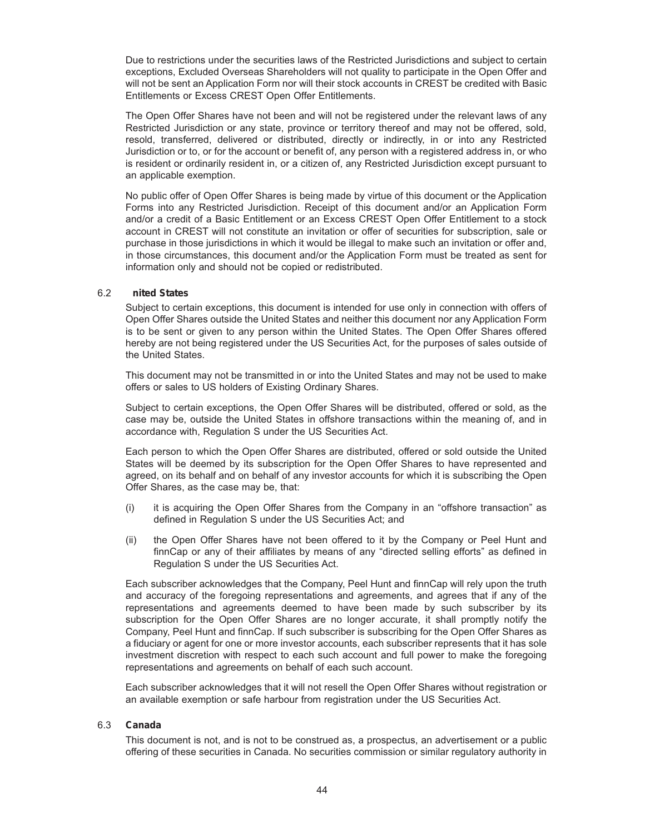Due to restrictions under the securities laws of the Restricted Jurisdictions and subject to certain exceptions, Excluded Overseas Shareholders will not quality to participate in the Open Offer and will not be sent an Application Form nor will their stock accounts in CREST be credited with Basic Entitlements or Excess CREST Open Offer Entitlements.

The Open Offer Shares have not been and will not be registered under the relevant laws of any Restricted Jurisdiction or any state, province or territory thereof and may not be offered, sold, resold, transferred, delivered or distributed, directly or indirectly, in or into any Restricted Jurisdiction or to, or for the account or benefit of, any person with a registered address in, or who is resident or ordinarily resident in, or a citizen of, any Restricted Jurisdiction except pursuant to an applicable exemption.

No public offer of Open Offer Shares is being made by virtue of this document or the Application Forms into any Restricted Jurisdiction. Receipt of this document and/or an Application Form and/or a credit of a Basic Entitlement or an Excess CREST Open Offer Entitlement to a stock account in CREST will not constitute an invitation or offer of securities for subscription, sale or purchase in those jurisdictions in which it would be illegal to make such an invitation or offer and, in those circumstances, this document and/or the Application Form must be treated as sent for information only and should not be copied or redistributed.

#### 6.2 *nited States*

Subject to certain exceptions, this document is intended for use only in connection with offers of Open Offer Shares outside the United States and neither this document nor any Application Form is to be sent or given to any person within the United States. The Open Offer Shares offered hereby are not being registered under the US Securities Act, for the purposes of sales outside of the United States.

This document may not be transmitted in or into the United States and may not be used to make offers or sales to US holders of Existing Ordinary Shares.

Subject to certain exceptions, the Open Offer Shares will be distributed, offered or sold, as the case may be, outside the United States in offshore transactions within the meaning of, and in accordance with, Regulation S under the US Securities Act.

Each person to which the Open Offer Shares are distributed, offered or sold outside the United States will be deemed by its subscription for the Open Offer Shares to have represented and agreed, on its behalf and on behalf of any investor accounts for which it is subscribing the Open Offer Shares, as the case may be, that:

- (i) it is acquiring the Open Offer Shares from the Company in an "offshore transaction" as defined in Regulation S under the US Securities Act; and
- (ii) the Open Offer Shares have not been offered to it by the Company or Peel Hunt and finnCap or any of their affiliates by means of any "directed selling efforts" as defined in Regulation S under the US Securities Act.

Each subscriber acknowledges that the Company, Peel Hunt and finnCap will rely upon the truth and accuracy of the foregoing representations and agreements, and agrees that if any of the representations and agreements deemed to have been made by such subscriber by its subscription for the Open Offer Shares are no longer accurate, it shall promptly notify the Company, Peel Hunt and finnCap. If such subscriber is subscribing for the Open Offer Shares as a fiduciary or agent for one or more investor accounts, each subscriber represents that it has sole investment discretion with respect to each such account and full power to make the foregoing representations and agreements on behalf of each such account.

Each subscriber acknowledges that it will not resell the Open Offer Shares without registration or an available exemption or safe harbour from registration under the US Securities Act.

6.3 *Canada*

This document is not, and is not to be construed as, a prospectus, an advertisement or a public offering of these securities in Canada. No securities commission or similar regulatory authority in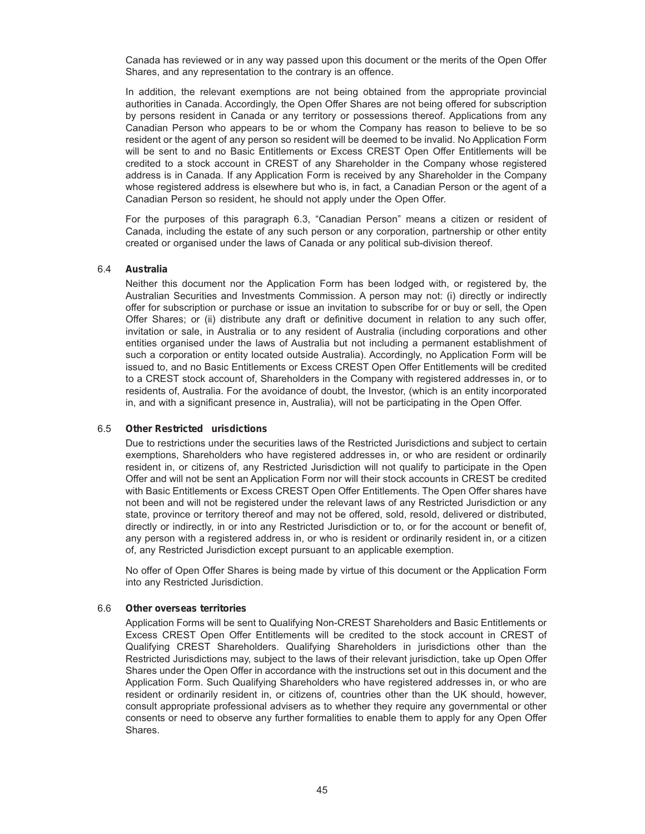Canada has reviewed or in any way passed upon this document or the merits of the Open Offer Shares, and any representation to the contrary is an offence.

In addition, the relevant exemptions are not being obtained from the appropriate provincial authorities in Canada. Accordingly, the Open Offer Shares are not being offered for subscription by persons resident in Canada or any territory or possessions thereof. Applications from any Canadian Person who appears to be or whom the Company has reason to believe to be so resident or the agent of any person so resident will be deemed to be invalid. No Application Form will be sent to and no Basic Entitlements or Excess CREST Open Offer Entitlements will be credited to a stock account in CREST of any Shareholder in the Company whose registered address is in Canada. If any Application Form is received by any Shareholder in the Company whose registered address is elsewhere but who is, in fact, a Canadian Person or the agent of a Canadian Person so resident, he should not apply under the Open Offer.

For the purposes of this paragraph 6.3, "Canadian Person" means a citizen or resident of Canada, including the estate of any such person or any corporation, partnership or other entity created or organised under the laws of Canada or any political sub-division thereof.

#### 6.4 *Australia*

Neither this document nor the Application Form has been lodged with, or registered by, the Australian Securities and Investments Commission. A person may not: (i) directly or indirectly offer for subscription or purchase or issue an invitation to subscribe for or buy or sell, the Open Offer Shares; or (ii) distribute any draft or definitive document in relation to any such offer, invitation or sale, in Australia or to any resident of Australia (including corporations and other entities organised under the laws of Australia but not including a permanent establishment of such a corporation or entity located outside Australia). Accordingly, no Application Form will be issued to, and no Basic Entitlements or Excess CREST Open Offer Entitlements will be credited to a CREST stock account of, Shareholders in the Company with registered addresses in, or to residents of, Australia. For the avoidance of doubt, the Investor, (which is an entity incorporated in, and with a significant presence in, Australia), will not be participating in the Open Offer.

#### 6.5 *Other Restricted urisdictions*

Due to restrictions under the securities laws of the Restricted Jurisdictions and subject to certain exemptions, Shareholders who have registered addresses in, or who are resident or ordinarily resident in, or citizens of, any Restricted Jurisdiction will not qualify to participate in the Open Offer and will not be sent an Application Form nor will their stock accounts in CREST be credited with Basic Entitlements or Excess CREST Open Offer Entitlements. The Open Offer shares have not been and will not be registered under the relevant laws of any Restricted Jurisdiction or any state, province or territory thereof and may not be offered, sold, resold, delivered or distributed, directly or indirectly, in or into any Restricted Jurisdiction or to, or for the account or benefit of, any person with a registered address in, or who is resident or ordinarily resident in, or a citizen of, any Restricted Jurisdiction except pursuant to an applicable exemption.

No offer of Open Offer Shares is being made by virtue of this document or the Application Form into any Restricted Jurisdiction.

#### 6.6 *Other overseas territories*

Application Forms will be sent to Qualifying Non-CREST Shareholders and Basic Entitlements or Excess CREST Open Offer Entitlements will be credited to the stock account in CREST of Qualifying CREST Shareholders. Qualifying Shareholders in jurisdictions other than the Restricted Jurisdictions may, subject to the laws of their relevant jurisdiction, take up Open Offer Shares under the Open Offer in accordance with the instructions set out in this document and the Application Form. Such Qualifying Shareholders who have registered addresses in, or who are resident or ordinarily resident in, or citizens of, countries other than the UK should, however, consult appropriate professional advisers as to whether they require any governmental or other consents or need to observe any further formalities to enable them to apply for any Open Offer Shares.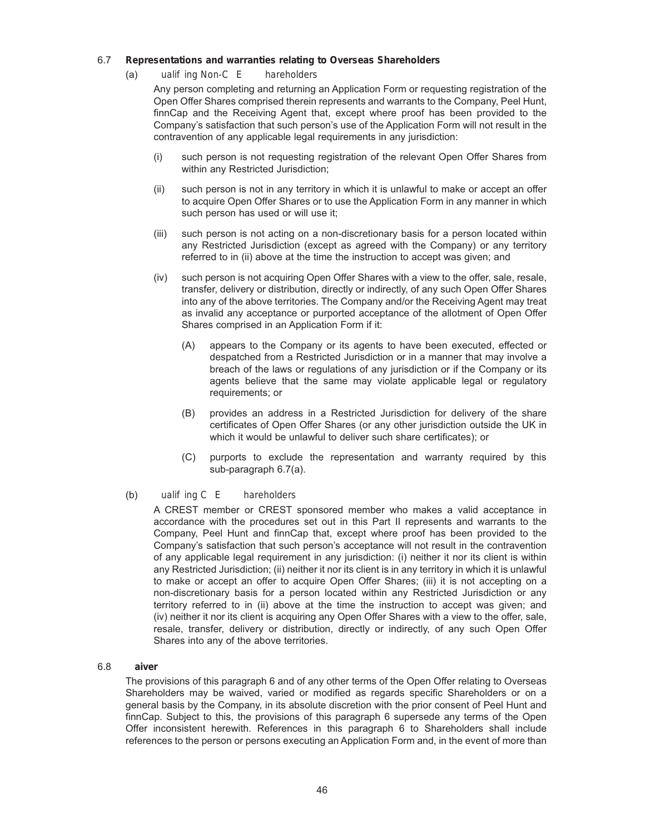- 6.7 *Representations and warranties relating to Overseas Shareholders*
	- (a) *ualif ing Non-C E hareholders*

Any person completing and returning an Application Form or requesting registration of the Open Offer Shares comprised therein represents and warrants to the Company, Peel Hunt, finnCap and the Receiving Agent that, except where proof has been provided to the Company's satisfaction that such person's use of the Application Form will not result in the contravention of any applicable legal requirements in any jurisdiction:

- (i) such person is not requesting registration of the relevant Open Offer Shares from within any Restricted Jurisdiction;
- (ii) such person is not in any territory in which it is unlawful to make or accept an offer to acquire Open Offer Shares or to use the Application Form in any manner in which such person has used or will use it;
- (iii) such person is not acting on a non-discretionary basis for a person located within any Restricted Jurisdiction (except as agreed with the Company) or any territory referred to in (ii) above at the time the instruction to accept was given; and
- (iv) such person is not acquiring Open Offer Shares with a view to the offer, sale, resale, transfer, delivery or distribution, directly or indirectly, of any such Open Offer Shares into any of the above territories. The Company and/or the Receiving Agent may treat as invalid any acceptance or purported acceptance of the allotment of Open Offer Shares comprised in an Application Form if it:
	- (A) appears to the Company or its agents to have been executed, effected or despatched from a Restricted Jurisdiction or in a manner that may involve a breach of the laws or regulations of any jurisdiction or if the Company or its agents believe that the same may violate applicable legal or regulatory requirements; or
	- (B) provides an address in a Restricted Jurisdiction for delivery of the share certificates of Open Offer Shares (or any other jurisdiction outside the UK in which it would be unlawful to deliver such share certificates); or
	- (C) purports to exclude the representation and warranty required by this sub-paragraph 6.7(a).
- (b) *ualif ing C E hareholders*

A CREST member or CREST sponsored member who makes a valid acceptance in accordance with the procedures set out in this Part II represents and warrants to the Company, Peel Hunt and finnCap that, except where proof has been provided to the Company's satisfaction that such person's acceptance will not result in the contravention of any applicable legal requirement in any jurisdiction: (i) neither it nor its client is within any Restricted Jurisdiction; (ii) neither it nor its client is in any territory in which it is unlawful to make or accept an offer to acquire Open Offer Shares; (iii) it is not accepting on a non-discretionary basis for a person located within any Restricted Jurisdiction or any territory referred to in (ii) above at the time the instruction to accept was given; and (iv) neither it nor its client is acquiring any Open Offer Shares with a view to the offer, sale, resale, transfer, delivery or distribution, directly or indirectly, of any such Open Offer Shares into any of the above territories.

6.8 *aiver*

The provisions of this paragraph 6 and of any other terms of the Open Offer relating to Overseas Shareholders may be waived, varied or modified as regards specific Shareholders or on a general basis by the Company, in its absolute discretion with the prior consent of Peel Hunt and finnCap. Subject to this, the provisions of this paragraph 6 supersede any terms of the Open Offer inconsistent herewith. References in this paragraph 6 to Shareholders shall include references to the person or persons executing an Application Form and, in the event of more than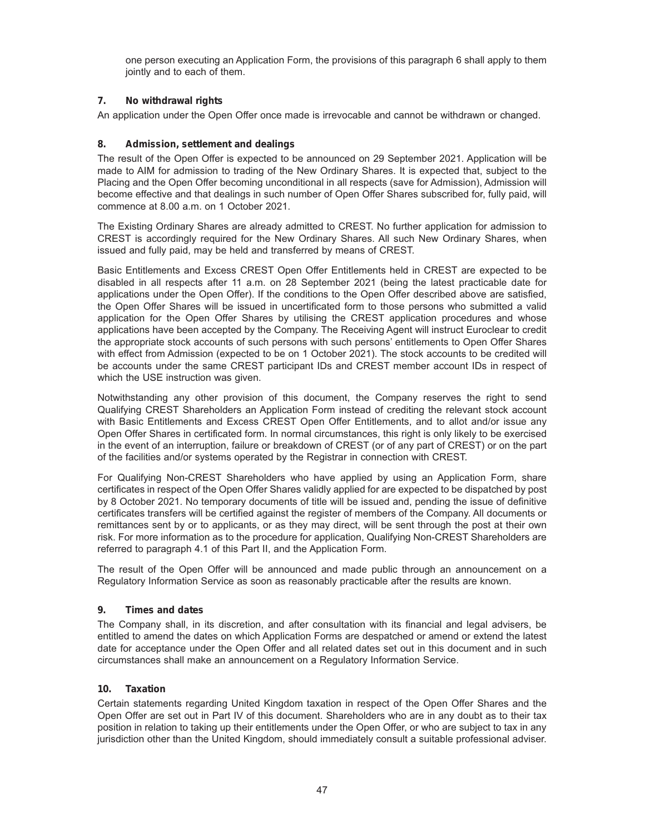one person executing an Application Form, the provisions of this paragraph 6 shall apply to them jointly and to each of them.

## **7. No withdrawal rights**

An application under the Open Offer once made is irrevocable and cannot be withdrawn or changed.

#### **8. Admission, settlement and dealings**

The result of the Open Offer is expected to be announced on 29 September 2021. Application will be made to AIM for admission to trading of the New Ordinary Shares. It is expected that, subject to the Placing and the Open Offer becoming unconditional in all respects (save for Admission), Admission will become effective and that dealings in such number of Open Offer Shares subscribed for, fully paid, will commence at 8.00 a.m. on 1 October 2021.

The Existing Ordinary Shares are already admitted to CREST. No further application for admission to CREST is accordingly required for the New Ordinary Shares. All such New Ordinary Shares, when issued and fully paid, may be held and transferred by means of CREST.

Basic Entitlements and Excess CREST Open Offer Entitlements held in CREST are expected to be disabled in all respects after 11 a.m. on 28 September 2021 (being the latest practicable date for applications under the Open Offer). If the conditions to the Open Offer described above are satisfied, the Open Offer Shares will be issued in uncertificated form to those persons who submitted a valid application for the Open Offer Shares by utilising the CREST application procedures and whose applications have been accepted by the Company. The Receiving Agent will instruct Euroclear to credit the appropriate stock accounts of such persons with such persons' entitlements to Open Offer Shares with effect from Admission (expected to be on 1 October 2021). The stock accounts to be credited will be accounts under the same CREST participant IDs and CREST member account IDs in respect of which the USE instruction was given.

Notwithstanding any other provision of this document, the Company reserves the right to send Qualifying CREST Shareholders an Application Form instead of crediting the relevant stock account with Basic Entitlements and Excess CREST Open Offer Entitlements, and to allot and/or issue any Open Offer Shares in certificated form. In normal circumstances, this right is only likely to be exercised in the event of an interruption, failure or breakdown of CREST (or of any part of CREST) or on the part of the facilities and/or systems operated by the Registrar in connection with CREST.

For Qualifying Non-CREST Shareholders who have applied by using an Application Form, share certificates in respect of the Open Offer Shares validly applied for are expected to be dispatched by post by 8 October 2021. No temporary documents of title will be issued and, pending the issue of definitive certificates transfers will be certified against the register of members of the Company. All documents or remittances sent by or to applicants, or as they may direct, will be sent through the post at their own risk. For more information as to the procedure for application, Qualifying Non-CREST Shareholders are referred to paragraph 4.1 of this Part II, and the Application Form.

The result of the Open Offer will be announced and made public through an announcement on a Regulatory Information Service as soon as reasonably practicable after the results are known.

#### **9. Times and dates**

The Company shall, in its discretion, and after consultation with its financial and legal advisers, be entitled to amend the dates on which Application Forms are despatched or amend or extend the latest date for acceptance under the Open Offer and all related dates set out in this document and in such circumstances shall make an announcement on a Regulatory Information Service.

## **10. Taxation**

Certain statements regarding United Kingdom taxation in respect of the Open Offer Shares and the Open Offer are set out in Part IV of this document. Shareholders who are in any doubt as to their tax position in relation to taking up their entitlements under the Open Offer, or who are subject to tax in any jurisdiction other than the United Kingdom, should immediately consult a suitable professional adviser.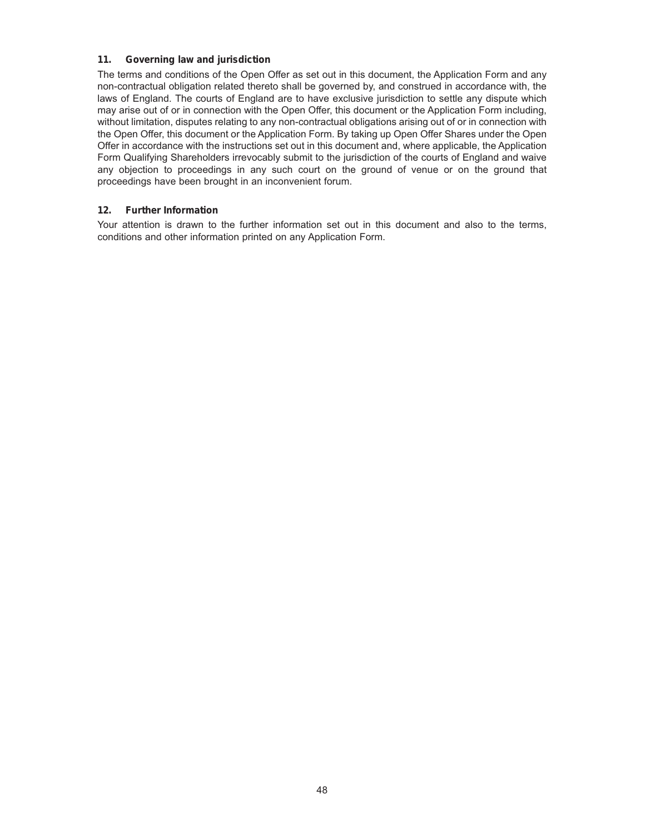## **11. Governing law and jurisdiction**

The terms and conditions of the Open Offer as set out in this document, the Application Form and any non-contractual obligation related thereto shall be governed by, and construed in accordance with, the laws of England. The courts of England are to have exclusive jurisdiction to settle any dispute which may arise out of or in connection with the Open Offer, this document or the Application Form including, without limitation, disputes relating to any non-contractual obligations arising out of or in connection with the Open Offer, this document or the Application Form. By taking up Open Offer Shares under the Open Offer in accordance with the instructions set out in this document and, where applicable, the Application Form Qualifying Shareholders irrevocably submit to the jurisdiction of the courts of England and waive any objection to proceedings in any such court on the ground of venue or on the ground that proceedings have been brought in an inconvenient forum.

#### **12. Further Information**

Your attention is drawn to the further information set out in this document and also to the terms, conditions and other information printed on any Application Form.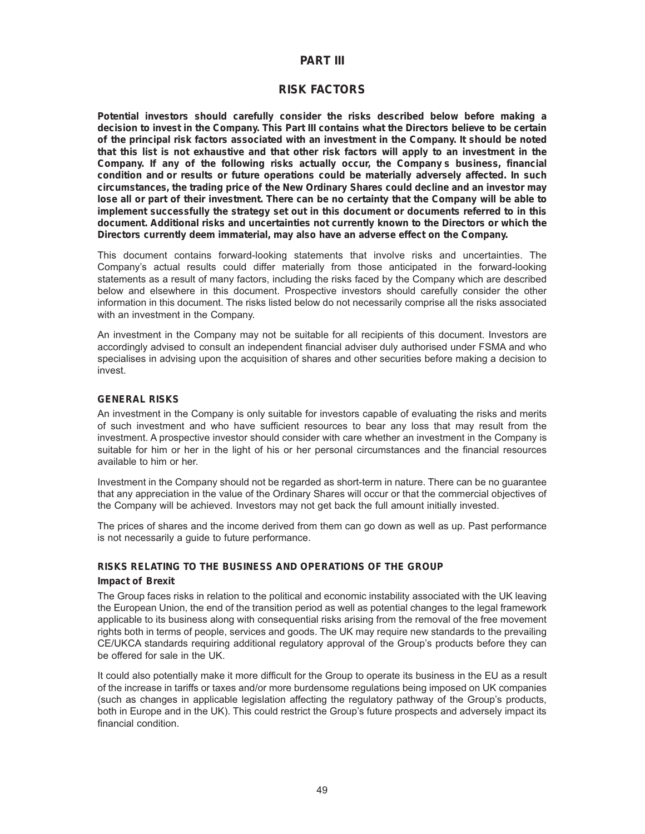## **PART III**

## **RISK FACTORS**

**Potential investors should carefully consider the risks described below before making a decision to invest in the Company. This Part III contains what the Directors believe to be certain of the principal risk factors associated with an investment in the Company. It should be noted that this list is not exhaustive and that other risk factors will apply to an investment in the Company. If any of the following risks actually occur, the Company s business, financial condition and or results or future operations could be materially adversely affected. In such circumstances, the trading price of the New Ordinary Shares could decline and an investor may lose all or part of their investment. There can be no certainty that the Company will be able to implement successfully the strategy set out in this document or documents referred to in this document. Additional risks and uncertainties not currently known to the Directors or which the Directors currently deem immaterial, may also have an adverse effect on the Company.**

This document contains forward-looking statements that involve risks and uncertainties. The Company's actual results could differ materially from those anticipated in the forward-looking statements as a result of many factors, including the risks faced by the Company which are described below and elsewhere in this document. Prospective investors should carefully consider the other information in this document. The risks listed below do not necessarily comprise all the risks associated with an investment in the Company.

An investment in the Company may not be suitable for all recipients of this document. Investors are accordingly advised to consult an independent financial adviser duly authorised under FSMA and who specialises in advising upon the acquisition of shares and other securities before making a decision to invest.

#### **GENERAL RISKS**

An investment in the Company is only suitable for investors capable of evaluating the risks and merits of such investment and who have sufficient resources to bear any loss that may result from the investment. A prospective investor should consider with care whether an investment in the Company is suitable for him or her in the light of his or her personal circumstances and the financial resources available to him or her.

Investment in the Company should not be regarded as short-term in nature. There can be no guarantee that any appreciation in the value of the Ordinary Shares will occur or that the commercial objectives of the Company will be achieved. Investors may not get back the full amount initially invested.

The prices of shares and the income derived from them can go down as well as up. Past performance is not necessarily a guide to future performance.

## **RISKS RELATING TO THE BUSINESS AND OPERATIONS OF THE GROUP**

#### *Impact of Brexit*

The Group faces risks in relation to the political and economic instability associated with the UK leaving the European Union, the end of the transition period as well as potential changes to the legal framework applicable to its business along with consequential risks arising from the removal of the free movement rights both in terms of people, services and goods. The UK may require new standards to the prevailing CE/UKCA standards requiring additional regulatory approval of the Group's products before they can be offered for sale in the UK.

It could also potentially make it more difficult for the Group to operate its business in the EU as a result of the increase in tariffs or taxes and/or more burdensome regulations being imposed on UK companies (such as changes in applicable legislation affecting the regulatory pathway of the Group's products, both in Europe and in the UK). This could restrict the Group's future prospects and adversely impact its financial condition.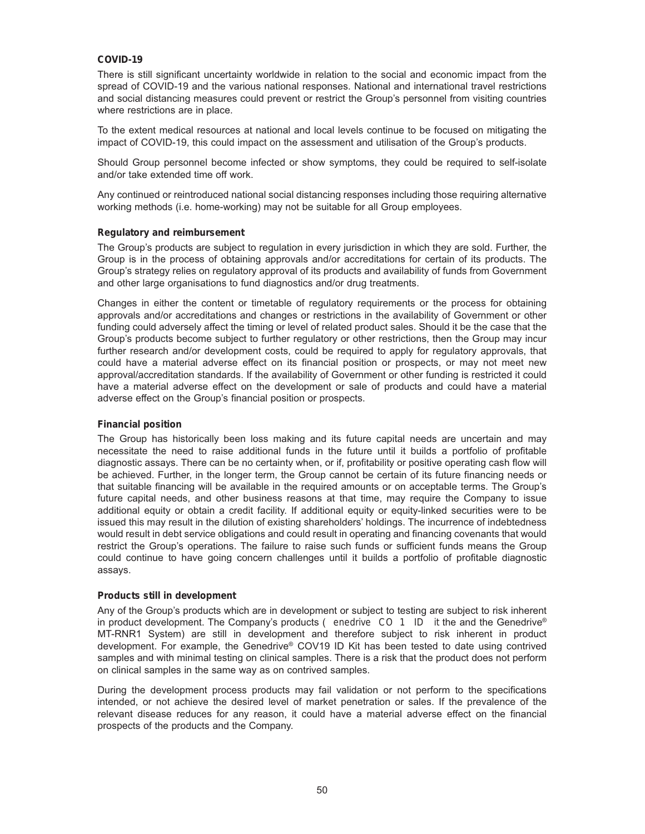#### *COVID-19*

There is still significant uncertainty worldwide in relation to the social and economic impact from the spread of COVID-19 and the various national responses. National and international travel restrictions and social distancing measures could prevent or restrict the Group's personnel from visiting countries where restrictions are in place.

To the extent medical resources at national and local levels continue to be focused on mitigating the impact of COVID-19, this could impact on the assessment and utilisation of the Group's products.

Should Group personnel become infected or show symptoms, they could be required to self-isolate and/or take extended time off work.

Any continued or reintroduced national social distancing responses including those requiring alternative working methods (i.e. home-working) may not be suitable for all Group employees.

#### *Regulatory and reimbursement*

The Group's products are subject to regulation in every jurisdiction in which they are sold. Further, the Group is in the process of obtaining approvals and/or accreditations for certain of its products. The Group's strategy relies on regulatory approval of its products and availability of funds from Government and other large organisations to fund diagnostics and/or drug treatments.

Changes in either the content or timetable of regulatory requirements or the process for obtaining approvals and/or accreditations and changes or restrictions in the availability of Government or other funding could adversely affect the timing or level of related product sales. Should it be the case that the Group's products become subject to further regulatory or other restrictions, then the Group may incur further research and/or development costs, could be required to apply for regulatory approvals, that could have a material adverse effect on its financial position or prospects, or may not meet new approval/accreditation standards. If the availability of Government or other funding is restricted it could have a material adverse effect on the development or sale of products and could have a material adverse effect on the Group's financial position or prospects.

#### *Financial position*

The Group has historically been loss making and its future capital needs are uncertain and may necessitate the need to raise additional funds in the future until it builds a portfolio of profitable diagnostic assays. There can be no certainty when, or if, profitability or positive operating cash flow will be achieved. Further, in the longer term, the Group cannot be certain of its future financing needs or that suitable financing will be available in the required amounts or on acceptable terms. The Group's future capital needs, and other business reasons at that time, may require the Company to issue additional equity or obtain a credit facility. If additional equity or equity-linked securities were to be issued this may result in the dilution of existing shareholders' holdings. The incurrence of indebtedness would result in debt service obligations and could result in operating and financing covenants that would restrict the Group's operations. The failure to raise such funds or sufficient funds means the Group could continue to have going concern challenges until it builds a portfolio of profitable diagnostic assays.

#### *Products still in development*

Any of the Group's products which are in development or subject to testing are subject to risk inherent in product development. The Company's products ( *enedrive CO 1 ID it* the and the Genedrive® MT-RNR1 System) are still in development and therefore subject to risk inherent in product development. For example, the Genedrive® COV19 ID Kit has been tested to date using contrived samples and with minimal testing on clinical samples. There is a risk that the product does not perform on clinical samples in the same way as on contrived samples.

During the development process products may fail validation or not perform to the specifications intended, or not achieve the desired level of market penetration or sales. If the prevalence of the relevant disease reduces for any reason, it could have a material adverse effect on the financial prospects of the products and the Company.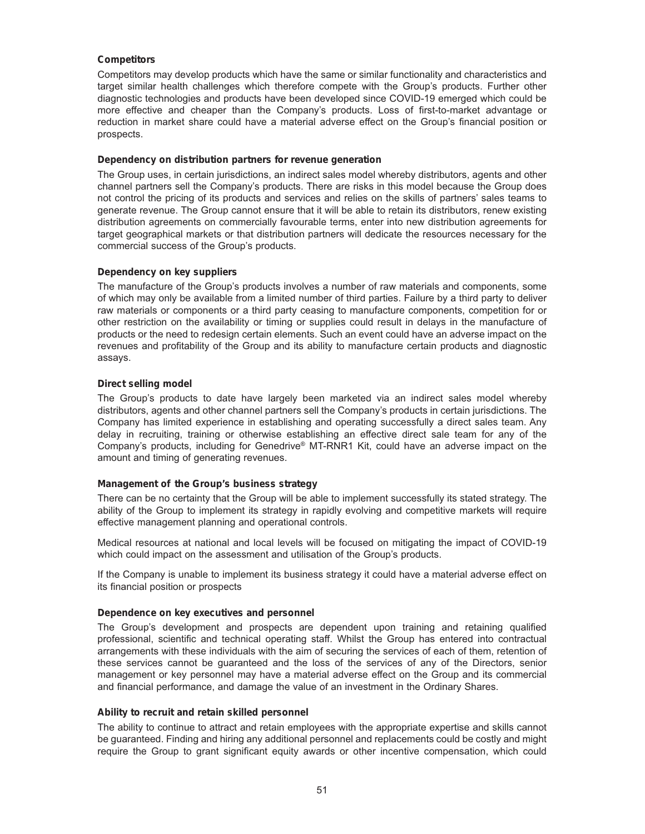#### *Competitors*

Competitors may develop products which have the same or similar functionality and characteristics and target similar health challenges which therefore compete with the Group's products. Further other diagnostic technologies and products have been developed since COVID-19 emerged which could be more effective and cheaper than the Company's products. Loss of first-to-market advantage or reduction in market share could have a material adverse effect on the Group's financial position or prospects.

#### *Dependency on distribution partners for revenue generation*

The Group uses, in certain jurisdictions, an indirect sales model whereby distributors, agents and other channel partners sell the Company's products. There are risks in this model because the Group does not control the pricing of its products and services and relies on the skills of partners' sales teams to generate revenue. The Group cannot ensure that it will be able to retain its distributors, renew existing distribution agreements on commercially favourable terms, enter into new distribution agreements for target geographical markets or that distribution partners will dedicate the resources necessary for the commercial success of the Group's products.

#### *Dependency on key suppliers*

The manufacture of the Group's products involves a number of raw materials and components, some of which may only be available from a limited number of third parties. Failure by a third party to deliver raw materials or components or a third party ceasing to manufacture components, competition for or other restriction on the availability or timing or supplies could result in delays in the manufacture of products or the need to redesign certain elements. Such an event could have an adverse impact on the revenues and profitability of the Group and its ability to manufacture certain products and diagnostic assays.

#### *Direct selling model*

The Group's products to date have largely been marketed via an indirect sales model whereby distributors, agents and other channel partners sell the Company's products in certain jurisdictions. The Company has limited experience in establishing and operating successfully a direct sales team. Any delay in recruiting, training or otherwise establishing an effective direct sale team for any of the Company's products, including for Genedrive® MT-RNR1 Kit, could have an adverse impact on the amount and timing of generating revenues.

#### *Management of the Group's business strategy*

There can be no certainty that the Group will be able to implement successfully its stated strategy. The ability of the Group to implement its strategy in rapidly evolving and competitive markets will require effective management planning and operational controls.

Medical resources at national and local levels will be focused on mitigating the impact of COVID-19 which could impact on the assessment and utilisation of the Group's products.

If the Company is unable to implement its business strategy it could have a material adverse effect on its financial position or prospects

#### *Dependence on key executives and personnel*

The Group's development and prospects are dependent upon training and retaining qualified professional, scientific and technical operating staff. Whilst the Group has entered into contractual arrangements with these individuals with the aim of securing the services of each of them, retention of these services cannot be guaranteed and the loss of the services of any of the Directors, senior management or key personnel may have a material adverse effect on the Group and its commercial and financial performance, and damage the value of an investment in the Ordinary Shares.

#### *Ability to recruit and retain skilled personnel*

The ability to continue to attract and retain employees with the appropriate expertise and skills cannot be guaranteed. Finding and hiring any additional personnel and replacements could be costly and might require the Group to grant significant equity awards or other incentive compensation, which could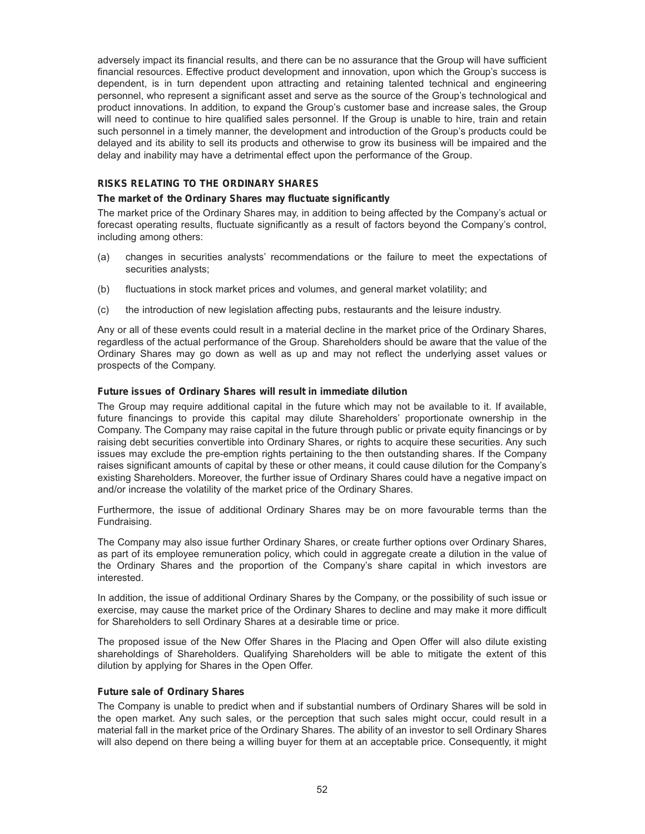adversely impact its financial results, and there can be no assurance that the Group will have sufficient financial resources. Effective product development and innovation, upon which the Group's success is dependent, is in turn dependent upon attracting and retaining talented technical and engineering personnel, who represent a significant asset and serve as the source of the Group's technological and product innovations. In addition, to expand the Group's customer base and increase sales, the Group will need to continue to hire qualified sales personnel. If the Group is unable to hire, train and retain such personnel in a timely manner, the development and introduction of the Group's products could be delayed and its ability to sell its products and otherwise to grow its business will be impaired and the delay and inability may have a detrimental effect upon the performance of the Group.

#### **RISKS RELATING TO THE ORDINARY SHARES**

*The market of the Ordinary Shares may fluctuate significantly*

The market price of the Ordinary Shares may, in addition to being affected by the Company's actual or forecast operating results, fluctuate significantly as a result of factors beyond the Company's control, including among others:

- (a) changes in securities analysts' recommendations or the failure to meet the expectations of securities analysts;
- (b) fluctuations in stock market prices and volumes, and general market volatility; and
- (c) the introduction of new legislation affecting pubs, restaurants and the leisure industry.

Any or all of these events could result in a material decline in the market price of the Ordinary Shares, regardless of the actual performance of the Group. Shareholders should be aware that the value of the Ordinary Shares may go down as well as up and may not reflect the underlying asset values or prospects of the Company.

#### *Future issues of Ordinary Shares will result in immediate dilution*

The Group may require additional capital in the future which may not be available to it. If available, future financings to provide this capital may dilute Shareholders' proportionate ownership in the Company. The Company may raise capital in the future through public or private equity financings or by raising debt securities convertible into Ordinary Shares, or rights to acquire these securities. Any such issues may exclude the pre-emption rights pertaining to the then outstanding shares. If the Company raises significant amounts of capital by these or other means, it could cause dilution for the Company's existing Shareholders. Moreover, the further issue of Ordinary Shares could have a negative impact on and/or increase the volatility of the market price of the Ordinary Shares.

Furthermore, the issue of additional Ordinary Shares may be on more favourable terms than the Fundraising.

The Company may also issue further Ordinary Shares, or create further options over Ordinary Shares, as part of its employee remuneration policy, which could in aggregate create a dilution in the value of the Ordinary Shares and the proportion of the Company's share capital in which investors are interested.

In addition, the issue of additional Ordinary Shares by the Company, or the possibility of such issue or exercise, may cause the market price of the Ordinary Shares to decline and may make it more difficult for Shareholders to sell Ordinary Shares at a desirable time or price.

The proposed issue of the New Offer Shares in the Placing and Open Offer will also dilute existing shareholdings of Shareholders. Qualifying Shareholders will be able to mitigate the extent of this dilution by applying for Shares in the Open Offer.

#### *Future sale of Ordinary Shares*

The Company is unable to predict when and if substantial numbers of Ordinary Shares will be sold in the open market. Any such sales, or the perception that such sales might occur, could result in a material fall in the market price of the Ordinary Shares. The ability of an investor to sell Ordinary Shares will also depend on there being a willing buyer for them at an acceptable price. Consequently, it might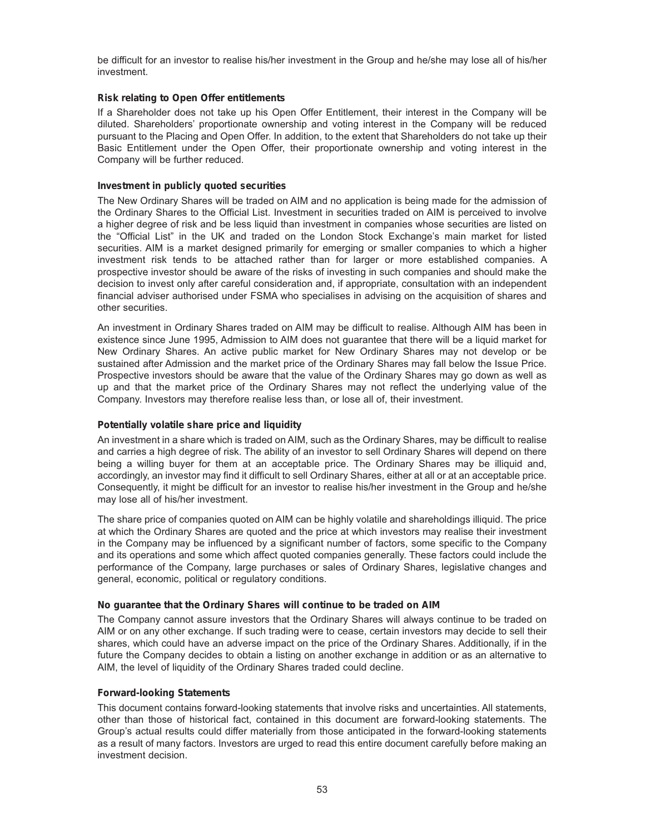be difficult for an investor to realise his/her investment in the Group and he/she may lose all of his/her investment.

#### *Risk relating to Open Offer entitlements*

If a Shareholder does not take up his Open Offer Entitlement, their interest in the Company will be diluted. Shareholders' proportionate ownership and voting interest in the Company will be reduced pursuant to the Placing and Open Offer. In addition, to the extent that Shareholders do not take up their Basic Entitlement under the Open Offer, their proportionate ownership and voting interest in the Company will be further reduced.

#### *Investment in publicly quoted securities*

The New Ordinary Shares will be traded on AIM and no application is being made for the admission of the Ordinary Shares to the Official List. Investment in securities traded on AIM is perceived to involve a higher degree of risk and be less liquid than investment in companies whose securities are listed on the "Official List" in the UK and traded on the London Stock Exchange's main market for listed securities. AIM is a market designed primarily for emerging or smaller companies to which a higher investment risk tends to be attached rather than for larger or more established companies. A prospective investor should be aware of the risks of investing in such companies and should make the decision to invest only after careful consideration and, if appropriate, consultation with an independent financial adviser authorised under FSMA who specialises in advising on the acquisition of shares and other securities.

An investment in Ordinary Shares traded on AIM may be difficult to realise. Although AIM has been in existence since June 1995, Admission to AIM does not guarantee that there will be a liquid market for New Ordinary Shares. An active public market for New Ordinary Shares may not develop or be sustained after Admission and the market price of the Ordinary Shares may fall below the Issue Price. Prospective investors should be aware that the value of the Ordinary Shares may go down as well as up and that the market price of the Ordinary Shares may not reflect the underlying value of the Company. Investors may therefore realise less than, or lose all of, their investment.

#### *Potentially volatile share price and liquidity*

An investment in a share which is traded on AIM, such as the Ordinary Shares, may be difficult to realise and carries a high degree of risk. The ability of an investor to sell Ordinary Shares will depend on there being a willing buyer for them at an acceptable price. The Ordinary Shares may be illiquid and, accordingly, an investor may find it difficult to sell Ordinary Shares, either at all or at an acceptable price. Consequently, it might be difficult for an investor to realise his/her investment in the Group and he/she may lose all of his/her investment.

The share price of companies quoted on AIM can be highly volatile and shareholdings illiquid. The price at which the Ordinary Shares are quoted and the price at which investors may realise their investment in the Company may be influenced by a significant number of factors, some specific to the Company and its operations and some which affect quoted companies generally. These factors could include the performance of the Company, large purchases or sales of Ordinary Shares, legislative changes and general, economic, political or regulatory conditions.

#### *No guarantee that the Ordinary Shares will continue to be traded on AIM*

The Company cannot assure investors that the Ordinary Shares will always continue to be traded on AIM or on any other exchange. If such trading were to cease, certain investors may decide to sell their shares, which could have an adverse impact on the price of the Ordinary Shares. Additionally, if in the future the Company decides to obtain a listing on another exchange in addition or as an alternative to AIM, the level of liquidity of the Ordinary Shares traded could decline.

#### *Forward-looking Statements*

This document contains forward-looking statements that involve risks and uncertainties. All statements, other than those of historical fact, contained in this document are forward-looking statements. The Group's actual results could differ materially from those anticipated in the forward-looking statements as a result of many factors. Investors are urged to read this entire document carefully before making an investment decision.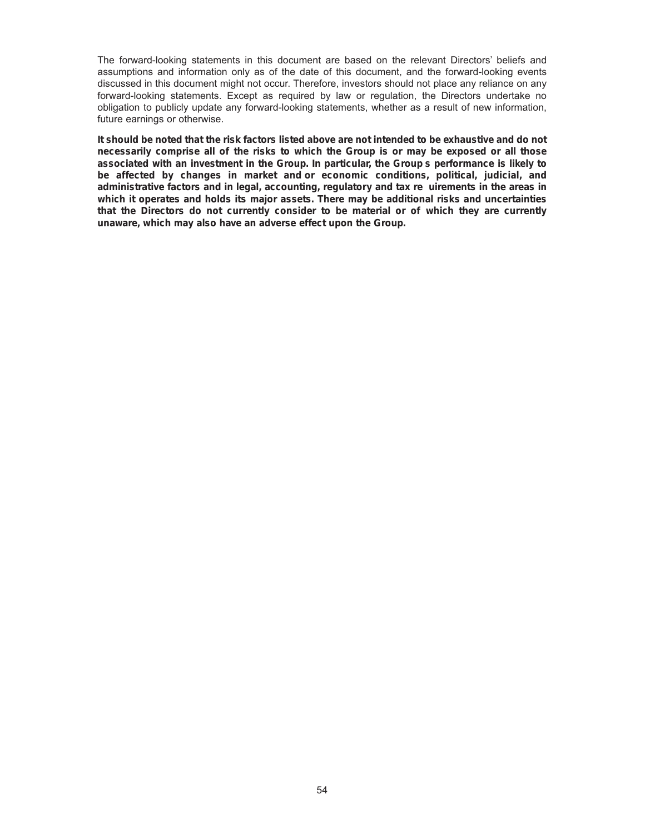The forward-looking statements in this document are based on the relevant Directors' beliefs and assumptions and information only as of the date of this document, and the forward-looking events discussed in this document might not occur. Therefore, investors should not place any reliance on any forward-looking statements. Except as required by law or regulation, the Directors undertake no obligation to publicly update any forward-looking statements, whether as a result of new information, future earnings or otherwise.

**It should be noted that the risk factors listed above are not intended to be exhaustive and do not necessarily comprise all of the risks to which the Group is or may be exposed or all those associated with an investment in the Group. In particular, the Group s performance is likely to be affected by changes in market and or economic conditions, political, judicial, and administrative factors and in legal, accounting, regulatory and tax re uirements in the areas in which it operates and holds its major assets. There may be additional risks and uncertainties that the Directors do not currently consider to be material or of which they are currently unaware, which may also have an adverse effect upon the Group.**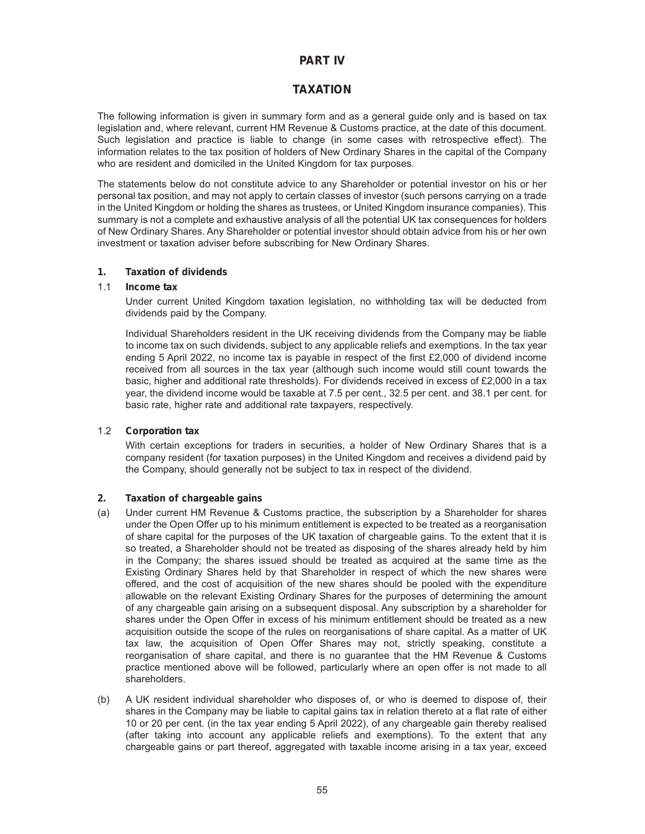## **PART IV**

## **TAXATION**

The following information is given in summary form and as a general guide only and is based on tax legislation and, where relevant, current HM Revenue & Customs practice, at the date of this document. Such legislation and practice is liable to change (in some cases with retrospective effect). The information relates to the tax position of holders of New Ordinary Shares in the capital of the Company who are resident and domiciled in the United Kingdom for tax purposes.

The statements below do not constitute advice to any Shareholder or potential investor on his or her personal tax position, and may not apply to certain classes of investor (such persons carrying on a trade in the United Kingdom or holding the shares as trustees, or United Kingdom insurance companies). This summary is not a complete and exhaustive analysis of all the potential UK tax consequences for holders of New Ordinary Shares. Any Shareholder or potential investor should obtain advice from his or her own investment or taxation adviser before subscribing for New Ordinary Shares.

#### **1. Taxation of dividends**

1.1 *Income tax*

Under current United Kingdom taxation legislation, no withholding tax will be deducted from dividends paid by the Company.

Individual Shareholders resident in the UK receiving dividends from the Company may be liable to income tax on such dividends, subject to any applicable reliefs and exemptions. In the tax year ending 5 April 2022, no income tax is payable in respect of the first £2,000 of dividend income received from all sources in the tax year (although such income would still count towards the basic, higher and additional rate thresholds). For dividends received in excess of £2,000 in a tax year, the dividend income would be taxable at 7.5 per cent., 32.5 per cent. and 38.1 per cent. for basic rate, higher rate and additional rate taxpayers, respectively.

1.2 *Corporation tax*

With certain exceptions for traders in securities, a holder of New Ordinary Shares that is a company resident (for taxation purposes) in the United Kingdom and receives a dividend paid by the Company, should generally not be subject to tax in respect of the dividend.

- **2. Taxation of chargeable gains**
- (a) Under current HM Revenue & Customs practice, the subscription by a Shareholder for shares under the Open Offer up to his minimum entitlement is expected to be treated as a reorganisation of share capital for the purposes of the UK taxation of chargeable gains. To the extent that it is so treated, a Shareholder should not be treated as disposing of the shares already held by him in the Company; the shares issued should be treated as acquired at the same time as the Existing Ordinary Shares held by that Shareholder in respect of which the new shares were offered, and the cost of acquisition of the new shares should be pooled with the expenditure allowable on the relevant Existing Ordinary Shares for the purposes of determining the amount of any chargeable gain arising on a subsequent disposal. Any subscription by a shareholder for shares under the Open Offer in excess of his minimum entitlement should be treated as a new acquisition outside the scope of the rules on reorganisations of share capital. As a matter of UK tax law, the acquisition of Open Offer Shares may not, strictly speaking, constitute a reorganisation of share capital, and there is no guarantee that the HM Revenue & Customs practice mentioned above will be followed, particularly where an open offer is not made to all shareholders.
- (b) A UK resident individual shareholder who disposes of, or who is deemed to dispose of, their shares in the Company may be liable to capital gains tax in relation thereto at a flat rate of either 10 or 20 per cent. (in the tax year ending 5 April 2022), of any chargeable gain thereby realised (after taking into account any applicable reliefs and exemptions). To the extent that any chargeable gains or part thereof, aggregated with taxable income arising in a tax year, exceed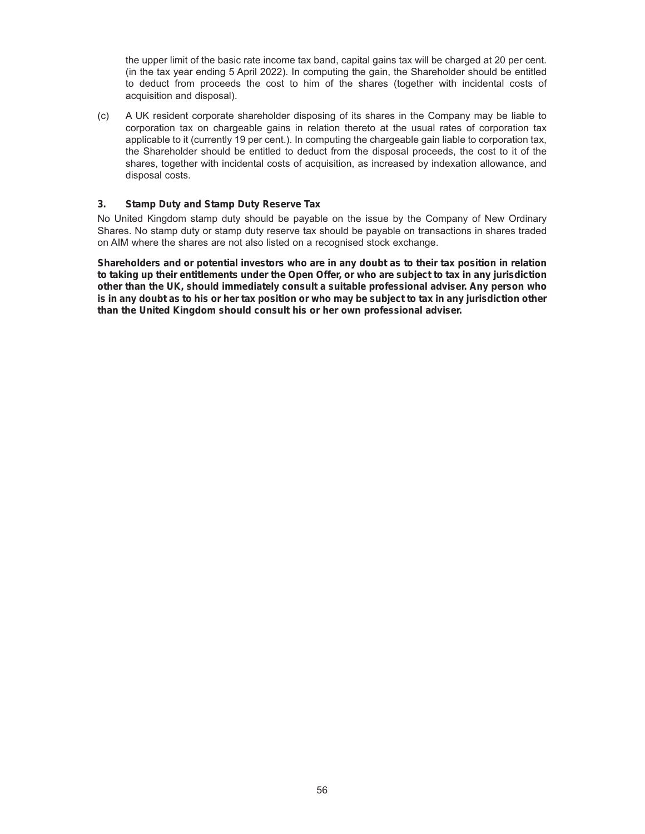the upper limit of the basic rate income tax band, capital gains tax will be charged at 20 per cent. (in the tax year ending 5 April 2022). In computing the gain, the Shareholder should be entitled to deduct from proceeds the cost to him of the shares (together with incidental costs of acquisition and disposal).

(c) A UK resident corporate shareholder disposing of its shares in the Company may be liable to corporation tax on chargeable gains in relation thereto at the usual rates of corporation tax applicable to it (currently 19 per cent.). In computing the chargeable gain liable to corporation tax, the Shareholder should be entitled to deduct from the disposal proceeds, the cost to it of the shares, together with incidental costs of acquisition, as increased by indexation allowance, and disposal costs.

#### **3. Stamp Duty and Stamp Duty Reserve Tax**

No United Kingdom stamp duty should be payable on the issue by the Company of New Ordinary Shares. No stamp duty or stamp duty reserve tax should be payable on transactions in shares traded on AIM where the shares are not also listed on a recognised stock exchange.

**Shareholders and or potential investors who are in any doubt as to their tax position in relation to taking up their entitlements under the Open Offer, or who are subject to tax in any jurisdiction other than the UK, should immediately consult a suitable professional adviser. Any person who is in any doubt as to his or her tax position or who may be subject to tax in any jurisdiction other than the United Kingdom should consult his or her own professional adviser.**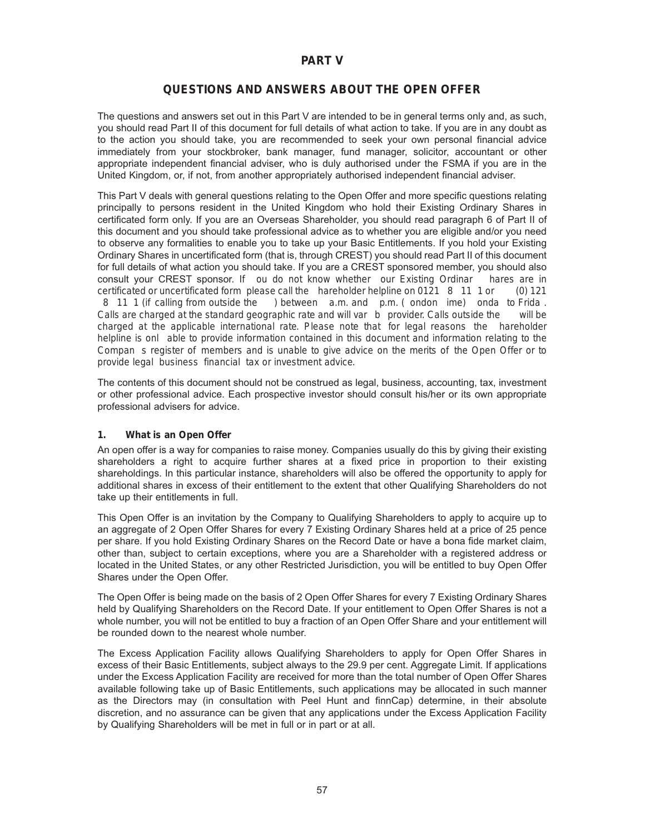## **PART V**

# **QUESTIONS AND ANSWERS ABOUT THE OPEN OFFER**

The questions and answers set out in this Part V are intended to be in general terms only and, as such, you should read Part II of this document for full details of what action to take. If you are in any doubt as to the action you should take, you are recommended to seek your own personal financial advice immediately from your stockbroker, bank manager, fund manager, solicitor, accountant or other appropriate independent financial adviser, who is duly authorised under the FSMA if you are in the United Kingdom, or, if not, from another appropriately authorised independent financial adviser.

This Part V deals with general questions relating to the Open Offer and more specific questions relating principally to persons resident in the United Kingdom who hold their Existing Ordinary Shares in certificated form only. If you are an Overseas Shareholder, you should read paragraph 6 of Part II of this document and you should take professional advice as to whether you are eligible and/or you need to observe any formalities to enable you to take up your Basic Entitlements. If you hold your Existing Ordinary Shares in uncertificated form (that is, through CREST) you should read Part II of this document for full details of what action you should take. If you are a CREST sponsored member, you should also consult your CREST sponsor. *If ou do not know whether our Existing Ordinar hares are in certificated or uncertificated form please call the hareholder helpline on 0121 8 11 1 or (0) 121 8 11 1 (if calling from outside the ) between a.m. and p.m. ( ondon ime) onda to Frida . Calls are charged at the standard geographic rate and will var b provider. Calls outside the will be charged at the applicable international rate. Please note that for legal reasons the hareholder helpline is onl able to provide information contained in this document and information relating to the Compan s register of members and is unable to give advice on the merits of the Open Offer or to provide legal business financial tax or investment advice.*

The contents of this document should not be construed as legal, business, accounting, tax, investment or other professional advice. Each prospective investor should consult his/her or its own appropriate professional advisers for advice.

#### **1. What is an Open Offer**

An open offer is a way for companies to raise money. Companies usually do this by giving their existing shareholders a right to acquire further shares at a fixed price in proportion to their existing shareholdings. In this particular instance, shareholders will also be offered the opportunity to apply for additional shares in excess of their entitlement to the extent that other Qualifying Shareholders do not take up their entitlements in full.

This Open Offer is an invitation by the Company to Qualifying Shareholders to apply to acquire up to an aggregate of 2 Open Offer Shares for every 7 Existing Ordinary Shares held at a price of 25 pence per share. If you hold Existing Ordinary Shares on the Record Date or have a bona fide market claim, other than, subject to certain exceptions, where you are a Shareholder with a registered address or located in the United States, or any other Restricted Jurisdiction, you will be entitled to buy Open Offer Shares under the Open Offer.

The Open Offer is being made on the basis of 2 Open Offer Shares for every 7 Existing Ordinary Shares held by Qualifying Shareholders on the Record Date. If your entitlement to Open Offer Shares is not a whole number, you will not be entitled to buy a fraction of an Open Offer Share and your entitlement will be rounded down to the nearest whole number.

The Excess Application Facility allows Qualifying Shareholders to apply for Open Offer Shares in excess of their Basic Entitlements, subject always to the 29.9 per cent. Aggregate Limit. If applications under the Excess Application Facility are received for more than the total number of Open Offer Shares available following take up of Basic Entitlements, such applications may be allocated in such manner as the Directors may (in consultation with Peel Hunt and finnCap) determine, in their absolute discretion, and no assurance can be given that any applications under the Excess Application Facility by Qualifying Shareholders will be met in full or in part or at all.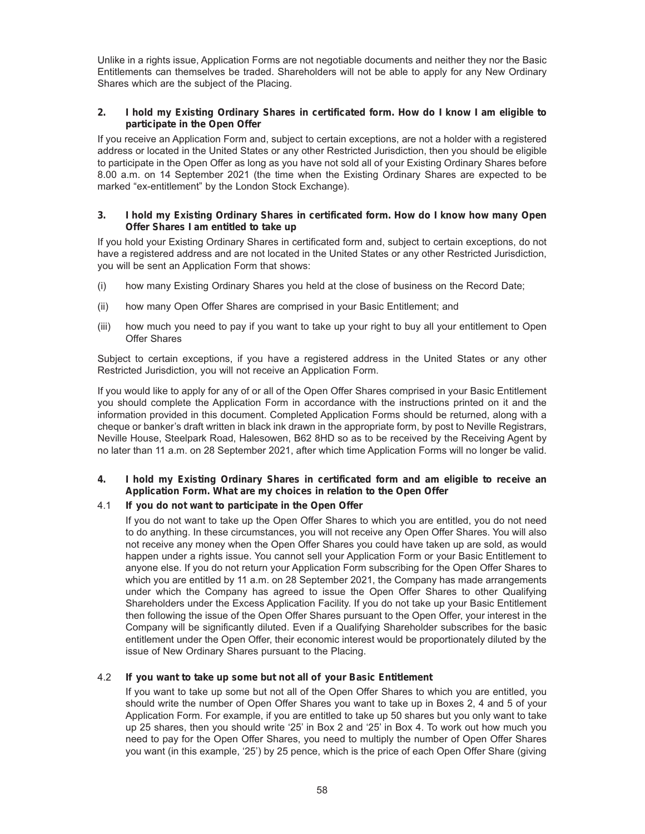Unlike in a rights issue, Application Forms are not negotiable documents and neither they nor the Basic Entitlements can themselves be traded. Shareholders will not be able to apply for any New Ordinary Shares which are the subject of the Placing.

**2. I hold my Existing Ordinary Shares in certificated form. How do I know I am eligible to participate in the Open Offer**

If you receive an Application Form and, subject to certain exceptions, are not a holder with a registered address or located in the United States or any other Restricted Jurisdiction, then you should be eligible to participate in the Open Offer as long as you have not sold all of your Existing Ordinary Shares before 8.00 a.m. on 14 September 2021 (the time when the Existing Ordinary Shares are expected to be marked "ex-entitlement" by the London Stock Exchange).

**3. I hold my Existing Ordinary Shares in certificated form. How do I know how many Open Offer Shares I am entitled to take up**

If you hold your Existing Ordinary Shares in certificated form and, subject to certain exceptions, do not have a registered address and are not located in the United States or any other Restricted Jurisdiction, you will be sent an Application Form that shows:

- (i) how many Existing Ordinary Shares you held at the close of business on the Record Date;
- (ii) how many Open Offer Shares are comprised in your Basic Entitlement; and
- (iii) how much you need to pay if you want to take up your right to buy all your entitlement to Open Offer Shares

Subject to certain exceptions, if you have a registered address in the United States or any other Restricted Jurisdiction, you will not receive an Application Form.

If you would like to apply for any of or all of the Open Offer Shares comprised in your Basic Entitlement you should complete the Application Form in accordance with the instructions printed on it and the information provided in this document. Completed Application Forms should be returned, along with a cheque or banker's draft written in black ink drawn in the appropriate form, by post to Neville Registrars, Neville House, Steelpark Road, Halesowen, B62 8HD so as to be received by the Receiving Agent by no later than 11 a.m. on 28 September 2021, after which time Application Forms will no longer be valid.

- **4. I hold my Existing Ordinary Shares in certificated form and am eligible to receive an Application Form. What are my choices in relation to the Open Offer**
- 4.1 *If you do not want to participate in the Open Offer*

If you do not want to take up the Open Offer Shares to which you are entitled, you do not need to do anything. In these circumstances, you will not receive any Open Offer Shares. You will also not receive any money when the Open Offer Shares you could have taken up are sold, as would happen under a rights issue. You cannot sell your Application Form or your Basic Entitlement to anyone else. If you do not return your Application Form subscribing for the Open Offer Shares to which you are entitled by 11 a.m. on 28 September 2021, the Company has made arrangements under which the Company has agreed to issue the Open Offer Shares to other Qualifying Shareholders under the Excess Application Facility. If you do not take up your Basic Entitlement then following the issue of the Open Offer Shares pursuant to the Open Offer, your interest in the Company will be significantly diluted. Even if a Qualifying Shareholder subscribes for the basic entitlement under the Open Offer, their economic interest would be proportionately diluted by the issue of New Ordinary Shares pursuant to the Placing.

4.2 *If you want to take up some but not all of your Basic Entitlement*

If you want to take up some but not all of the Open Offer Shares to which you are entitled, you should write the number of Open Offer Shares you want to take up in Boxes 2, 4 and 5 of your Application Form. For example, if you are entitled to take up 50 shares but you only want to take up 25 shares, then you should write '25' in Box 2 and '25' in Box 4. To work out how much you need to pay for the Open Offer Shares, you need to multiply the number of Open Offer Shares you want (in this example, '25') by 25 pence, which is the price of each Open Offer Share (giving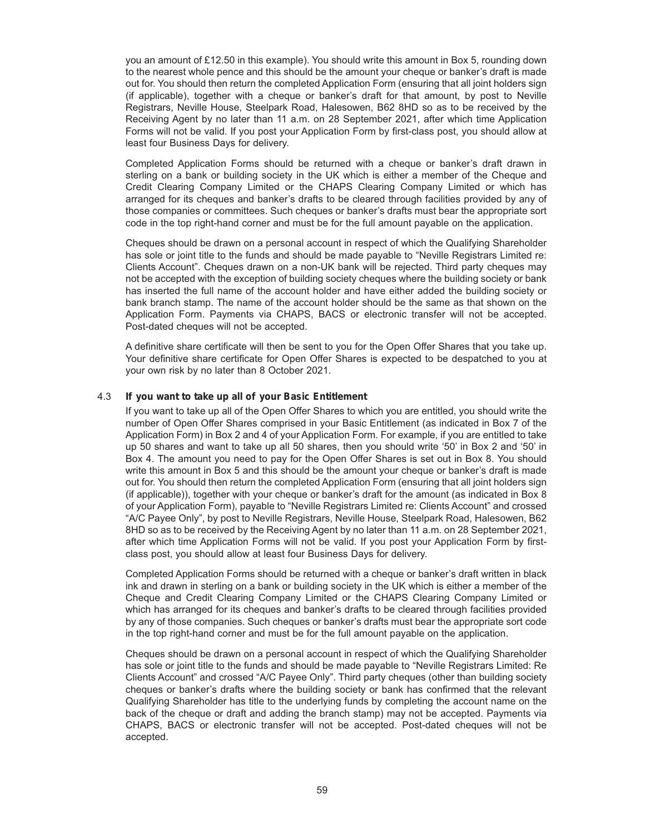you an amount of £12.50 in this example). You should write this amount in Box 5, rounding down to the nearest whole pence and this should be the amount your cheque or banker's draft is made out for. You should then return the completed Application Form (ensuring that all joint holders sign (if applicable), together with a cheque or banker's draft for that amount, by post to Neville Registrars, Neville House, Steelpark Road, Halesowen, B62 8HD so as to be received by the Receiving Agent by no later than 11 a.m. on 28 September 2021, after which time Application Forms will not be valid. If you post your Application Form by first-class post, you should allow at least four Business Days for delivery.

Completed Application Forms should be returned with a cheque or banker's draft drawn in sterling on a bank or building society in the UK which is either a member of the Cheque and Credit Clearing Company Limited or the CHAPS Clearing Company Limited or which has arranged for its cheques and banker's drafts to be cleared through facilities provided by any of those companies or committees. Such cheques or banker's drafts must bear the appropriate sort code in the top right-hand corner and must be for the full amount payable on the application.

Cheques should be drawn on a personal account in respect of which the Qualifying Shareholder has sole or joint title to the funds and should be made payable to "Neville Registrars Limited re: Clients Account". Cheques drawn on a non-UK bank will be rejected. Third party cheques may not be accepted with the exception of building society cheques where the building society or bank has inserted the full name of the account holder and have either added the building society or bank branch stamp. The name of the account holder should be the same as that shown on the Application Form. Payments via CHAPS, BACS or electronic transfer will not be accepted. Post-dated cheques will not be accepted.

A definitive share certificate will then be sent to you for the Open Offer Shares that you take up. Your definitive share certificate for Open Offer Shares is expected to be despatched to you at your own risk by no later than 8 October 2021.

#### 4.3 *If you want to take up all of your Basic Entitlement*

If you want to take up all of the Open Offer Shares to which you are entitled, you should write the number of Open Offer Shares comprised in your Basic Entitlement (as indicated in Box 7 of the Application Form) in Box 2 and 4 of your Application Form. For example, if you are entitled to take up 50 shares and want to take up all 50 shares, then you should write '50' in Box 2 and '50' in Box 4. The amount you need to pay for the Open Offer Shares is set out in Box 8. You should write this amount in Box 5 and this should be the amount your cheque or banker's draft is made out for. You should then return the completed Application Form (ensuring that all joint holders sign (if applicable)), together with your cheque or banker's draft for the amount (as indicated in Box 8 of your Application Form), payable to "Neville Registrars Limited re: Clients Account" and crossed "A/C Payee Only", by post to Neville Registrars, Neville House, Steelpark Road, Halesowen, B62 8HD so as to be received by the Receiving Agent by no later than 11 a.m. on 28 September 2021, after which time Application Forms will not be valid. If you post your Application Form by firstclass post, you should allow at least four Business Days for delivery.

Completed Application Forms should be returned with a cheque or banker's draft written in black ink and drawn in sterling on a bank or building society in the UK which is either a member of the Cheque and Credit Clearing Company Limited or the CHAPS Clearing Company Limited or which has arranged for its cheques and banker's drafts to be cleared through facilities provided by any of those companies. Such cheques or banker's drafts must bear the appropriate sort code in the top right-hand corner and must be for the full amount payable on the application.

Cheques should be drawn on a personal account in respect of which the Qualifying Shareholder has sole or joint title to the funds and should be made payable to "Neville Registrars Limited: Re Clients Account" and crossed "A/C Payee Only". Third party cheques (other than building society cheques or banker's drafts where the building society or bank has confirmed that the relevant Qualifying Shareholder has title to the underlying funds by completing the account name on the back of the cheque or draft and adding the branch stamp) may not be accepted. Payments via CHAPS, BACS or electronic transfer will not be accepted. Post-dated cheques will not be accepted.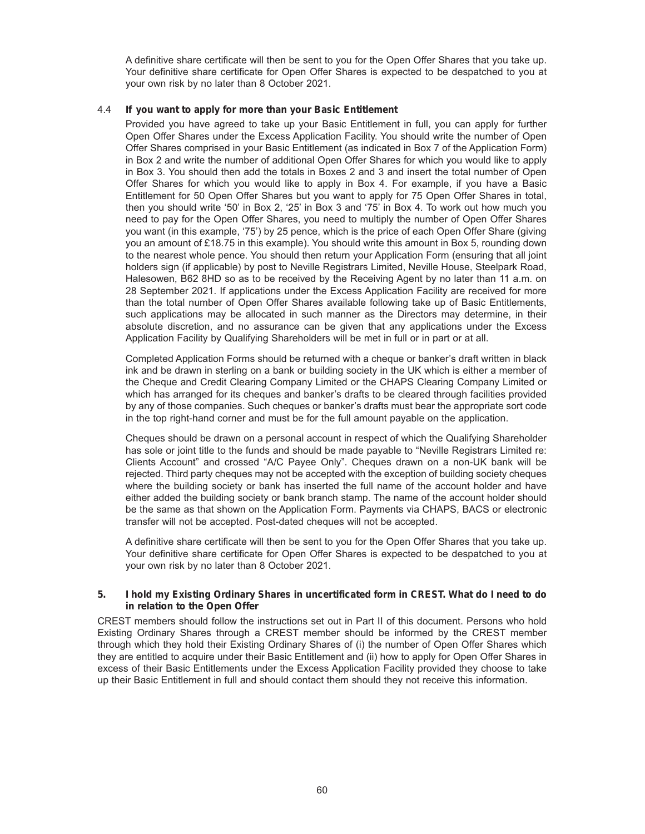A definitive share certificate will then be sent to you for the Open Offer Shares that you take up. Your definitive share certificate for Open Offer Shares is expected to be despatched to you at your own risk by no later than 8 October 2021.

#### 4.4 *If you want to apply for more than your Basic Entitlement*

Provided you have agreed to take up your Basic Entitlement in full, you can apply for further Open Offer Shares under the Excess Application Facility. You should write the number of Open Offer Shares comprised in your Basic Entitlement (as indicated in Box 7 of the Application Form) in Box 2 and write the number of additional Open Offer Shares for which you would like to apply in Box 3. You should then add the totals in Boxes 2 and 3 and insert the total number of Open Offer Shares for which you would like to apply in Box 4. For example, if you have a Basic Entitlement for 50 Open Offer Shares but you want to apply for 75 Open Offer Shares in total, then you should write '50' in Box 2, '25' in Box 3 and '75' in Box 4. To work out how much you need to pay for the Open Offer Shares, you need to multiply the number of Open Offer Shares you want (in this example, '75') by 25 pence, which is the price of each Open Offer Share (giving you an amount of £18.75 in this example). You should write this amount in Box 5, rounding down to the nearest whole pence. You should then return your Application Form (ensuring that all joint holders sign (if applicable) by post to Neville Registrars Limited, Neville House, Steelpark Road, Halesowen, B62 8HD so as to be received by the Receiving Agent by no later than 11 a.m. on 28 September 2021. If applications under the Excess Application Facility are received for more than the total number of Open Offer Shares available following take up of Basic Entitlements, such applications may be allocated in such manner as the Directors may determine, in their absolute discretion, and no assurance can be given that any applications under the Excess Application Facility by Qualifying Shareholders will be met in full or in part or at all.

Completed Application Forms should be returned with a cheque or banker's draft written in black ink and be drawn in sterling on a bank or building society in the UK which is either a member of the Cheque and Credit Clearing Company Limited or the CHAPS Clearing Company Limited or which has arranged for its cheques and banker's drafts to be cleared through facilities provided by any of those companies. Such cheques or banker's drafts must bear the appropriate sort code in the top right-hand corner and must be for the full amount payable on the application.

Cheques should be drawn on a personal account in respect of which the Qualifying Shareholder has sole or joint title to the funds and should be made payable to "Neville Registrars Limited re: Clients Account" and crossed "A/C Payee Only". Cheques drawn on a non-UK bank will be rejected. Third party cheques may not be accepted with the exception of building society cheques where the building society or bank has inserted the full name of the account holder and have either added the building society or bank branch stamp. The name of the account holder should be the same as that shown on the Application Form. Payments via CHAPS, BACS or electronic transfer will not be accepted. Post-dated cheques will not be accepted.

A definitive share certificate will then be sent to you for the Open Offer Shares that you take up. Your definitive share certificate for Open Offer Shares is expected to be despatched to you at your own risk by no later than 8 October 2021.

#### **5. I hold my Existing Ordinary Shares in uncertificated form in CREST. What do I need to do in relation to the Open Offer**

CREST members should follow the instructions set out in Part II of this document. Persons who hold Existing Ordinary Shares through a CREST member should be informed by the CREST member through which they hold their Existing Ordinary Shares of (i) the number of Open Offer Shares which they are entitled to acquire under their Basic Entitlement and (ii) how to apply for Open Offer Shares in excess of their Basic Entitlements under the Excess Application Facility provided they choose to take up their Basic Entitlement in full and should contact them should they not receive this information.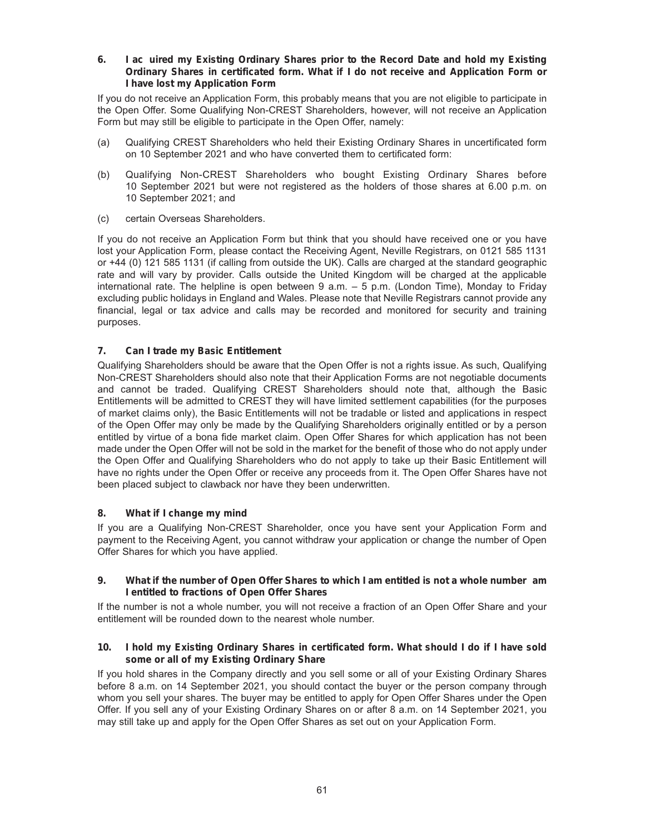**6. I ac uired my Existing Ordinary Shares prior to the Record Date and hold my Existing Ordinary Shares in certificated form. What if I do not receive and Application Form or I have lost my Application Form**

If you do not receive an Application Form, this probably means that you are not eligible to participate in the Open Offer. Some Qualifying Non-CREST Shareholders, however, will not receive an Application Form but may still be eligible to participate in the Open Offer, namely:

- (a) Qualifying CREST Shareholders who held their Existing Ordinary Shares in uncertificated form on 10 September 2021 and who have converted them to certificated form:
- (b) Qualifying Non-CREST Shareholders who bought Existing Ordinary Shares before 10 September 2021 but were not registered as the holders of those shares at 6.00 p.m. on 10 September 2021; and
- (c) certain Overseas Shareholders.

If you do not receive an Application Form but think that you should have received one or you have lost your Application Form, please contact the Receiving Agent, Neville Registrars, on 0121 585 1131 or +44 (0) 121 585 1131 (if calling from outside the UK). Calls are charged at the standard geographic rate and will vary by provider. Calls outside the United Kingdom will be charged at the applicable international rate. The helpline is open between 9 a.m.  $-5$  p.m. (London Time). Monday to Friday excluding public holidays in England and Wales. Please note that Neville Registrars cannot provide any financial, legal or tax advice and calls may be recorded and monitored for security and training purposes.

## **7. Can I trade my Basic Entitlement**

Qualifying Shareholders should be aware that the Open Offer is not a rights issue. As such, Qualifying Non-CREST Shareholders should also note that their Application Forms are not negotiable documents and cannot be traded. Qualifying CREST Shareholders should note that, although the Basic Entitlements will be admitted to CREST they will have limited settlement capabilities (for the purposes of market claims only), the Basic Entitlements will not be tradable or listed and applications in respect of the Open Offer may only be made by the Qualifying Shareholders originally entitled or by a person entitled by virtue of a bona fide market claim. Open Offer Shares for which application has not been made under the Open Offer will not be sold in the market for the benefit of those who do not apply under the Open Offer and Qualifying Shareholders who do not apply to take up their Basic Entitlement will have no rights under the Open Offer or receive any proceeds from it. The Open Offer Shares have not been placed subject to clawback nor have they been underwritten.

## **8. What if I change my mind**

If you are a Qualifying Non-CREST Shareholder, once you have sent your Application Form and payment to the Receiving Agent, you cannot withdraw your application or change the number of Open Offer Shares for which you have applied.

**9. What if the number of Open Offer Shares to which I am entitled is not a whole number am I entitled to fractions of Open Offer Shares**

If the number is not a whole number, you will not receive a fraction of an Open Offer Share and your entitlement will be rounded down to the nearest whole number.

**10. I hold my Existing Ordinary Shares in certificated form. What should I do if I have sold some or all of my Existing Ordinary Share**

If you hold shares in the Company directly and you sell some or all of your Existing Ordinary Shares before 8 a.m. on 14 September 2021, you should contact the buyer or the person company through whom you sell your shares. The buyer may be entitled to apply for Open Offer Shares under the Open Offer. If you sell any of your Existing Ordinary Shares on or after 8 a.m. on 14 September 2021, you may still take up and apply for the Open Offer Shares as set out on your Application Form.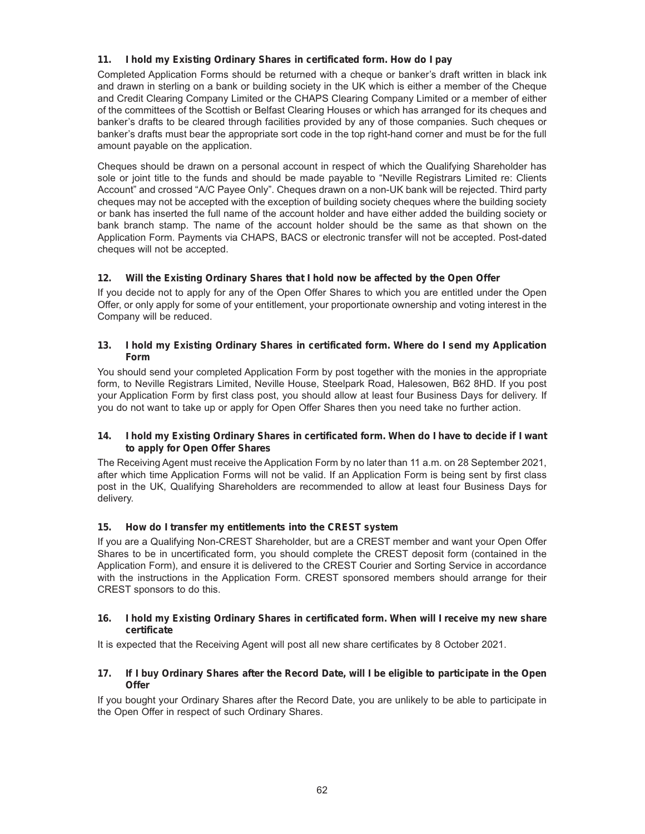## **11. I hold my Existing Ordinary Shares in certificated form. How do I pay**

Completed Application Forms should be returned with a cheque or banker's draft written in black ink and drawn in sterling on a bank or building society in the UK which is either a member of the Cheque and Credit Clearing Company Limited or the CHAPS Clearing Company Limited or a member of either of the committees of the Scottish or Belfast Clearing Houses or which has arranged for its cheques and banker's drafts to be cleared through facilities provided by any of those companies. Such cheques or banker's drafts must bear the appropriate sort code in the top right-hand corner and must be for the full amount payable on the application.

Cheques should be drawn on a personal account in respect of which the Qualifying Shareholder has sole or joint title to the funds and should be made payable to "Neville Registrars Limited re: Clients Account" and crossed "A/C Payee Only". Cheques drawn on a non-UK bank will be rejected. Third party cheques may not be accepted with the exception of building society cheques where the building society or bank has inserted the full name of the account holder and have either added the building society or bank branch stamp. The name of the account holder should be the same as that shown on the Application Form. Payments via CHAPS, BACS or electronic transfer will not be accepted. Post-dated cheques will not be accepted.

## **12. Will the Existing Ordinary Shares that I hold now be affected by the Open Offer**

If you decide not to apply for any of the Open Offer Shares to which you are entitled under the Open Offer, or only apply for some of your entitlement, your proportionate ownership and voting interest in the Company will be reduced.

**13. I hold my Existing Ordinary Shares in certificated form. Where do I send my Application Form**

You should send your completed Application Form by post together with the monies in the appropriate form, to Neville Registrars Limited, Neville House, Steelpark Road, Halesowen, B62 8HD. If you post your Application Form by first class post, you should allow at least four Business Days for delivery. If you do not want to take up or apply for Open Offer Shares then you need take no further action.

**14. I hold my Existing Ordinary Shares in certificated form. When do I have to decide if I want to apply for Open Offer Shares**

The Receiving Agent must receive the Application Form by no later than 11 a.m. on 28 September 2021, after which time Application Forms will not be valid. If an Application Form is being sent by first class post in the UK, Qualifying Shareholders are recommended to allow at least four Business Days for delivery.

## **15. How do I transfer my entitlements into the CREST system**

If you are a Qualifying Non-CREST Shareholder, but are a CREST member and want your Open Offer Shares to be in uncertificated form, you should complete the CREST deposit form (contained in the Application Form), and ensure it is delivered to the CREST Courier and Sorting Service in accordance with the instructions in the Application Form. CREST sponsored members should arrange for their CREST sponsors to do this.

**16. I hold my Existing Ordinary Shares in certificated form. When will I receive my new share certificate**

It is expected that the Receiving Agent will post all new share certificates by 8 October 2021.

**17. If I buy Ordinary Shares after the Record Date, will I be eligible to participate in the Open Offer**

If you bought your Ordinary Shares after the Record Date, you are unlikely to be able to participate in the Open Offer in respect of such Ordinary Shares.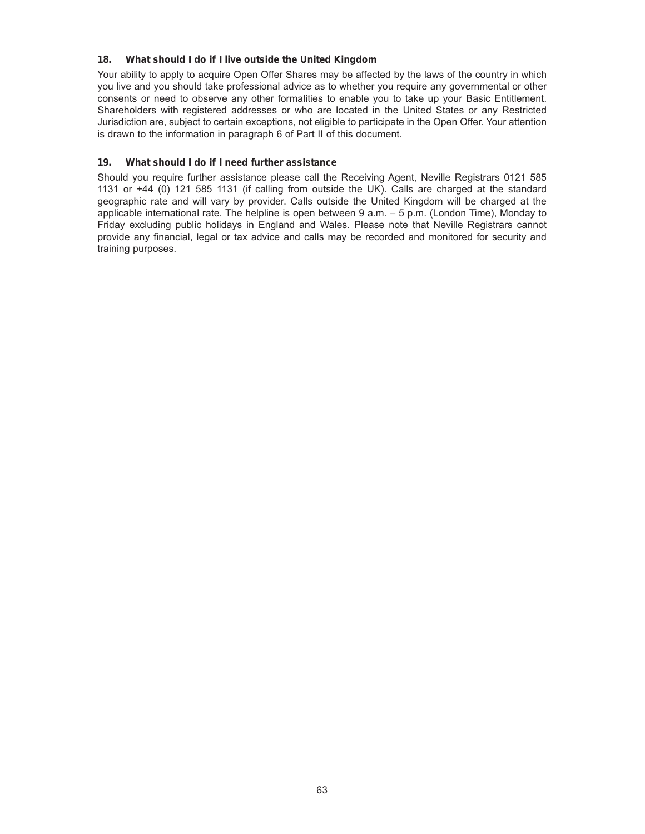#### **18. What should I do if I live outside the United Kingdom**

Your ability to apply to acquire Open Offer Shares may be affected by the laws of the country in which you live and you should take professional advice as to whether you require any governmental or other consents or need to observe any other formalities to enable you to take up your Basic Entitlement. Shareholders with registered addresses or who are located in the United States or any Restricted Jurisdiction are, subject to certain exceptions, not eligible to participate in the Open Offer. Your attention is drawn to the information in paragraph 6 of Part II of this document.

## **19. What should I do if I need further assistance**

Should you require further assistance please call the Receiving Agent, Neville Registrars 0121 585 1131 or +44 (0) 121 585 1131 (if calling from outside the UK). Calls are charged at the standard geographic rate and will vary by provider. Calls outside the United Kingdom will be charged at the applicable international rate. The helpline is open between 9 a.m. – 5 p.m. (London Time), Monday to Friday excluding public holidays in England and Wales. Please note that Neville Registrars cannot provide any financial, legal or tax advice and calls may be recorded and monitored for security and training purposes.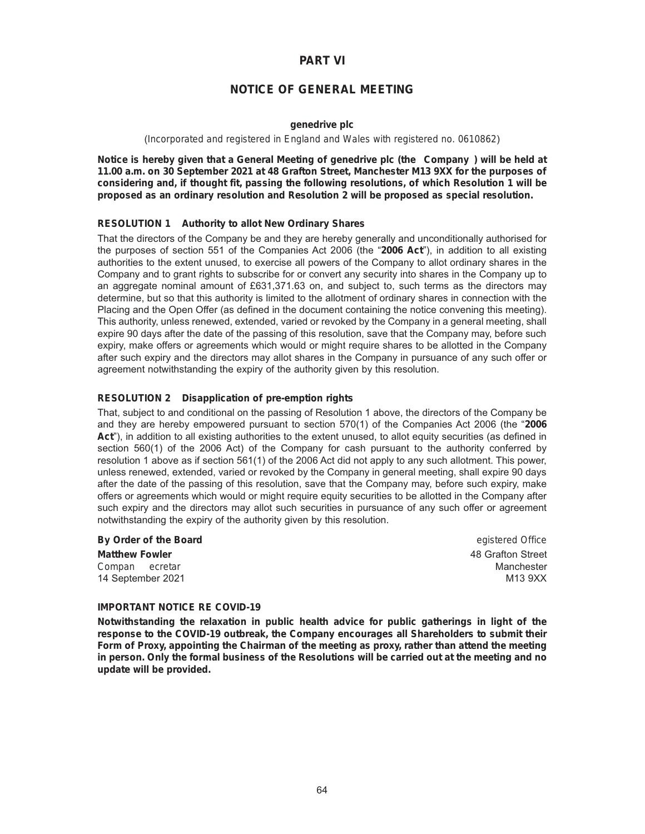## **PART VI**

## **NOTICE OF GENERAL MEETING**

#### **genedrive plc**

#### (*Incorporated and registered in England and Wales with registered no. 0610862*)

**Notice is hereby given that a General Meeting of genedrive plc (the Company ) will be held at 11.00 a.m. on 30 September 2021 at 48 Grafton Street, Manchester M13 9XX for the purposes of considering and, if thought fit, passing the following resolutions, of which Resolution 1 will be proposed as an ordinary resolution and Resolution 2 will be proposed as special resolution.**

#### **RESOLUTION 1 Authority to allot New Ordinary Shares**

That the directors of the Company be and they are hereby generally and unconditionally authorised for the purposes of section 551 of the Companies Act 2006 (the "**2006 Act**"), in addition to all existing authorities to the extent unused, to exercise all powers of the Company to allot ordinary shares in the Company and to grant rights to subscribe for or convert any security into shares in the Company up to an aggregate nominal amount of £631,371.63 on, and subject to, such terms as the directors may determine, but so that this authority is limited to the allotment of ordinary shares in connection with the Placing and the Open Offer (as defined in the document containing the notice convening this meeting). This authority, unless renewed, extended, varied or revoked by the Company in a general meeting, shall expire 90 days after the date of the passing of this resolution, save that the Company may, before such expiry, make offers or agreements which would or might require shares to be allotted in the Company after such expiry and the directors may allot shares in the Company in pursuance of any such offer or agreement notwithstanding the expiry of the authority given by this resolution.

#### **RESOLUTION 2 Disapplication of pre-emption rights**

That, subject to and conditional on the passing of Resolution 1 above, the directors of the Company be and they are hereby empowered pursuant to section 570(1) of the Companies Act 2006 (the "**2006 Act**"), in addition to all existing authorities to the extent unused, to allot equity securities (as defined in section 560(1) of the 2006 Act) of the Company for cash pursuant to the authority conferred by resolution 1 above as if section 561(1) of the 2006 Act did not apply to any such allotment. This power, unless renewed, extended, varied or revoked by the Company in general meeting, shall expire 90 days after the date of the passing of this resolution, save that the Company may, before such expiry, make offers or agreements which would or might require equity securities to be allotted in the Company after such expiry and the directors may allot such securities in pursuance of any such offer or agreement notwithstanding the expiry of the authority given by this resolution.

**By Order of the Board** *egistered Office* **Matthew Fowler Matthew Fowler 1988** *Compan ecretar* Manchester

14 September 2021 M13 9XX

#### **IMPORTANT NOTICE RE COVID-19**

**Notwithstanding the relaxation in public health advice for public gatherings in light of the response to the COVID-19 outbreak, the Company encourages all Shareholders to submit their Form of Proxy, appointing the Chairman of the meeting as proxy, rather than attend the meeting in person. Only the formal business of the Resolutions will be carried out at the meeting and no update will be provided.**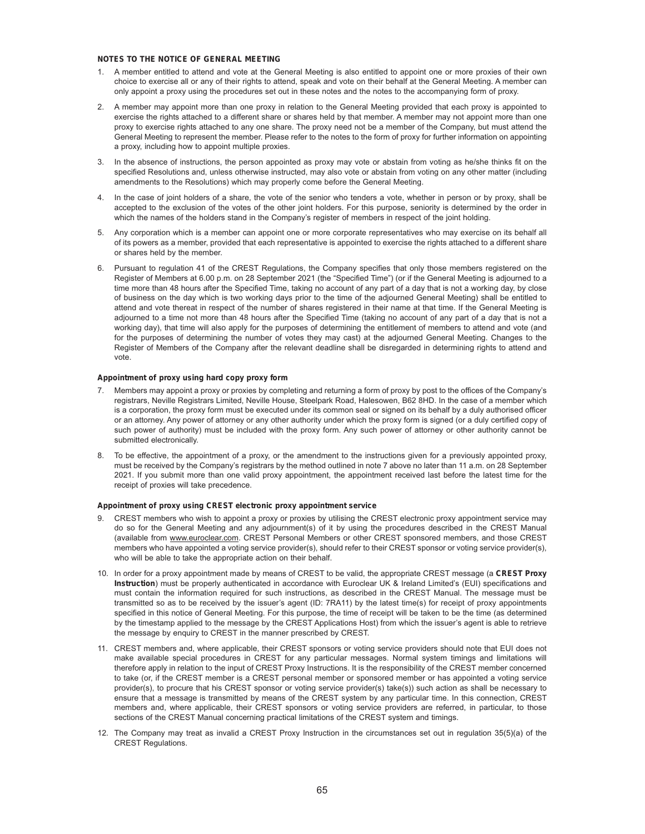#### **NOTES TO THE NOTICE OF GENERAL MEETING**

- 1. A member entitled to attend and vote at the General Meeting is also entitled to appoint one or more proxies of their own choice to exercise all or any of their rights to attend, speak and vote on their behalf at the General Meeting. A member can only appoint a proxy using the procedures set out in these notes and the notes to the accompanying form of proxy.
- 2. A member may appoint more than one proxy in relation to the General Meeting provided that each proxy is appointed to exercise the rights attached to a different share or shares held by that member. A member may not appoint more than one proxy to exercise rights attached to any one share. The proxy need not be a member of the Company, but must attend the General Meeting to represent the member. Please refer to the notes to the form of proxy for further information on appointing a proxy, including how to appoint multiple proxies.
- 3. In the absence of instructions, the person appointed as proxy may vote or abstain from voting as he/she thinks fit on the specified Resolutions and, unless otherwise instructed, may also vote or abstain from voting on any other matter (including amendments to the Resolutions) which may properly come before the General Meeting.
- 4. In the case of joint holders of a share, the vote of the senior who tenders a vote, whether in person or by proxy, shall be accepted to the exclusion of the votes of the other joint holders. For this purpose, seniority is determined by the order in which the names of the holders stand in the Company's register of members in respect of the joint holding.
- 5. Any corporation which is a member can appoint one or more corporate representatives who may exercise on its behalf all of its powers as a member, provided that each representative is appointed to exercise the rights attached to a different share or shares held by the member.
- 6. Pursuant to regulation 41 of the CREST Regulations, the Company specifies that only those members registered on the Register of Members at 6.00 p.m. on 28 September 2021 (the "Specified Time") (or if the General Meeting is adjourned to a time more than 48 hours after the Specified Time, taking no account of any part of a day that is not a working day, by close of business on the day which is two working days prior to the time of the adjourned General Meeting) shall be entitled to attend and vote thereat in respect of the number of shares registered in their name at that time. If the General Meeting is adjourned to a time not more than 48 hours after the Specified Time (taking no account of any part of a day that is not a working day), that time will also apply for the purposes of determining the entitlement of members to attend and vote (and for the purposes of determining the number of votes they may cast) at the adjourned General Meeting. Changes to the Register of Members of the Company after the relevant deadline shall be disregarded in determining rights to attend and vote.

#### **Appointment of proxy using hard copy proxy form**

- 7. Members may appoint a proxy or proxies by completing and returning a form of proxy by post to the offices of the Company's registrars, Neville Registrars Limited, Neville House, Steelpark Road, Halesowen, B62 8HD. In the case of a member which is a corporation, the proxy form must be executed under its common seal or signed on its behalf by a duly authorised officer or an attorney. Any power of attorney or any other authority under which the proxy form is signed (or a duly certified copy of such power of authority) must be included with the proxy form. Any such power of attorney or other authority cannot be submitted electronically.
- 8. To be effective, the appointment of a proxy, or the amendment to the instructions given for a previously appointed proxy, must be received by the Company's registrars by the method outlined in note 7 above no later than 11 a.m. on 28 September 2021. If you submit more than one valid proxy appointment, the appointment received last before the latest time for the receipt of proxies will take precedence.

#### **Appointment of proxy using CREST electronic proxy appointment service**

- 9. CREST members who wish to appoint a proxy or proxies by utilising the CREST electronic proxy appointment service may do so for the General Meeting and any adjournment(s) of it by using the procedures described in the CREST Manual (available from www.euroclear.com. CREST Personal Members or other CREST sponsored members, and those CREST members who have appointed a voting service provider(s), should refer to their CREST sponsor or voting service provider(s), who will be able to take the appropriate action on their behalf.
- 10. In order for a proxy appointment made by means of CREST to be valid, the appropriate CREST message (a **CREST Proxy Instruction**) must be properly authenticated in accordance with Euroclear UK & Ireland Limited's (EUI) specifications and must contain the information required for such instructions, as described in the CREST Manual. The message must be transmitted so as to be received by the issuer's agent (ID: 7RA11) by the latest time(s) for receipt of proxy appointments specified in this notice of General Meeting. For this purpose, the time of receipt will be taken to be the time (as determined by the timestamp applied to the message by the CREST Applications Host) from which the issuer's agent is able to retrieve the message by enquiry to CREST in the manner prescribed by CREST.
- 11. CREST members and, where applicable, their CREST sponsors or voting service providers should note that EUI does not make available special procedures in CREST for any particular messages. Normal system timings and limitations will therefore apply in relation to the input of CREST Proxy Instructions. It is the responsibility of the CREST member concerned to take (or, if the CREST member is a CREST personal member or sponsored member or has appointed a voting service provider(s), to procure that his CREST sponsor or voting service provider(s) take(s)) such action as shall be necessary to ensure that a message is transmitted by means of the CREST system by any particular time. In this connection, CREST members and, where applicable, their CREST sponsors or voting service providers are referred, in particular, to those sections of the CREST Manual concerning practical limitations of the CREST system and timings.
- 12. The Company may treat as invalid a CREST Proxy Instruction in the circumstances set out in regulation 35(5)(a) of the CREST Regulations.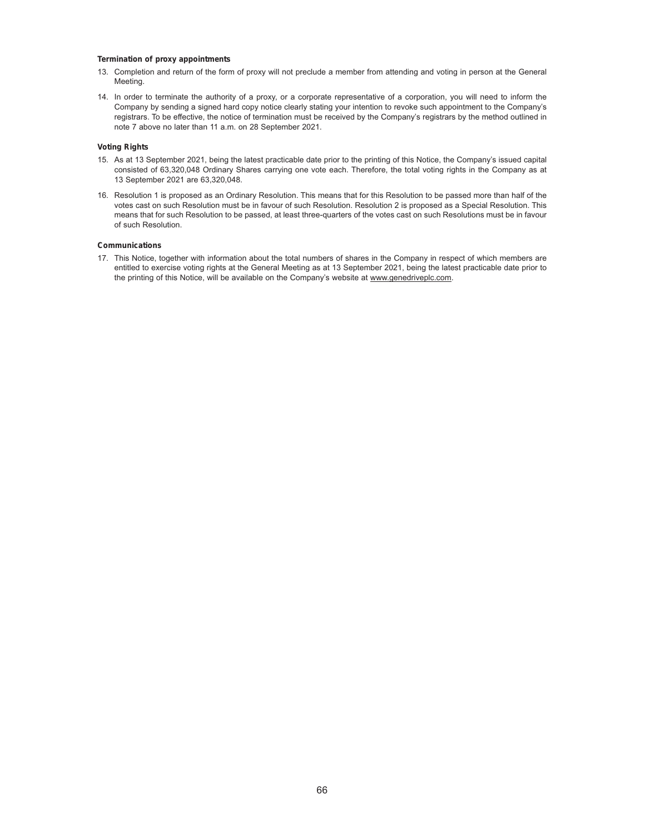**Termination of proxy appointments**

- 13. Completion and return of the form of proxy will not preclude a member from attending and voting in person at the General **Meeting**
- 14. In order to terminate the authority of a proxy, or a corporate representative of a corporation, you will need to inform the Company by sending a signed hard copy notice clearly stating your intention to revoke such appointment to the Company's registrars. To be effective, the notice of termination must be received by the Company's registrars by the method outlined in note 7 above no later than 11 a.m. on 28 September 2021.

#### **Voting Rights**

- 15. As at 13 September 2021, being the latest practicable date prior to the printing of this Notice, the Company's issued capital consisted of 63,320,048 Ordinary Shares carrying one vote each. Therefore, the total voting rights in the Company as at 13 September 2021 are 63,320,048.
- 16. Resolution 1 is proposed as an Ordinary Resolution. This means that for this Resolution to be passed more than half of the votes cast on such Resolution must be in favour of such Resolution. Resolution 2 is proposed as a Special Resolution. This means that for such Resolution to be passed, at least three-quarters of the votes cast on such Resolutions must be in favour of such Resolution.

#### **Communications**

17. This Notice, together with information about the total numbers of shares in the Company in respect of which members are entitled to exercise voting rights at the General Meeting as at 13 September 2021, being the latest practicable date prior to the printing of this Notice, will be available on the Company's website at www.genedriveplc.com.